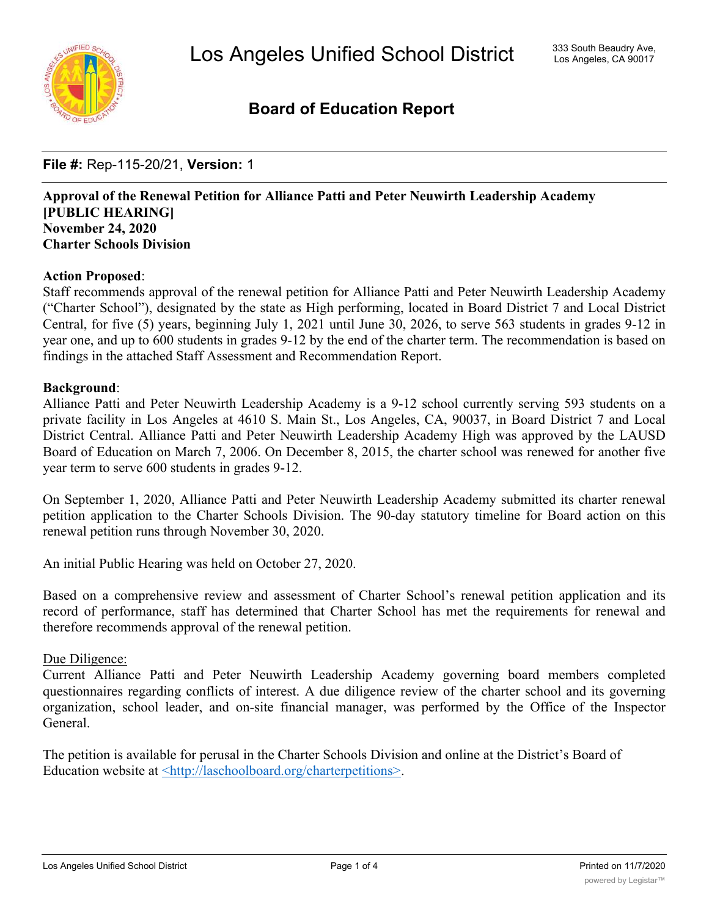

# **Board of Education Report**

**File #:** Rep-115-20/21, **Version:** 1

## **Approval of the Renewal Petition for Alliance Patti and Peter Neuwirth Leadership Academy [PUBLIC HEARING] November 24, 2020 Charter Schools Division**

#### **Action Proposed**:

Staff recommends approval of the renewal petition for Alliance Patti and Peter Neuwirth Leadership Academy ("Charter School"), designated by the state as High performing, located in Board District 7 and Local District Central, for five (5) years, beginning July 1, 2021 until June 30, 2026, to serve 563 students in grades 9-12 in year one, and up to 600 students in grades 9-12 by the end of the charter term. The recommendation is based on findings in the attached Staff Assessment and Recommendation Report.

#### **Background**:

Alliance Patti and Peter Neuwirth Leadership Academy is a 9-12 school currently serving 593 students on a private facility in Los Angeles at 4610 S. Main St., Los Angeles, CA, 90037, in Board District 7 and Local District Central. Alliance Patti and Peter Neuwirth Leadership Academy High was approved by the LAUSD Board of Education on March 7, 2006. On December 8, 2015, the charter school was renewed for another five year term to serve 600 students in grades 9-12.

On September 1, 2020, Alliance Patti and Peter Neuwirth Leadership Academy submitted its charter renewal petition application to the Charter Schools Division. The 90-day statutory timeline for Board action on this renewal petition runs through November 30, 2020.

An initial Public Hearing was held on October 27, 2020.

Based on a comprehensive review and assessment of Charter School's renewal petition application and its record of performance, staff has determined that Charter School has met the requirements for renewal and therefore recommends approval of the renewal petition.

#### Due Diligence:

Current Alliance Patti and Peter Neuwirth Leadership Academy governing board members completed questionnaires regarding conflicts of interest. A due diligence review of the charter school and its governing organization, school leader, and on-site financial manager, was performed by the Office of the Inspector General.

The petition is available for perusal in the Charter Schools Division and online at the District's Board of Education website at <http://laschoolboard.org/charterpetitions>.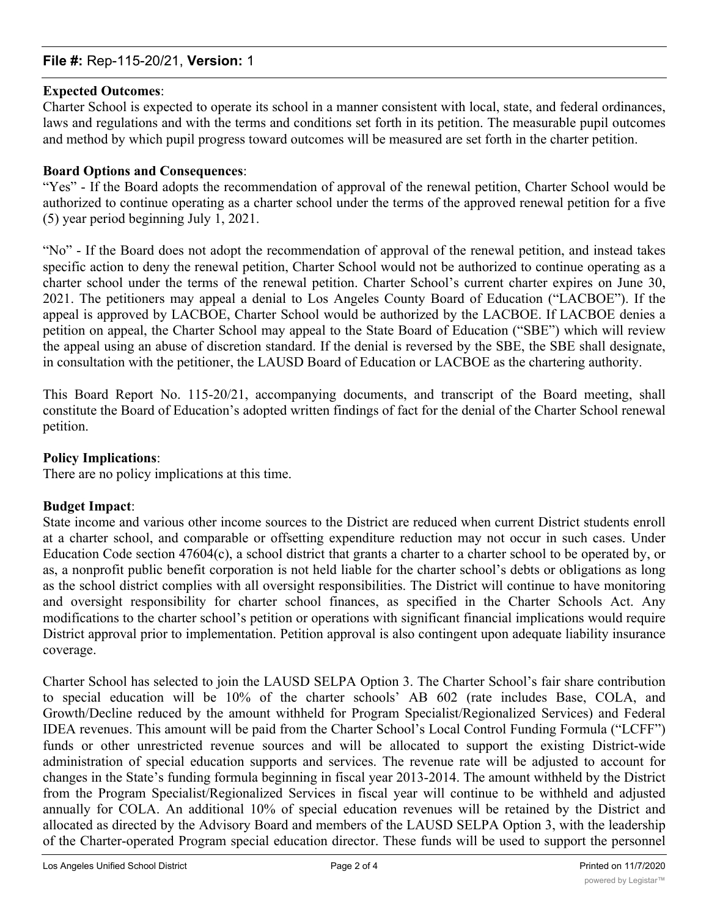## **File #:** Rep-115-20/21, **Version:** 1

#### **Expected Outcomes**:

Charter School is expected to operate its school in a manner consistent with local, state, and federal ordinances, laws and regulations and with the terms and conditions set forth in its petition. The measurable pupil outcomes and method by which pupil progress toward outcomes will be measured are set forth in the charter petition.

#### **Board Options and Consequences**:

"Yes" - If the Board adopts the recommendation of approval of the renewal petition, Charter School would be authorized to continue operating as a charter school under the terms of the approved renewal petition for a five (5) year period beginning July 1, 2021.

"No" - If the Board does not adopt the recommendation of approval of the renewal petition, and instead takes specific action to deny the renewal petition, Charter School would not be authorized to continue operating as a charter school under the terms of the renewal petition. Charter School's current charter expires on June 30, 2021. The petitioners may appeal a denial to Los Angeles County Board of Education ("LACBOE"). If the appeal is approved by LACBOE, Charter School would be authorized by the LACBOE. If LACBOE denies a petition on appeal, the Charter School may appeal to the State Board of Education ("SBE") which will review the appeal using an abuse of discretion standard. If the denial is reversed by the SBE, the SBE shall designate, in consultation with the petitioner, the LAUSD Board of Education or LACBOE as the chartering authority.

This Board Report No. 115-20/21, accompanying documents, and transcript of the Board meeting, shall constitute the Board of Education's adopted written findings of fact for the denial of the Charter School renewal petition.

#### **Policy Implications**:

There are no policy implications at this time.

#### **Budget Impact**:

State income and various other income sources to the District are reduced when current District students enroll at a charter school, and comparable or offsetting expenditure reduction may not occur in such cases. Under Education Code section 47604(c), a school district that grants a charter to a charter school to be operated by, or as, a nonprofit public benefit corporation is not held liable for the charter school's debts or obligations as long as the school district complies with all oversight responsibilities. The District will continue to have monitoring and oversight responsibility for charter school finances, as specified in the Charter Schools Act. Any modifications to the charter school's petition or operations with significant financial implications would require District approval prior to implementation. Petition approval is also contingent upon adequate liability insurance coverage.

Charter School has selected to join the LAUSD SELPA Option 3. The Charter School's fair share contribution to special education will be 10% of the charter schools' AB 602 (rate includes Base, COLA, and Growth/Decline reduced by the amount withheld for Program Specialist/Regionalized Services) and Federal IDEA revenues. This amount will be paid from the Charter School's Local Control Funding Formula ("LCFF") funds or other unrestricted revenue sources and will be allocated to support the existing District-wide administration of special education supports and services. The revenue rate will be adjusted to account for changes in the State's funding formula beginning in fiscal year 2013-2014. The amount withheld by the District from the Program Specialist/Regionalized Services in fiscal year will continue to be withheld and adjusted annually for COLA. An additional 10% of special education revenues will be retained by the District and allocated as directed by the Advisory Board and members of the LAUSD SELPA Option 3, with the leadership of the Charter-operated Program special education director. These funds will be used to support the personnel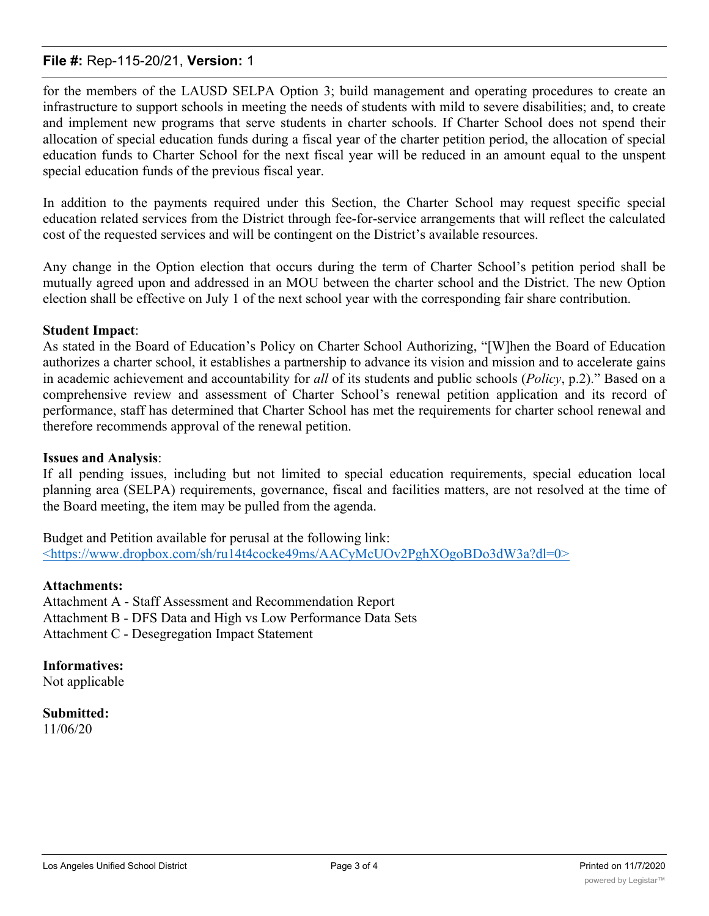## **File #:** Rep-115-20/21, **Version:** 1

for the members of the LAUSD SELPA Option 3; build management and operating procedures to create an infrastructure to support schools in meeting the needs of students with mild to severe disabilities; and, to create and implement new programs that serve students in charter schools. If Charter School does not spend their allocation of special education funds during a fiscal year of the charter petition period, the allocation of special education funds to Charter School for the next fiscal year will be reduced in an amount equal to the unspent special education funds of the previous fiscal year.

In addition to the payments required under this Section, the Charter School may request specific special education related services from the District through fee-for-service arrangements that will reflect the calculated cost of the requested services and will be contingent on the District's available resources.

Any change in the Option election that occurs during the term of Charter School's petition period shall be mutually agreed upon and addressed in an MOU between the charter school and the District. The new Option election shall be effective on July 1 of the next school year with the corresponding fair share contribution.

#### **Student Impact**:

As stated in the Board of Education's Policy on Charter School Authorizing, "[W]hen the Board of Education authorizes a charter school, it establishes a partnership to advance its vision and mission and to accelerate gains in academic achievement and accountability for *all* of its students and public schools (*Policy*, p.2)." Based on a comprehensive review and assessment of Charter School's renewal petition application and its record of performance, staff has determined that Charter School has met the requirements for charter school renewal and therefore recommends approval of the renewal petition.

#### **Issues and Analysis**:

If all pending issues, including but not limited to special education requirements, special education local planning area (SELPA) requirements, governance, fiscal and facilities matters, are not resolved at the time of the Board meeting, the item may be pulled from the agenda.

Budget and Petition available for perusal at the following link: <https://www.dropbox.com/sh/ru14t4cocke49ms/AACyMcUOv2PghXOgoBDo3dW3a?dl=0>

#### **Attachments:**

Attachment A - Staff Assessment and Recommendation Report Attachment B - DFS Data and High vs Low Performance Data Sets Attachment C - Desegregation Impact Statement

**Informatives:** Not applicable

**Submitted:** 11/06/20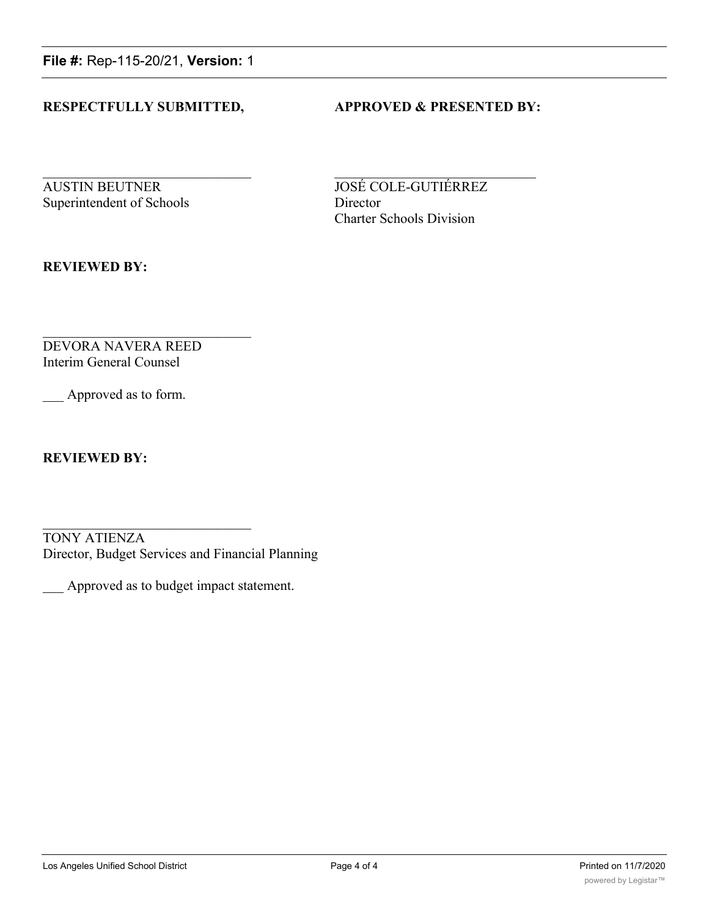**File #:** Rep-115-20/21, **Version:** 1

## **RESPECTFULLY SUBMITTED, APPROVED & PRESENTED BY:**

**AUSTIN BEUTNER JOSÉ COLE-GUTIÉRREZ** Superintendent of Schools Director

Charter Schools Division

**REVIEWED BY:**

DEVORA NAVERA REED Interim General Counsel

Approved as to form.

**REVIEWED BY:**

TONY ATIENZA Director, Budget Services and Financial Planning

\_\_\_ Approved as to budget impact statement.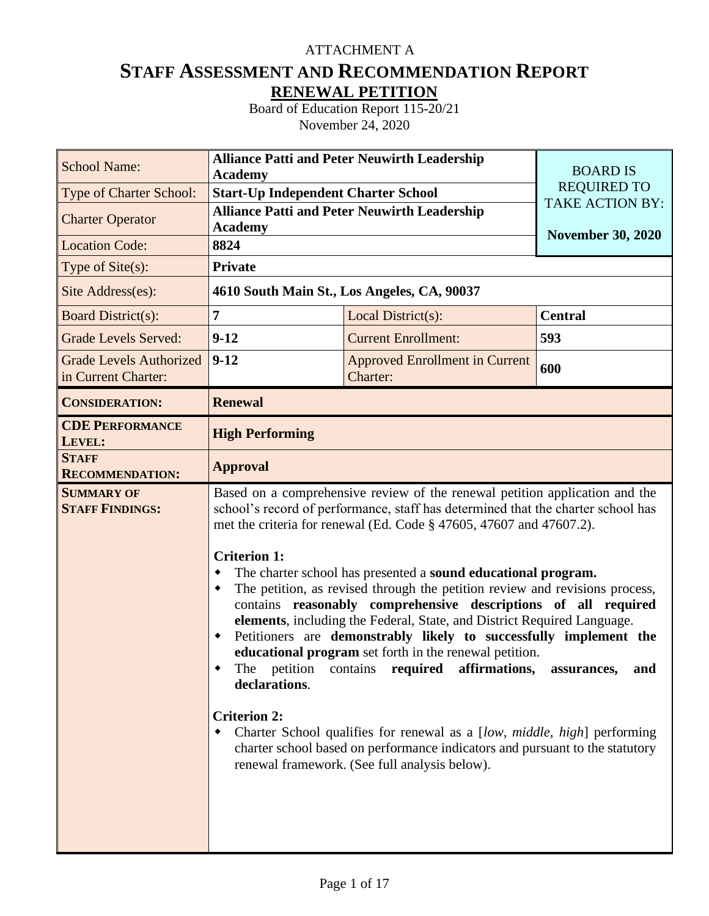## ATTACHMENT A

# **STAFF ASSESSMENT AND RECOMMENDATION REPORT RENEWAL PETITION**

Board of Education Report 115-20/21 November 24, 2020

| <b>School Name:</b>                                   | <b>Alliance Patti and Peter Neuwirth Leadership</b>                             | <b>BOARD IS</b>                                                                                                                                                                                                                                                                                                                                                                                                                                                                                                                                                                                                                                                                                                                                                                                                                                                                                                                                 |                          |
|-------------------------------------------------------|---------------------------------------------------------------------------------|-------------------------------------------------------------------------------------------------------------------------------------------------------------------------------------------------------------------------------------------------------------------------------------------------------------------------------------------------------------------------------------------------------------------------------------------------------------------------------------------------------------------------------------------------------------------------------------------------------------------------------------------------------------------------------------------------------------------------------------------------------------------------------------------------------------------------------------------------------------------------------------------------------------------------------------------------|--------------------------|
| <b>Type of Charter School:</b>                        | <b>Academy</b><br><b>Start-Up Independent Charter School</b>                    | <b>REQUIRED TO</b>                                                                                                                                                                                                                                                                                                                                                                                                                                                                                                                                                                                                                                                                                                                                                                                                                                                                                                                              |                          |
| <b>Charter Operator</b>                               | <b>Academy</b>                                                                  | <b>Alliance Patti and Peter Neuwirth Leadership</b>                                                                                                                                                                                                                                                                                                                                                                                                                                                                                                                                                                                                                                                                                                                                                                                                                                                                                             | <b>TAKE ACTION BY:</b>   |
| <b>Location Code:</b>                                 | 8824                                                                            |                                                                                                                                                                                                                                                                                                                                                                                                                                                                                                                                                                                                                                                                                                                                                                                                                                                                                                                                                 | <b>November 30, 2020</b> |
| Type of $Site(s)$ :                                   | <b>Private</b>                                                                  |                                                                                                                                                                                                                                                                                                                                                                                                                                                                                                                                                                                                                                                                                                                                                                                                                                                                                                                                                 |                          |
| Site Address(es):                                     |                                                                                 | 4610 South Main St., Los Angeles, CA, 90037                                                                                                                                                                                                                                                                                                                                                                                                                                                                                                                                                                                                                                                                                                                                                                                                                                                                                                     |                          |
| <b>Board District(s):</b>                             | 7                                                                               | Local District(s):                                                                                                                                                                                                                                                                                                                                                                                                                                                                                                                                                                                                                                                                                                                                                                                                                                                                                                                              | <b>Central</b>           |
| <b>Grade Levels Served:</b>                           | $9-12$                                                                          | <b>Current Enrollment:</b>                                                                                                                                                                                                                                                                                                                                                                                                                                                                                                                                                                                                                                                                                                                                                                                                                                                                                                                      | 593                      |
| <b>Grade Levels Authorized</b><br>in Current Charter: | $9 - 12$                                                                        | <b>Approved Enrollment in Current</b><br>Charter:                                                                                                                                                                                                                                                                                                                                                                                                                                                                                                                                                                                                                                                                                                                                                                                                                                                                                               | 600                      |
| <b>CONSIDERATION:</b>                                 | <b>Renewal</b>                                                                  |                                                                                                                                                                                                                                                                                                                                                                                                                                                                                                                                                                                                                                                                                                                                                                                                                                                                                                                                                 |                          |
| <b>CDE PERFORMANCE</b><br>LEVEL:                      | <b>High Performing</b>                                                          |                                                                                                                                                                                                                                                                                                                                                                                                                                                                                                                                                                                                                                                                                                                                                                                                                                                                                                                                                 |                          |
| <b>STAFF</b><br><b>RECOMMENDATION:</b>                | <b>Approval</b>                                                                 |                                                                                                                                                                                                                                                                                                                                                                                                                                                                                                                                                                                                                                                                                                                                                                                                                                                                                                                                                 |                          |
| <b>SUMMARY OF</b><br><b>STAFF FINDINGS:</b>           | <b>Criterion 1:</b><br>٠<br>٠<br>٠<br>declarations.<br><b>Criterion 2:</b><br>٠ | Based on a comprehensive review of the renewal petition application and the<br>school's record of performance, staff has determined that the charter school has<br>met the criteria for renewal (Ed. Code § 47605, 47607 and 47607.2).<br>The charter school has presented a sound educational program.<br>The petition, as revised through the petition review and revisions process,<br>contains reasonably comprehensive descriptions of all required<br>elements, including the Federal, State, and District Required Language.<br>Petitioners are demonstrably likely to successfully implement the<br>educational program set forth in the renewal petition.<br>The petition contains required affirmations, assurances, and<br>Charter School qualifies for renewal as a [low, middle, high] performing<br>charter school based on performance indicators and pursuant to the statutory<br>renewal framework. (See full analysis below). |                          |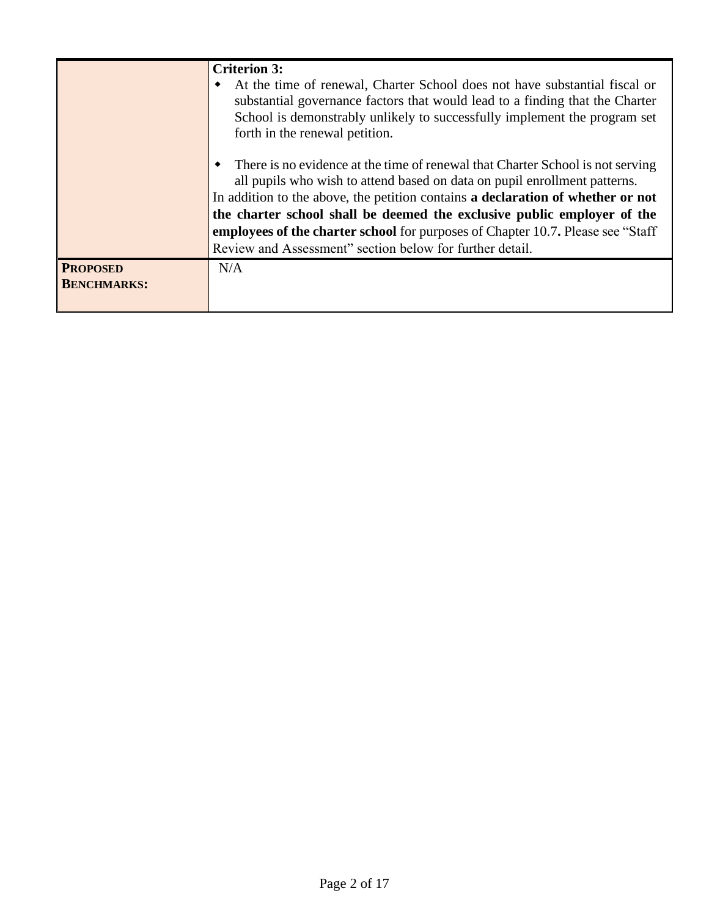|                                       | <b>Criterion 3:</b><br>At the time of renewal, Charter School does not have substantial fiscal or<br>٠<br>substantial governance factors that would lead to a finding that the Charter<br>School is demonstrably unlikely to successfully implement the program set<br>forth in the renewal petition.                                                                                                                                                                            |
|---------------------------------------|----------------------------------------------------------------------------------------------------------------------------------------------------------------------------------------------------------------------------------------------------------------------------------------------------------------------------------------------------------------------------------------------------------------------------------------------------------------------------------|
|                                       | There is no evidence at the time of renewal that Charter School is not serving<br>all pupils who wish to attend based on data on pupil enrollment patterns.<br>In addition to the above, the petition contains a declaration of whether or not<br>the charter school shall be deemed the exclusive public employer of the<br><b>employees of the charter school</b> for purposes of Chapter 10.7. Please see "Staff"<br>Review and Assessment" section below for further detail. |
| <b>PROPOSED</b><br><b>BENCHMARKS:</b> | N/A                                                                                                                                                                                                                                                                                                                                                                                                                                                                              |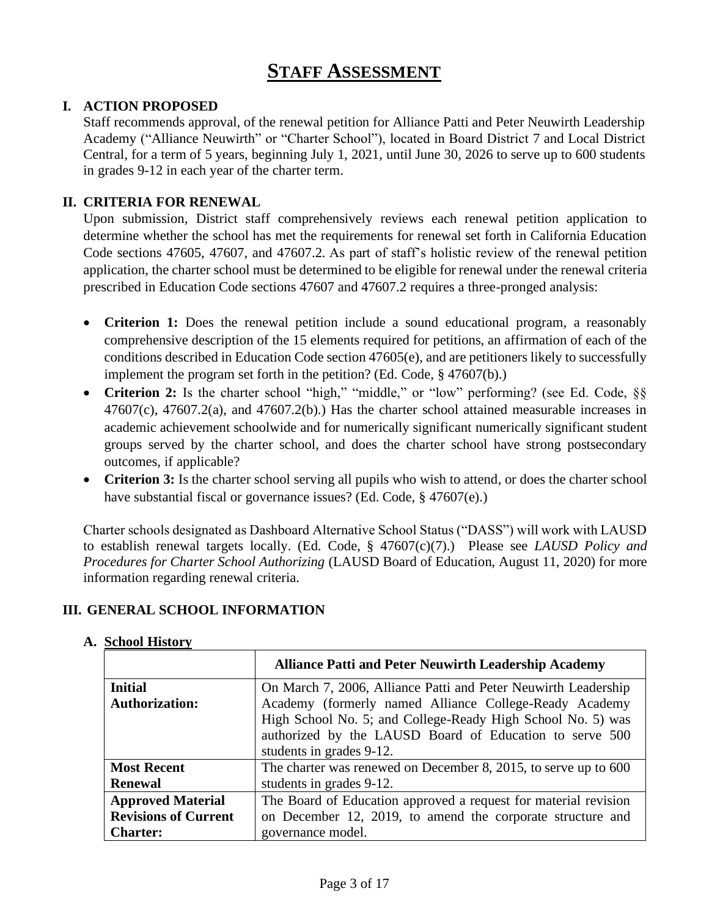# **STAFF ASSESSMENT**

## **I. ACTION PROPOSED**

Staff recommends approval, of the renewal petition for Alliance Patti and Peter Neuwirth Leadership Academy ("Alliance Neuwirth" or "Charter School"), located in Board District 7 and Local District Central, for a term of 5 years, beginning July 1, 2021, until June 30, 2026 to serve up to 600 students in grades 9-12 in each year of the charter term.

## **II. CRITERIA FOR RENEWAL**

Upon submission, District staff comprehensively reviews each renewal petition application to determine whether the school has met the requirements for renewal set forth in California Education Code sections 47605, 47607, and 47607.2. As part of staff's holistic review of the renewal petition application, the charter school must be determined to be eligible for renewal under the renewal criteria prescribed in Education Code sections 47607 and 47607.2 requires a three-pronged analysis:

- **Criterion 1:** Does the renewal petition include a sound educational program, a reasonably comprehensive description of the 15 elements required for petitions, an affirmation of each of the conditions described in Education Code section 47605(e), and are petitioners likely to successfully implement the program set forth in the petition? (Ed. Code, § 47607(b).)
- Criterion 2: Is the charter school "high," "middle," or "low" performing? (see Ed. Code, §§  $47607(c)$ ,  $47607.2(a)$ , and  $47607.2(b)$ . Has the charter school attained measurable increases in academic achievement schoolwide and for numerically significant numerically significant student groups served by the charter school, and does the charter school have strong postsecondary outcomes, if applicable?
- **Criterion 3:** Is the charter school serving all pupils who wish to attend, or does the charter school have substantial fiscal or governance issues? (Ed. Code, § 47607(e).)

Charter schools designated as Dashboard Alternative School Status ("DASS") will work with LAUSD to establish renewal targets locally. (Ed. Code, § 47607(c)(7).) Please see *LAUSD Policy and Procedures for Charter School Authorizing* (LAUSD Board of Education, August 11, 2020) for more information regarding renewal criteria.

#### **III. GENERAL SCHOOL INFORMATION**

|                             | <b>Alliance Patti and Peter Neuwirth Leadership Academy</b>     |  |  |  |  |  |  |  |  |
|-----------------------------|-----------------------------------------------------------------|--|--|--|--|--|--|--|--|
| <b>Initial</b>              | On March 7, 2006, Alliance Patti and Peter Neuwirth Leadership  |  |  |  |  |  |  |  |  |
| <b>Authorization:</b>       | Academy (formerly named Alliance College-Ready Academy          |  |  |  |  |  |  |  |  |
|                             | High School No. 5; and College-Ready High School No. 5) was     |  |  |  |  |  |  |  |  |
|                             | authorized by the LAUSD Board of Education to serve 500         |  |  |  |  |  |  |  |  |
|                             | students in grades 9-12.                                        |  |  |  |  |  |  |  |  |
| <b>Most Recent</b>          | The charter was renewed on December 8, 2015, to serve up to 600 |  |  |  |  |  |  |  |  |
| <b>Renewal</b>              | students in grades 9-12.                                        |  |  |  |  |  |  |  |  |
| <b>Approved Material</b>    | The Board of Education approved a request for material revision |  |  |  |  |  |  |  |  |
| <b>Revisions of Current</b> | on December 12, 2019, to amend the corporate structure and      |  |  |  |  |  |  |  |  |
| <b>Charter:</b>             | governance model.                                               |  |  |  |  |  |  |  |  |

#### **A. School History**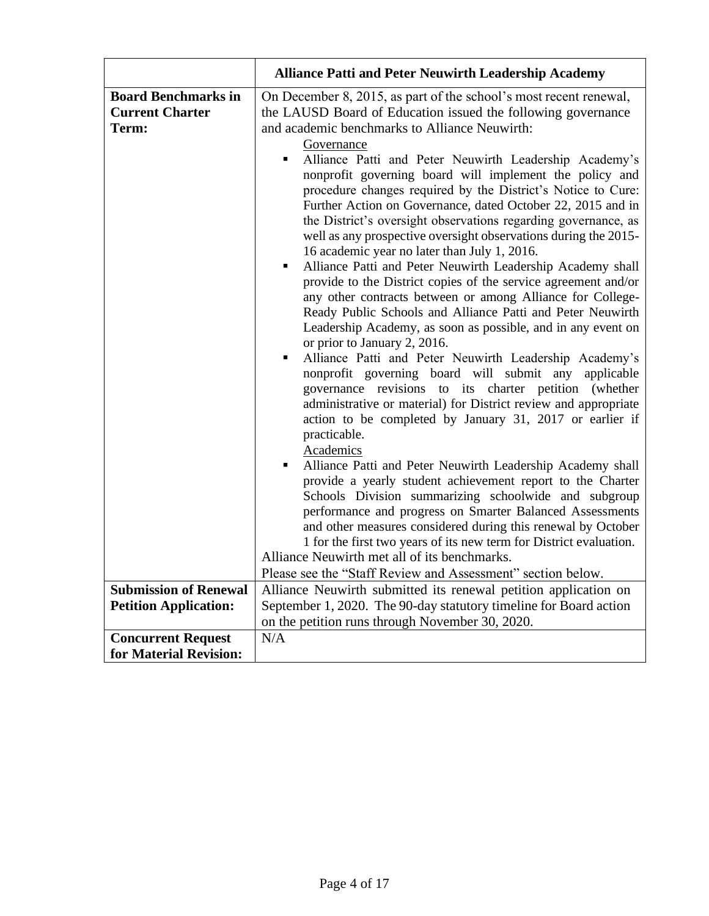|                                                               | <b>Alliance Patti and Peter Neuwirth Leadership Academy</b>                                                                                                                                                                                                                                                                                                                                                                                                                                                                                                                                                                                                                                                                                                                                                                                                                                                                                                                                                                                                                                                                                                                                                                                                                                                                                                                                                                                                                                                                                                                                                                                                                                                                                                                                                                                                                                |
|---------------------------------------------------------------|--------------------------------------------------------------------------------------------------------------------------------------------------------------------------------------------------------------------------------------------------------------------------------------------------------------------------------------------------------------------------------------------------------------------------------------------------------------------------------------------------------------------------------------------------------------------------------------------------------------------------------------------------------------------------------------------------------------------------------------------------------------------------------------------------------------------------------------------------------------------------------------------------------------------------------------------------------------------------------------------------------------------------------------------------------------------------------------------------------------------------------------------------------------------------------------------------------------------------------------------------------------------------------------------------------------------------------------------------------------------------------------------------------------------------------------------------------------------------------------------------------------------------------------------------------------------------------------------------------------------------------------------------------------------------------------------------------------------------------------------------------------------------------------------------------------------------------------------------------------------------------------------|
| <b>Board Benchmarks in</b><br><b>Current Charter</b><br>Term: | On December 8, 2015, as part of the school's most recent renewal,<br>the LAUSD Board of Education issued the following governance<br>and academic benchmarks to Alliance Neuwirth:<br>Governance<br>Alliance Patti and Peter Neuwirth Leadership Academy's<br>$\blacksquare$<br>nonprofit governing board will implement the policy and<br>procedure changes required by the District's Notice to Cure:<br>Further Action on Governance, dated October 22, 2015 and in<br>the District's oversight observations regarding governance, as<br>well as any prospective oversight observations during the 2015-<br>16 academic year no later than July 1, 2016.<br>Alliance Patti and Peter Neuwirth Leadership Academy shall<br>$\blacksquare$<br>provide to the District copies of the service agreement and/or<br>any other contracts between or among Alliance for College-<br>Ready Public Schools and Alliance Patti and Peter Neuwirth<br>Leadership Academy, as soon as possible, and in any event on<br>or prior to January 2, 2016.<br>Alliance Patti and Peter Neuwirth Leadership Academy's<br>٠<br>nonprofit governing board will submit any applicable<br>governance revisions to its charter petition (whether<br>administrative or material) for District review and appropriate<br>action to be completed by January 31, 2017 or earlier if<br>practicable.<br>Academics<br>Alliance Patti and Peter Neuwirth Leadership Academy shall<br>provide a yearly student achievement report to the Charter<br>Schools Division summarizing schoolwide and subgroup<br>performance and progress on Smarter Balanced Assessments<br>and other measures considered during this renewal by October<br>1 for the first two years of its new term for District evaluation.<br>Alliance Neuwirth met all of its benchmarks.<br>Please see the "Staff Review and Assessment" section below. |
| <b>Submission of Renewal</b>                                  | Alliance Neuwirth submitted its renewal petition application on                                                                                                                                                                                                                                                                                                                                                                                                                                                                                                                                                                                                                                                                                                                                                                                                                                                                                                                                                                                                                                                                                                                                                                                                                                                                                                                                                                                                                                                                                                                                                                                                                                                                                                                                                                                                                            |
| <b>Petition Application:</b>                                  | September 1, 2020. The 90-day statutory timeline for Board action<br>on the petition runs through November 30, 2020.                                                                                                                                                                                                                                                                                                                                                                                                                                                                                                                                                                                                                                                                                                                                                                                                                                                                                                                                                                                                                                                                                                                                                                                                                                                                                                                                                                                                                                                                                                                                                                                                                                                                                                                                                                       |
| <b>Concurrent Request</b>                                     | N/A                                                                                                                                                                                                                                                                                                                                                                                                                                                                                                                                                                                                                                                                                                                                                                                                                                                                                                                                                                                                                                                                                                                                                                                                                                                                                                                                                                                                                                                                                                                                                                                                                                                                                                                                                                                                                                                                                        |
| for Material Revision:                                        |                                                                                                                                                                                                                                                                                                                                                                                                                                                                                                                                                                                                                                                                                                                                                                                                                                                                                                                                                                                                                                                                                                                                                                                                                                                                                                                                                                                                                                                                                                                                                                                                                                                                                                                                                                                                                                                                                            |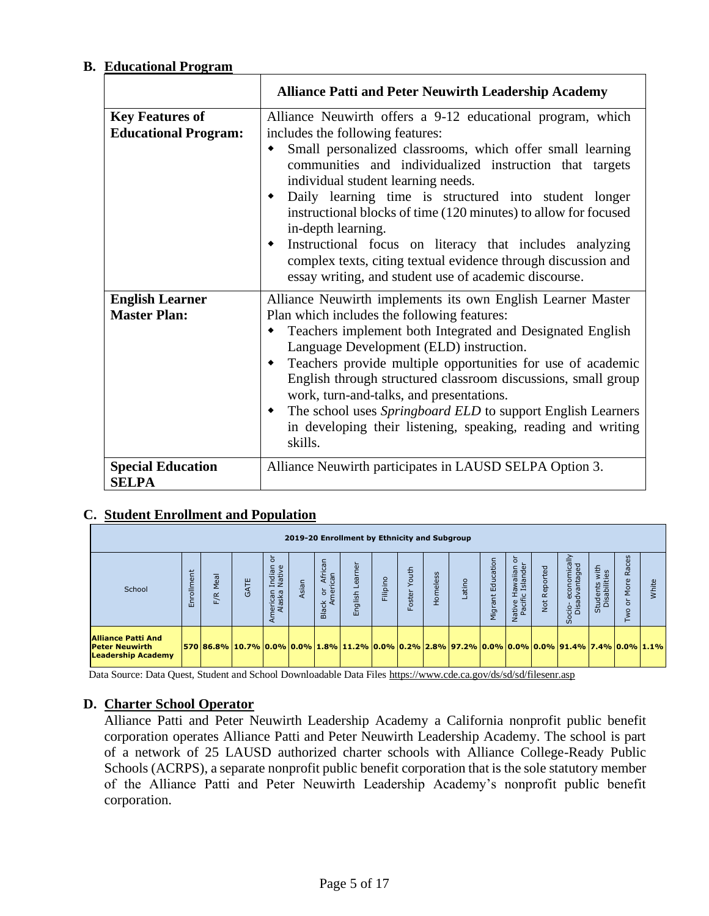## **B. Educational Program**

|                                                       | <b>Alliance Patti and Peter Neuwirth Leadership Academy</b>                                                                                                                                                                                                                                                                                                                                                                                                                                                                                                                                         |
|-------------------------------------------------------|-----------------------------------------------------------------------------------------------------------------------------------------------------------------------------------------------------------------------------------------------------------------------------------------------------------------------------------------------------------------------------------------------------------------------------------------------------------------------------------------------------------------------------------------------------------------------------------------------------|
| <b>Key Features of</b><br><b>Educational Program:</b> | Alliance Neuwirth offers a 9-12 educational program, which<br>includes the following features:<br>Small personalized classrooms, which offer small learning<br>communities and individualized instruction that targets<br>individual student learning needs.<br>Daily learning time is structured into student longer<br>instructional blocks of time (120 minutes) to allow for focused<br>in-depth learning.<br>Instructional focus on literacy that includes analyzing<br>complex texts, citing textual evidence through discussion and<br>essay writing, and student use of academic discourse. |
| <b>English Learner</b><br><b>Master Plan:</b>         | Alliance Neuwirth implements its own English Learner Master<br>Plan which includes the following features:<br>Teachers implement both Integrated and Designated English<br>Language Development (ELD) instruction.<br>Teachers provide multiple opportunities for use of academic<br>English through structured classroom discussions, small group<br>work, turn-and-talks, and presentations.<br>The school uses Springboard ELD to support English Learners<br>in developing their listening, speaking, reading and writing<br>skills.                                                            |
| <b>Special Education</b><br><b>SELPA</b>              | Alliance Neuwirth participates in LAUSD SELPA Option 3.                                                                                                                                                                                                                                                                                                                                                                                                                                                                                                                                             |

## **C. Student Enrollment and Population**

| 2019-20 Enrollment by Ethnicity and Subgroup                                    |            |             |                                                                                               |                                                              |       |                                |               |          |                 |                 |       |                          |                                         |                      |                                                  |                               |                                                           |       |
|---------------------------------------------------------------------------------|------------|-------------|-----------------------------------------------------------------------------------------------|--------------------------------------------------------------|-------|--------------------------------|---------------|----------|-----------------|-----------------|-------|--------------------------|-----------------------------------------|----------------------|--------------------------------------------------|-------------------------------|-----------------------------------------------------------|-------|
| School                                                                          | Enrollment | Meal<br>F/R | <b>GATE</b>                                                                                   | ਨੋ<br>Ξ.<br>୍କ<br>Indiar<br>Native<br>nerican<br>Alaska<br>⋖ | Asian | Afri<br>can<br>ㅎ e<br>품 조<br>읆 | εe<br>English | Filipino | Youth<br>Foster | <b>Homeless</b> | atino | cation<br>Edu<br>Vigrant | ŏ<br>Native Hawaiian<br>Pacific Islande | Reported<br><b>b</b> | economically<br>advantaged<br>$rac{1}{2}$<br>င္တ | Students with<br>Disabilities | w<br>Φ<br>ā<br>$\alpha$<br>به<br>ēΣ<br>$\circ$<br>$\circ$ | White |
| <b>Alliance Patti And</b><br><b>Peter Neuwirth</b><br><b>Leadership Academy</b> |            |             | 570 86.8% 10.7% 0.0% 0.0% 1.8% 11.2% 0.0% 0.2% 2.8% 97.2% 0.0% 0.0% 0.0% 91.4% 7.4% 0.0% 1.1% |                                                              |       |                                |               |          |                 |                 |       |                          |                                         |                      |                                                  |                               |                                                           |       |

Data Source: Data Quest, Student and School Downloadable Data Files<https://www.cde.ca.gov/ds/sd/sd/filesenr.asp>

#### **D. Charter School Operator**

Alliance Patti and Peter Neuwirth Leadership Academy a California nonprofit public benefit corporation operates Alliance Patti and Peter Neuwirth Leadership Academy. The school is part of a network of 25 LAUSD authorized charter schools with Alliance College-Ready Public Schools (ACRPS), a separate nonprofit public benefit corporation that is the sole statutory member of the Alliance Patti and Peter Neuwirth Leadership Academy's nonprofit public benefit corporation.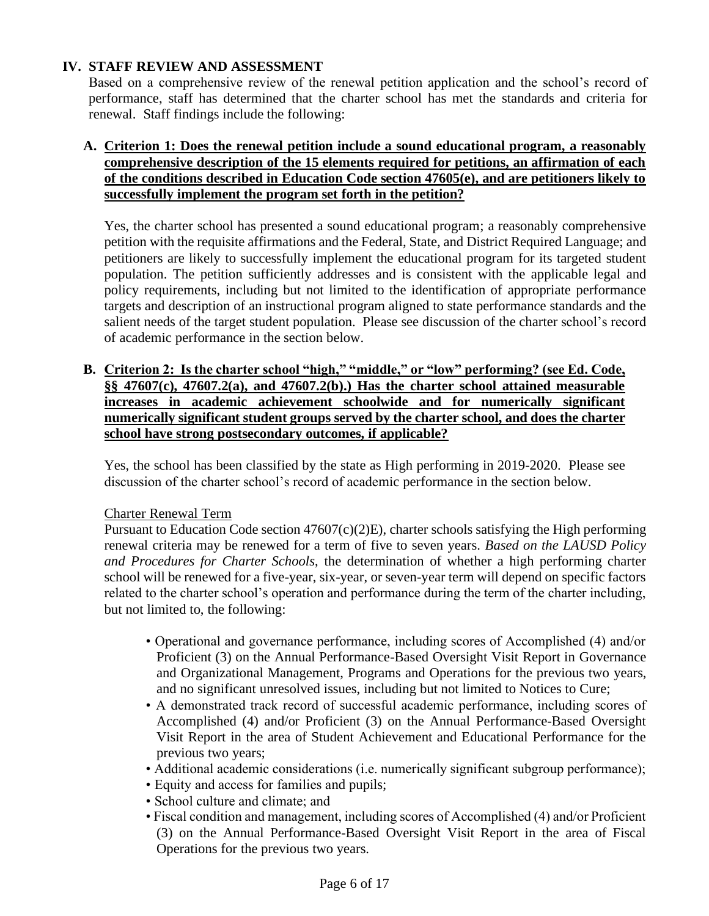## **IV. STAFF REVIEW AND ASSESSMENT**

Based on a comprehensive review of the renewal petition application and the school's record of performance, staff has determined that the charter school has met the standards and criteria for renewal. Staff findings include the following:

## **A. Criterion 1: Does the renewal petition include a sound educational program, a reasonably comprehensive description of the 15 elements required for petitions, an affirmation of each of the conditions described in Education Code section 47605(e), and are petitioners likely to successfully implement the program set forth in the petition?**

Yes, the charter school has presented a sound educational program; a reasonably comprehensive petition with the requisite affirmations and the Federal, State, and District Required Language; and petitioners are likely to successfully implement the educational program for its targeted student population. The petition sufficiently addresses and is consistent with the applicable legal and policy requirements, including but not limited to the identification of appropriate performance targets and description of an instructional program aligned to state performance standards and the salient needs of the target student population. Please see discussion of the charter school's record of academic performance in the section below.

**B. Criterion 2: Is the charter school "high," "middle," or "low" performing? (see Ed. Code, §§ 47607(c), 47607.2(a), and 47607.2(b).) Has the charter school attained measurable increases in academic achievement schoolwide and for numerically significant numerically significant student groups served by the charter school, and does the charter school have strong postsecondary outcomes, if applicable?**

Yes, the school has been classified by the state as High performing in 2019-2020. Please see discussion of the charter school's record of academic performance in the section below.

## Charter Renewal Term

Pursuant to Education Code section 47607(c)(2)E), charter schools satisfying the High performing renewal criteria may be renewed for a term of five to seven years. *Based on the LAUSD Policy and Procedures for Charter Schools*, the determination of whether a high performing charter school will be renewed for a five-year, six-year, or seven-year term will depend on specific factors related to the charter school's operation and performance during the term of the charter including, but not limited to, the following:

- Operational and governance performance, including scores of Accomplished (4) and/or Proficient (3) on the Annual Performance-Based Oversight Visit Report in Governance and Organizational Management, Programs and Operations for the previous two years, and no significant unresolved issues, including but not limited to Notices to Cure;
- A demonstrated track record of successful academic performance, including scores of Accomplished (4) and/or Proficient (3) on the Annual Performance-Based Oversight Visit Report in the area of Student Achievement and Educational Performance for the previous two years;
- Additional academic considerations (i.e. numerically significant subgroup performance);
- Equity and access for families and pupils;
- School culture and climate; and
- Fiscal condition and management, including scores of Accomplished (4) and/or Proficient (3) on the Annual Performance-Based Oversight Visit Report in the area of Fiscal Operations for the previous two years.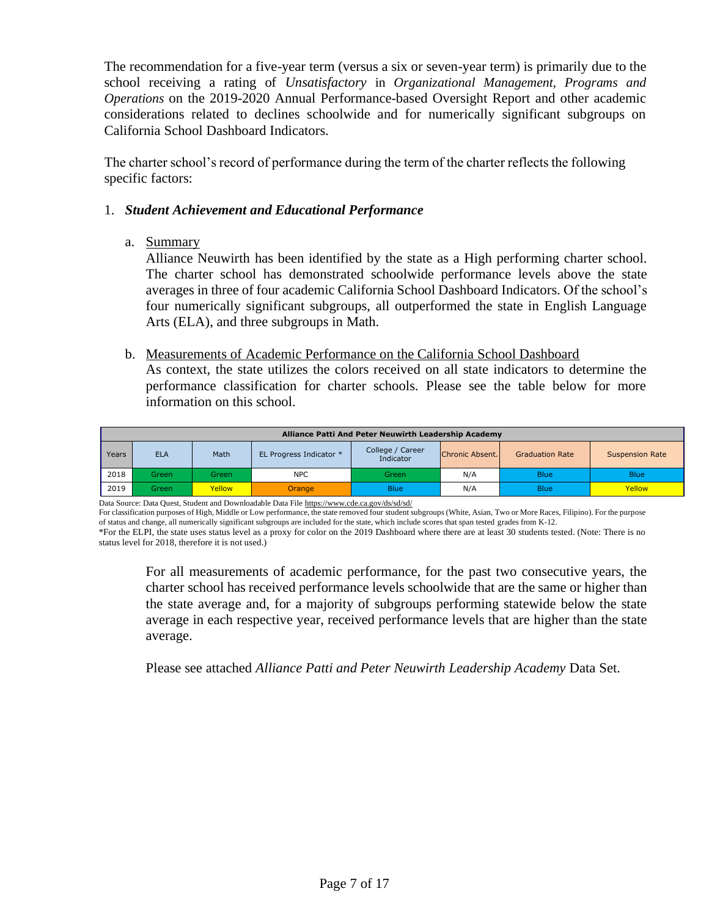The recommendation for a five-year term (versus a six or seven-year term) is primarily due to the school receiving a rating of *Unsatisfactory* in *Organizational Management, Programs and Operations* on the 2019-2020 Annual Performance-based Oversight Report and other academic considerations related to declines schoolwide and for numerically significant subgroups on California School Dashboard Indicators.

The charter school's record of performance during the term of the charter reflects the following specific factors:

## 1. *Student Achievement and Educational Performance*

a. Summary

Alliance Neuwirth has been identified by the state as a High performing charter school. The charter school has demonstrated schoolwide performance levels above the state averages in three of four academic California School Dashboard Indicators. Of the school's four numerically significant subgroups, all outperformed the state in English Language Arts (ELA), and three subgroups in Math.

b. Measurements of Academic Performance on the California School Dashboard

As context, the state utilizes the colors received on all state indicators to determine the performance classification for charter schools. Please see the table below for more information on this school.

|       | Alliance Patti And Peter Neuwirth Leadership Academy |        |                         |                               |                 |                        |                        |  |  |  |  |  |  |  |
|-------|------------------------------------------------------|--------|-------------------------|-------------------------------|-----------------|------------------------|------------------------|--|--|--|--|--|--|--|
| Years | <b>ELA</b>                                           | Math   | EL Progress Indicator * | College / Career<br>Indicator | Chronic Absent. | <b>Graduation Rate</b> | <b>Suspension Rate</b> |  |  |  |  |  |  |  |
| 2018  | Green                                                | Green. | <b>NPC</b>              | Green                         | N/A             | <b>Blue</b>            | <b>Blue</b>            |  |  |  |  |  |  |  |
| 2019  | Green                                                | Yellow | Orange                  | <b>Blue</b>                   | N/A             | <b>Blue</b>            | Yellow                 |  |  |  |  |  |  |  |

Data Source: Data Quest, Student and Downloadable Data Fil[e https://www.cde.ca.gov/ds/sd/sd/](https://www.cde.ca.gov/ds/sd/sd/)

For classification purposes of High, Middle or Low performance, the state removed four student subgroups (White, Asian, Two or More Races, Filipino). For the purpose of status and change, all numerically significant subgroups are included for the state, which include scores that span tested grades from K-12.

For all measurements of academic performance, for the past two consecutive years, the charter school has received performance levels schoolwide that are the same or higher than the state average and, for a majority of subgroups performing statewide below the state average in each respective year, received performance levels that are higher than the state average.

Please see attached *Alliance Patti and Peter Neuwirth Leadership Academy* Data Set.

<sup>\*</sup>For the ELPI, the state uses status level as a proxy for color on the 2019 Dashboard where there are at least 30 students tested. (Note: There is no status level for 2018, therefore it is not used.)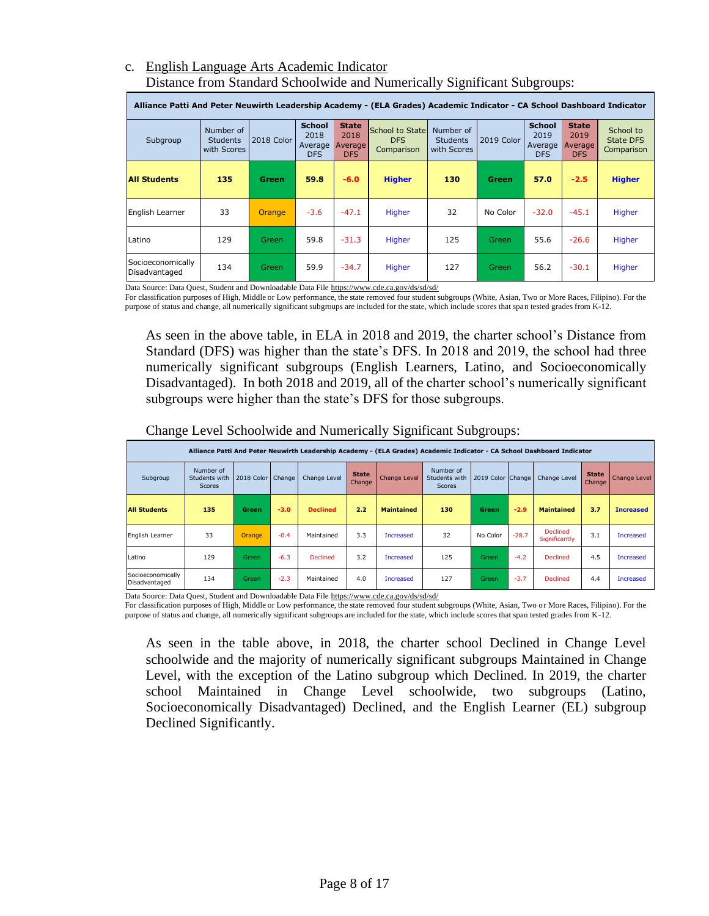#### c. English Language Arts Academic Indicator Distance from Standard Schoolwide and Numerically Significant Subgroups:

|                                    | Alliance Patti And Peter Neuwirth Leadership Academy - (ELA Grades) Academic Indicator - CA School Dashboard Indicator |              |                                                |                                               |                                             |                                             |            |                                                |                                               |                                             |  |  |  |  |
|------------------------------------|------------------------------------------------------------------------------------------------------------------------|--------------|------------------------------------------------|-----------------------------------------------|---------------------------------------------|---------------------------------------------|------------|------------------------------------------------|-----------------------------------------------|---------------------------------------------|--|--|--|--|
| Subgroup                           | Number of<br><b>Students</b><br>with Scores                                                                            | 2018 Color   | <b>School</b><br>2018<br>Average<br><b>DFS</b> | <b>State</b><br>2018<br>Average<br><b>DFS</b> | School to State<br><b>DFS</b><br>Comparison | Number of<br><b>Students</b><br>with Scores | 2019 Color | <b>School</b><br>2019<br>Average<br><b>DFS</b> | <b>State</b><br>2019<br>Average<br><b>DFS</b> | School to<br><b>State DFS</b><br>Comparison |  |  |  |  |
| <b>All Students</b>                | 135                                                                                                                    | <b>Green</b> | 59.8                                           | $-6.0$                                        | <b>Higher</b>                               | 130                                         | Green      | 57.0                                           | $-2.5$                                        | <b>Higher</b>                               |  |  |  |  |
| English Learner                    | 33                                                                                                                     | Orange       | $-3.6$                                         | $-47.1$                                       | Higher                                      | 32                                          | No Color   | $-32.0$                                        | $-45.1$                                       | Higher                                      |  |  |  |  |
| Latino                             | 129                                                                                                                    | <b>Green</b> | 59.8                                           | $-31.3$                                       | Higher                                      | 125                                         | Green      | 55.6                                           | $-26.6$                                       | Higher                                      |  |  |  |  |
| Socioeconomically<br>Disadvantaged | 134                                                                                                                    | <b>Green</b> | 59.9                                           | $-34.7$                                       | Higher                                      | 127                                         | Green.     | 56.2                                           | $-30.1$                                       | Higher                                      |  |  |  |  |

Data Source: Data Quest, Student and Downloadable Data File<https://www.cde.ca.gov/ds/sd/sd/>

For classification purposes of High, Middle or Low performance, the state removed four student subgroups (White, Asian, Two or More Races, Filipino). For the purpose of status and change, all numerically significant subgroups are included for the state, which include scores that span tested grades from K-12.

As seen in the above table, in ELA in 2018 and 2019, the charter school's Distance from Standard (DFS) was higher than the state's DFS. In 2018 and 2019, the school had three numerically significant subgroups (English Learners, Latino, and Socioeconomically Disadvantaged). In both 2018 and 2019, all of the charter school's numerically significant subgroups were higher than the state's DFS for those subgroups.

|                                    | Alliance Patti And Peter Neuwirth Leadership Academy - (ELA Grades) Academic Indicator - CA School Dashboard Indicator |                   |        |                 |                        |                   |                                             |                   |         |                                  |                        |                     |  |  |
|------------------------------------|------------------------------------------------------------------------------------------------------------------------|-------------------|--------|-----------------|------------------------|-------------------|---------------------------------------------|-------------------|---------|----------------------------------|------------------------|---------------------|--|--|
| Subgroup                           | Number of<br>Students with<br><b>Scores</b>                                                                            | 2018 Color Change |        | Change Level    | <b>State</b><br>Change | Change Level      | Number of<br>Students with<br><b>Scores</b> | 2019 Color Change |         | Change Level                     | <b>State</b><br>Change | <b>Change Level</b> |  |  |
| <b>All Students</b>                | 135                                                                                                                    | Green             | $-3.0$ | <b>Declined</b> | 2.2                    | <b>Maintained</b> | 130                                         | <b>Green</b>      | $-2.9$  | <b>Maintained</b>                | 3.7                    | <b>Increased</b>    |  |  |
| English Learner                    | 33                                                                                                                     | Orange            | $-0.4$ | Maintained      | 3.3                    | <b>Increased</b>  | 32                                          | No Color          | $-28.7$ | <b>Declined</b><br>Significantly | 3.1                    | <b>Increased</b>    |  |  |
| Latino                             | 129                                                                                                                    | <b>Green</b>      | $-6.3$ | <b>Declined</b> | 3.2                    | Increased         | 125                                         | Green             | $-4.2$  | <b>Declined</b>                  | 4.5                    | <b>Increased</b>    |  |  |
| Socioeconomically<br>Disadvantaged | 134                                                                                                                    | <b>Green</b>      | $-2.3$ | Maintained      | 4.0                    | Increased         | 127                                         | Green             | $-3.7$  | <b>Declined</b>                  | 4.4                    | Increased           |  |  |

Change Level Schoolwide and Numerically Significant Subgroups:

Data Source: Data Quest, Student and Downloadable Data File<https://www.cde.ca.gov/ds/sd/sd/>

For classification purposes of High, Middle or Low performance, the state removed four student subgroups (White, Asian, Two or More Races, Filipino). For the purpose of status and change, all numerically significant subgroups are included for the state, which include scores that span tested grades from K-12.

As seen in the table above, in 2018, the charter school Declined in Change Level schoolwide and the majority of numerically significant subgroups Maintained in Change Level, with the exception of the Latino subgroup which Declined. In 2019, the charter school Maintained in Change Level schoolwide, two subgroups (Latino, Socioeconomically Disadvantaged) Declined, and the English Learner (EL) subgroup Declined Significantly.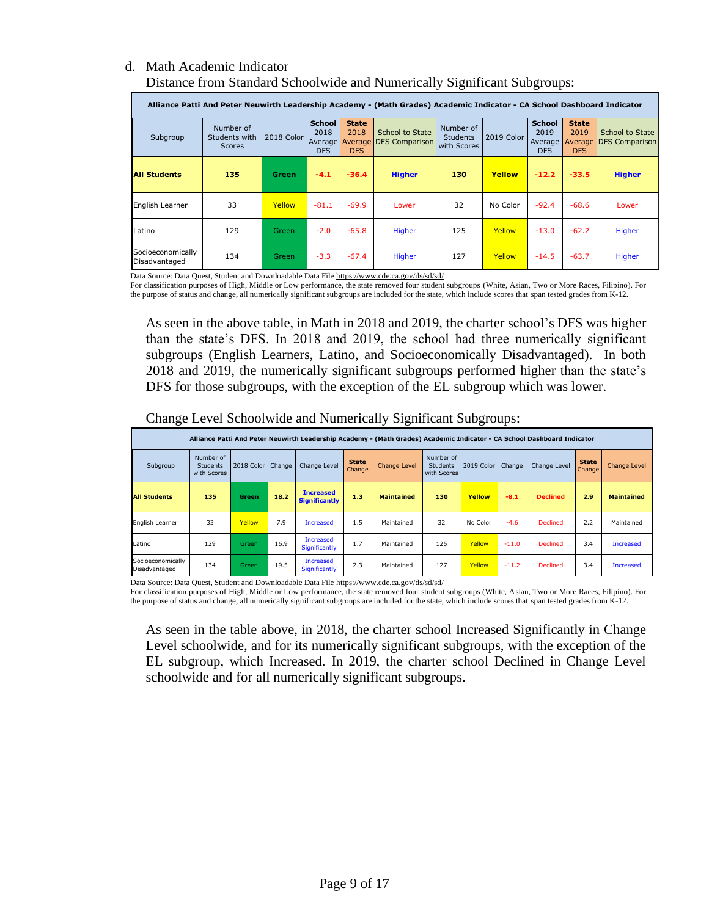#### d. Math Academic Indicator Distance from Standard Schoolwide and Numerically Significant Subgroups:

|                                    | Alliance Patti And Peter Neuwirth Leadership Academy - (Math Grades) Academic Indicator - CA School Dashboard Indicator |              |                                                        |                                    |                                   |                                             |            |                                                  |                                    |                                           |  |  |  |  |
|------------------------------------|-------------------------------------------------------------------------------------------------------------------------|--------------|--------------------------------------------------------|------------------------------------|-----------------------------------|---------------------------------------------|------------|--------------------------------------------------|------------------------------------|-------------------------------------------|--|--|--|--|
| Subgroup                           | Number of<br>Students with<br><b>Scores</b>                                                                             | 2018 Color   | <b>School</b><br>2018<br>Average Average<br><b>DFS</b> | <b>State</b><br>2018<br><b>DFS</b> | School to State<br>DFS Comparison | Number of<br><b>Students</b><br>with Scores | 2019 Color | <b>School</b><br>2019<br>Average  <br><b>DFS</b> | <b>State</b><br>2019<br><b>DFS</b> | School to State<br>Average DFS Comparison |  |  |  |  |
| <b>All Students</b>                | 135                                                                                                                     | <b>Green</b> | $-4.1$                                                 | $-36.4$                            | <b>Higher</b>                     | 130                                         | Yellow     | $-12.2$                                          | $-33.5$                            | <b>Higher</b>                             |  |  |  |  |
| English Learner                    | 33                                                                                                                      | Yellow       | $-81.1$                                                | $-69.9$                            | Lower                             | 32                                          | No Color   | $-92.4$                                          | $-68.6$                            | Lower                                     |  |  |  |  |
| Latino                             | 129                                                                                                                     | Green        | $-2.0$                                                 | $-65.8$                            | Higher                            | 125                                         | Yellow     | $-13.0$                                          | $-62.2$                            | Higher                                    |  |  |  |  |
| Socioeconomically<br>Disadvantaged | 134                                                                                                                     | Green.       | $-3.3$                                                 | $-67.4$                            | Higher                            | 127                                         | Yellow     | $-14.5$                                          | $-63.7$                            | Higher                                    |  |  |  |  |

Data Source: Data Quest, Student and Downloadable Data Fil[e https://www.cde.ca.gov/ds/sd/sd/](https://www.cde.ca.gov/ds/sd/sd/)

For classification purposes of High, Middle or Low performance, the state removed four student subgroups (White, Asian, Two or More Races, Filipino). For the purpose of status and change, all numerically significant subgroups are included for the state, which include scores that span tested grades from K-12.

As seen in the above table, in Math in 2018 and 2019, the charter school's DFS was higher than the state's DFS. In 2018 and 2019, the school had three numerically significant subgroups (English Learners, Latino, and Socioeconomically Disadvantaged). In both 2018 and 2019, the numerically significant subgroups performed higher than the state's DFS for those subgroups, with the exception of the EL subgroup which was lower.

|                                    |                                                                                                                         |                     |      |                                          |                        | ----                |                                             |            |         |                 |                        |                     |  |  |
|------------------------------------|-------------------------------------------------------------------------------------------------------------------------|---------------------|------|------------------------------------------|------------------------|---------------------|---------------------------------------------|------------|---------|-----------------|------------------------|---------------------|--|--|
|                                    | Alliance Patti And Peter Neuwirth Leadership Academy - (Math Grades) Academic Indicator - CA School Dashboard Indicator |                     |      |                                          |                        |                     |                                             |            |         |                 |                        |                     |  |  |
| Subgroup                           | Number of<br><b>Students</b><br>with Scores                                                                             | 2018 Color   Change |      | Change Level                             | <b>State</b><br>Change | <b>Change Level</b> | Number of<br><b>Students</b><br>with Scores | 2019 Color | Change  | Change Level    | <b>State</b><br>Change | <b>Change Level</b> |  |  |
| <b>All Students</b>                | 135                                                                                                                     | <b>Green</b>        | 18.2 | <b>Increased</b><br><b>Significantly</b> | 1.3                    | <b>Maintained</b>   | 130                                         | Yellow     | $-8.1$  | <b>Declined</b> | 2.9                    | <b>Maintained</b>   |  |  |
| English Learner                    | 33                                                                                                                      | Yellow              | 7.9  | <b>Increased</b>                         | 1.5                    | Maintained          | 32                                          | No Color   | $-4.6$  | <b>Declined</b> | 2.2                    | Maintained          |  |  |
| Latino                             | 129                                                                                                                     | Green               | 16.9 | <b>Increased</b><br>Significantly        | 1.7                    | Maintained          | 125                                         | Yellow     | $-11.0$ | <b>Declined</b> | 3.4                    | <b>Increased</b>    |  |  |
| Socioeconomically<br>Disadvantaged | 134                                                                                                                     | <b>Green</b>        | 19.5 | <b>Increased</b><br>Significantly        | 2.3                    | Maintained          | 127                                         | Yellow     | $-11.2$ | <b>Declined</b> | 3.4                    | Increased           |  |  |

Change Level Schoolwide and Numerically Significant Subgroups:

Data Source: Data Quest, Student and Downloadable Data Fil[e https://www.cde.ca.gov/ds/sd/sd/](https://www.cde.ca.gov/ds/sd/sd/)

For classification purposes of High, Middle or Low performance, the state removed four student subgroups (White, Asian, Two or More Races, Filipino). For the purpose of status and change, all numerically significant subgroups are included for the state, which include scores that span tested grades from K-12.

As seen in the table above, in 2018, the charter school Increased Significantly in Change Level schoolwide, and for its numerically significant subgroups, with the exception of the EL subgroup, which Increased. In 2019, the charter school Declined in Change Level schoolwide and for all numerically significant subgroups.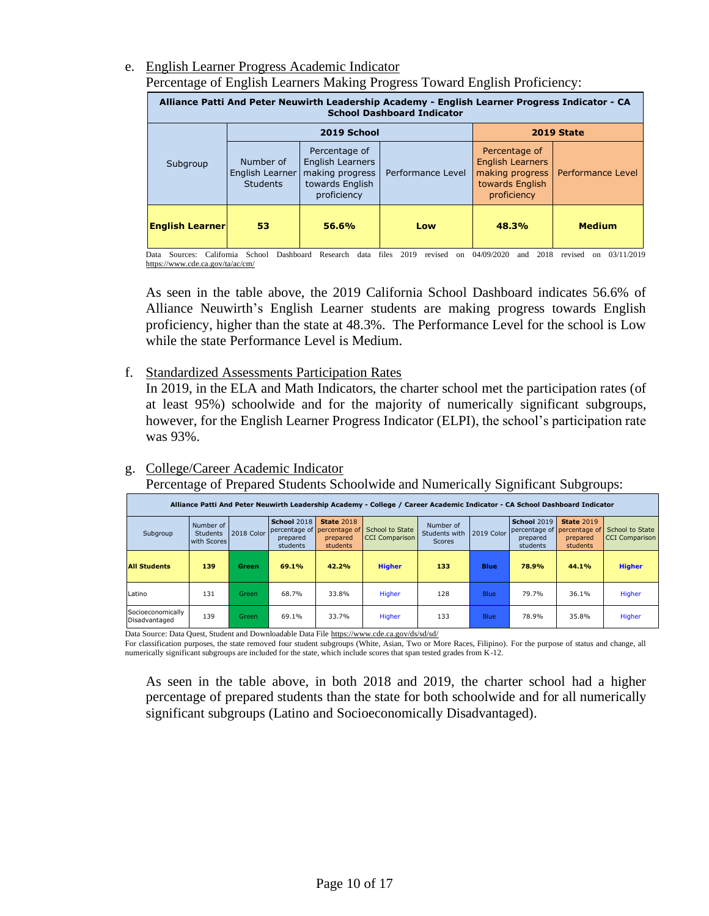e. English Learner Progress Academic Indicator Percentage of English Learners Making Progress Toward English Proficiency:

| Alliance Patti And Peter Neuwirth Leadership Academy - English Learner Progress Indicator - CA<br><b>School Dashboard Indicator</b> |                                                 |                                                                                        |                   |                                                                                               |                   |  |  |  |  |  |  |  |
|-------------------------------------------------------------------------------------------------------------------------------------|-------------------------------------------------|----------------------------------------------------------------------------------------|-------------------|-----------------------------------------------------------------------------------------------|-------------------|--|--|--|--|--|--|--|
|                                                                                                                                     |                                                 | 2019 School                                                                            | 2019 State        |                                                                                               |                   |  |  |  |  |  |  |  |
| Subgroup                                                                                                                            | Number of<br>English Learner<br><b>Students</b> | Percentage of<br>English Learners<br>making progress<br>towards English<br>proficiency | Performance Level | Percentage of<br><b>English Learners</b><br>making progress<br>towards English<br>proficiency | Performance Level |  |  |  |  |  |  |  |
| <b>English Learner</b>                                                                                                              | 53                                              | 56.6%                                                                                  | Low               | 48.3%                                                                                         | <b>Medium</b>     |  |  |  |  |  |  |  |

Data Sources: California School Dashboard Research data files 2019 revised on 04/09/2020 and 2018 revised on 03/11/2019 <https://www.cde.ca.gov/ta/ac/cm/>

As seen in the table above, the 2019 California School Dashboard indicates 56.6% of Alliance Neuwirth's English Learner students are making progress towards English proficiency, higher than the state at 48.3%. The Performance Level for the school is Low while the state Performance Level is Medium.

f. Standardized Assessments Participation Rates

In 2019, in the ELA and Math Indicators, the charter school met the participation rates (of at least 95%) schoolwide and for the majority of numerically significant subgroups, however, for the English Learner Progress Indicator (ELPI), the school's participation rate was 93%.

## g. College/Career Academic Indicator

Percentage of Prepared Students Schoolwide and Numerically Significant Subgroups:

|                                    |                                             |              |                                     |                                                                          | Alliance Patti And Peter Neuwirth Leadership Academy - College / Career Academic Indicator - CA School Dashboard Indicator |                                             |             |                                                             |                                                            |                                          |
|------------------------------------|---------------------------------------------|--------------|-------------------------------------|--------------------------------------------------------------------------|----------------------------------------------------------------------------------------------------------------------------|---------------------------------------------|-------------|-------------------------------------------------------------|------------------------------------------------------------|------------------------------------------|
| Subgroup                           | Number of<br><b>Students</b><br>with Scores | 2018 Color   | School 2018<br>prepared<br>students | <b>State 2018</b><br>percentage of percentage of<br>prepared<br>students | School to State<br><b>CCI Comparison</b>                                                                                   | Number of<br>Students with<br><b>Scores</b> | 2019 Color  | <b>School 2019</b><br>percentage of<br>prepared<br>students | <b>State 2019</b><br>percentage of<br>prepared<br>students | School to State<br><b>CCI</b> Comparison |
| <b>All Students</b>                | 139                                         | <b>Green</b> | 69.1%                               | 42.2%                                                                    | <b>Higher</b>                                                                                                              | 133                                         | Blue        | 78.9%                                                       | 44.1%                                                      | <b>Higher</b>                            |
| Latino                             | 131                                         | <b>Green</b> | 68.7%                               | 33.8%                                                                    | Higher                                                                                                                     | 128                                         | <b>Blue</b> | 79.7%                                                       | 36.1%                                                      | Higher                                   |
| Socioeconomically<br>Disadvantaged | 139                                         | Green        | 69.1%                               | 33.7%                                                                    | Higher                                                                                                                     | 133                                         | <b>Blue</b> | 78.9%                                                       | 35.8%                                                      | Higher                                   |

Data Source: Data Quest, Student and Downloadable Data File<https://www.cde.ca.gov/ds/sd/sd/>

For classification purposes, the state removed four student subgroups (White, Asian, Two or More Races, Filipino). For the purpose of status and change, all numerically significant subgroups are included for the state, which include scores that span tested grades from K-12.

As seen in the table above, in both 2018 and 2019, the charter school had a higher percentage of prepared students than the state for both schoolwide and for all numerically significant subgroups (Latino and Socioeconomically Disadvantaged).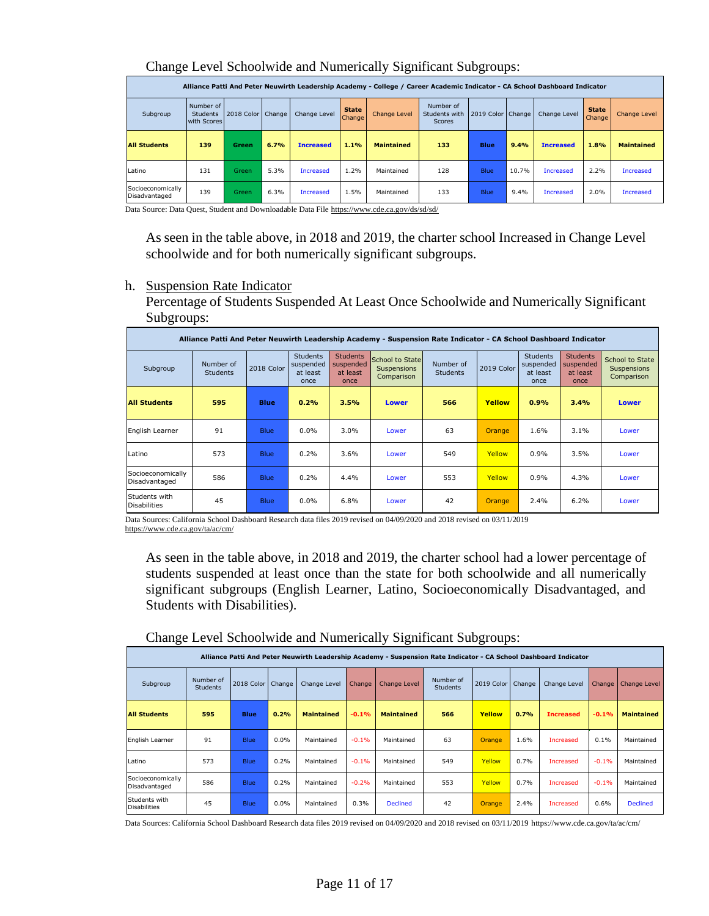|                                    |                                             |            |        |                  |                        | Alliance Patti And Peter Neuwirth Leadership Academy - College / Career Academic Indicator - CA School Dashboard Indicator |                                      |                     |       |                  |                               |                     |
|------------------------------------|---------------------------------------------|------------|--------|------------------|------------------------|----------------------------------------------------------------------------------------------------------------------------|--------------------------------------|---------------------|-------|------------------|-------------------------------|---------------------|
| Subgroup                           | Number of<br><b>Students</b><br>with Scores | 2018 Color | Change | Change Level     | <b>State</b><br>Change | <b>Change Level</b>                                                                                                        | Number of<br>Students with<br>Scores | 2019 Color   Change |       | Change Level     | <b>State</b><br><b>Change</b> | <b>Change Level</b> |
| <b>All Students</b>                | 139                                         | Green      | 6.7%   | <b>Increased</b> | 1.1%                   | <b>Maintained</b>                                                                                                          | 133                                  | <b>Blue</b>         | 9.4%  | <b>Increased</b> | 1.8%                          | <b>Maintained</b>   |
| Latino                             | 131                                         | Green      | 5.3%   | <b>Increased</b> | 1.2%                   | Maintained                                                                                                                 | 128                                  | <b>Blue</b>         | 10.7% | <b>Increased</b> | 2.2%                          | <b>Increased</b>    |
| Socioeconomically<br>Disadvantaged | 139                                         | Green      | 6.3%   | <b>Increased</b> | 1.5%                   | Maintained                                                                                                                 | 133                                  | <b>Blue</b>         | 9.4%  | <b>Increased</b> | 2.0%                          | Increased           |

#### Change Level Schoolwide and Numerically Significant Subgroups:

Data Source: Data Quest, Student and Downloadable Data File<https://www.cde.ca.gov/ds/sd/sd/>

As seen in the table above, in 2018 and 2019, the charter school Increased in Change Level schoolwide and for both numerically significant subgroups.

h. Suspension Rate Indicator

Percentage of Students Suspended At Least Once Schoolwide and Numerically Significant Subgroups:

|                                      |                              |             |                                                  |                                                  | Alliance Patti And Peter Neuwirth Leadership Academy - Suspension Rate Indicator - CA School Dashboard Indicator |                              |               |                                                  |                                                  |                                                     |
|--------------------------------------|------------------------------|-------------|--------------------------------------------------|--------------------------------------------------|------------------------------------------------------------------------------------------------------------------|------------------------------|---------------|--------------------------------------------------|--------------------------------------------------|-----------------------------------------------------|
| Subgroup                             | Number of<br><b>Students</b> | 2018 Color  | <b>Students</b><br>suspended<br>at least<br>once | <b>Students</b><br>suspended<br>at least<br>once | School to State<br>Suspensions<br>Comparison                                                                     | Number of<br><b>Students</b> | 2019 Color    | <b>Students</b><br>suspended<br>at least<br>once | <b>Students</b><br>suspended<br>at least<br>once | School to State<br><b>Suspensions</b><br>Comparison |
| <b>All Students</b>                  | 595                          | <b>Blue</b> | 0.2%                                             | 3.5%                                             | <b>Lower</b>                                                                                                     | 566                          | Yellow        | 0.9%                                             | 3.4%                                             | <b>Lower</b>                                        |
| English Learner                      | 91                           | <b>Blue</b> | $0.0\%$                                          | $3.0\%$                                          | Lower                                                                                                            | 63                           | <b>Orange</b> | 1.6%                                             | 3.1%                                             | Lower                                               |
| <b>Latino</b>                        | 573                          | <b>Blue</b> | 0.2%                                             | 3.6%                                             | Lower                                                                                                            | 549                          | Yellow        | 0.9%                                             | 3.5%                                             | Lower                                               |
| Socioeconomically<br>Disadvantaged   | 586                          | <b>Blue</b> | 0.2%                                             | 4.4%                                             | Lower                                                                                                            | 553                          | Yellow        | 0.9%                                             | 4.3%                                             | Lower                                               |
| Students with<br><b>Disabilities</b> | 45                           | <b>Blue</b> | $0.0\%$                                          | 6.8%                                             | Lower                                                                                                            | 42                           | <b>Orange</b> | 2.4%                                             | 6.2%                                             | Lower                                               |

Data Sources: California School Dashboard Research data files 2019 revised on 04/09/2020 and 2018 revised on 03/11/2019 <https://www.cde.ca.gov/ta/ac/cm/>

As seen in the table above, in 2018 and 2019, the charter school had a lower percentage of students suspended at least once than the state for both schoolwide and all numerically significant subgroups (English Learner, Latino, Socioeconomically Disadvantaged, and Students with Disabilities).

| ີ                                    |                                                                                                                                                                                                                                                                                                                                                                                                                                                                                                                                                                                                                                               |             |      |            |         | -<br>ີ          |     | ີ<br>$\mathbf{r}$ |      |                  |         |                 |  |
|--------------------------------------|-----------------------------------------------------------------------------------------------------------------------------------------------------------------------------------------------------------------------------------------------------------------------------------------------------------------------------------------------------------------------------------------------------------------------------------------------------------------------------------------------------------------------------------------------------------------------------------------------------------------------------------------------|-------------|------|------------|---------|-----------------|-----|-------------------|------|------------------|---------|-----------------|--|
|                                      | Alliance Patti And Peter Neuwirth Leadership Academy - Suspension Rate Indicator - CA School Dashboard Indicator<br>Number of<br>Number of<br>2018 Color<br>2019 Color<br>Change<br>Change Level<br>Change<br><b>Change Level</b><br>Change<br>Change<br>Change Level<br>Subgroup<br>Change Level<br><b>Students</b><br><b>Students</b><br>0.2%<br>595<br>0.7%<br><b>Blue</b><br><b>Maintained</b><br>$-0.1%$<br>566<br>Yellow<br>$-0.1%$<br><b>Maintained</b><br><b>Maintained</b><br><b>Increased</b><br>91<br>0.0%<br>63<br>1.6%<br><b>Blue</b><br>$-0.1%$<br>0.1%<br>Maintained<br>Increased<br>Maintained<br>Maintained<br><b>Orange</b> |             |      |            |         |                 |     |                   |      |                  |         |                 |  |
|                                      |                                                                                                                                                                                                                                                                                                                                                                                                                                                                                                                                                                                                                                               |             |      |            |         |                 |     |                   |      |                  |         |                 |  |
| <b>All Students</b>                  |                                                                                                                                                                                                                                                                                                                                                                                                                                                                                                                                                                                                                                               |             |      |            |         |                 |     |                   |      |                  |         |                 |  |
| English Learner                      |                                                                                                                                                                                                                                                                                                                                                                                                                                                                                                                                                                                                                                               |             |      |            |         |                 |     |                   |      |                  |         |                 |  |
| Latino                               | 573                                                                                                                                                                                                                                                                                                                                                                                                                                                                                                                                                                                                                                           | <b>Blue</b> | 0.2% | Maintained | $-0.1%$ | Maintained      | 549 | Yellow            | 0.7% | <b>Increased</b> | $-0.1%$ | Maintained      |  |
| Socioeconomically<br>Disadvantaged   | 586                                                                                                                                                                                                                                                                                                                                                                                                                                                                                                                                                                                                                                           | <b>Blue</b> | 0.2% | Maintained | $-0.2%$ | Maintained      | 553 | Yellow            | 0.7% | <b>Increased</b> | $-0.1%$ | Maintained      |  |
| Students with<br><b>Disabilities</b> | 45                                                                                                                                                                                                                                                                                                                                                                                                                                                                                                                                                                                                                                            | <b>Blue</b> | 0.0% | Maintained | 0.3%    | <b>Declined</b> | 42  | Orange            | 2.4% | <b>Increased</b> | 0.6%    | <b>Declined</b> |  |

Change Level Schoolwide and Numerically Significant Subgroups: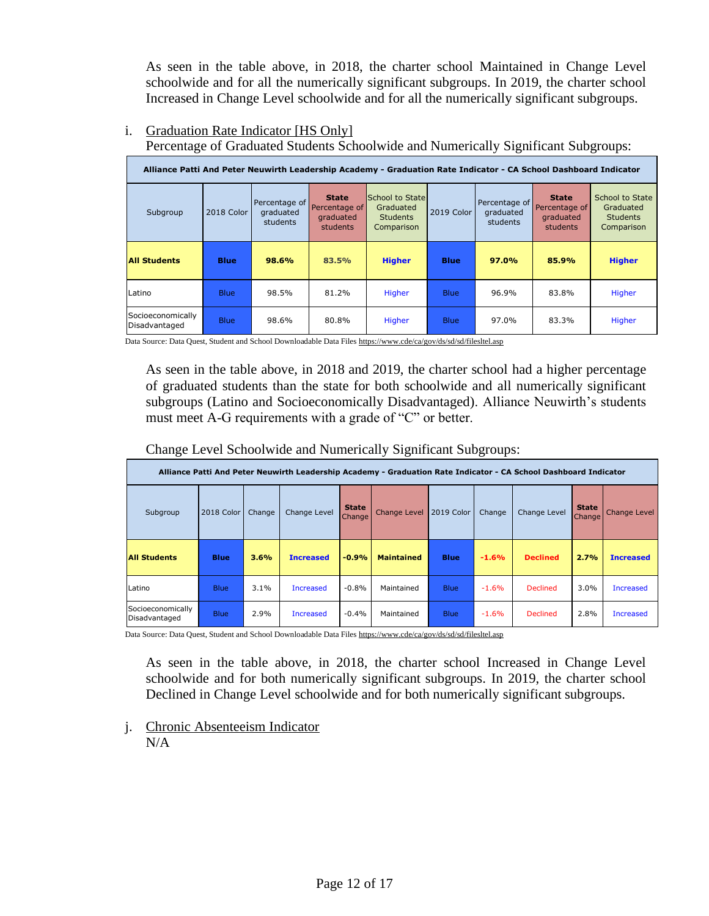As seen in the table above, in 2018, the charter school Maintained in Change Level schoolwide and for all the numerically significant subgroups. In 2019, the charter school Increased in Change Level schoolwide and for all the numerically significant subgroups.

## i. Graduation Rate Indicator [HS Only]

Percentage of Graduated Students Schoolwide and Numerically Significant Subgroups:

|                                    |             |                                        |                                                        | Alliance Patti And Peter Neuwirth Leadership Academy - Graduation Rate Indicator - CA School Dashboard Indicator |             |                                        |                                                               |                                                               |
|------------------------------------|-------------|----------------------------------------|--------------------------------------------------------|------------------------------------------------------------------------------------------------------------------|-------------|----------------------------------------|---------------------------------------------------------------|---------------------------------------------------------------|
| Subgroup                           | 2018 Color  | Percentage of<br>graduated<br>students | <b>State</b><br>Percentage of<br>graduated<br>students | School to State<br>Graduated<br><b>Students</b><br>Comparison                                                    | 2019 Color  | Percentage of<br>graduated<br>students | <b>State</b><br>Percentage of<br>graduated<br><b>students</b> | School to State<br>Graduated<br><b>Students</b><br>Comparison |
| <b>All Students</b>                | <b>Blue</b> | 98.6%                                  | 83.5%                                                  | <b>Higher</b>                                                                                                    | <b>Blue</b> | 97.0%                                  | 85.9%                                                         | <b>Higher</b>                                                 |
| Latino                             | <b>Blue</b> | 98.5%                                  | 81.2%                                                  | Higher                                                                                                           | <b>Blue</b> | 96.9%                                  | 83.8%                                                         | Higher                                                        |
| Socioeconomically<br>Disadvantaged | <b>Blue</b> | 98.6%                                  | 80.8%                                                  | Higher                                                                                                           | <b>Blue</b> | 97.0%                                  | 83.3%                                                         | Higher                                                        |

Data Source: Data Quest, Student and School Downloadable Data File[s https://www.cde/ca/gov/ds/sd/sd/filesltel.asp](https://www.cde/ca/gov/ds/sd/sd/filesltel.asp)

As seen in the table above, in 2018 and 2019, the charter school had a higher percentage of graduated students than the state for both schoolwide and all numerically significant subgroups (Latino and Socioeconomically Disadvantaged). Alliance Neuwirth's students must meet A-G requirements with a grade of "C" or better.

Change Level Schoolwide and Numerically Significant Subgroups:

|                                    |             |        |                  |                               |                     |             |         | Alliance Patti And Peter Neuwirth Leadership Academy - Graduation Rate Indicator - CA School Dashboard Indicator |                        |                     |
|------------------------------------|-------------|--------|------------------|-------------------------------|---------------------|-------------|---------|------------------------------------------------------------------------------------------------------------------|------------------------|---------------------|
| Subgroup                           | 2018 Color  | Change | Change Level     | <b>State</b><br><b>Change</b> | <b>Change Level</b> | 2019 Color  | Change  | Change Level                                                                                                     | <b>State</b><br>Change | <b>Change Level</b> |
| <b>All Students</b>                | <b>Blue</b> | 3.6%   | <b>Increased</b> | $-0.9%$                       | <b>Maintained</b>   | <b>Blue</b> | $-1.6%$ | <b>Declined</b>                                                                                                  | 2.7%                   | <b>Increased</b>    |
| Latino                             | <b>Blue</b> | 3.1%   | <b>Increased</b> | $-0.8%$                       | Maintained          | <b>Blue</b> | $-1.6%$ | <b>Declined</b>                                                                                                  | 3.0%                   | <b>Increased</b>    |
| Socioeconomically<br>Disadvantaged | <b>Blue</b> | 2.9%   | <b>Increased</b> | $-0.4%$                       | Maintained          | <b>Blue</b> | $-1.6%$ | <b>Declined</b>                                                                                                  | 2.8%                   | <b>Increased</b>    |

Data Source: Data Quest, Student and School Downloadable Data File[s https://www.cde/ca/gov/ds/sd/sd/filesltel.asp](https://www.cde/ca/gov/ds/sd/sd/filesltel.asp)

As seen in the table above, in 2018, the charter school Increased in Change Level schoolwide and for both numerically significant subgroups. In 2019, the charter school Declined in Change Level schoolwide and for both numerically significant subgroups.

j. Chronic Absenteeism Indicator  $N/A$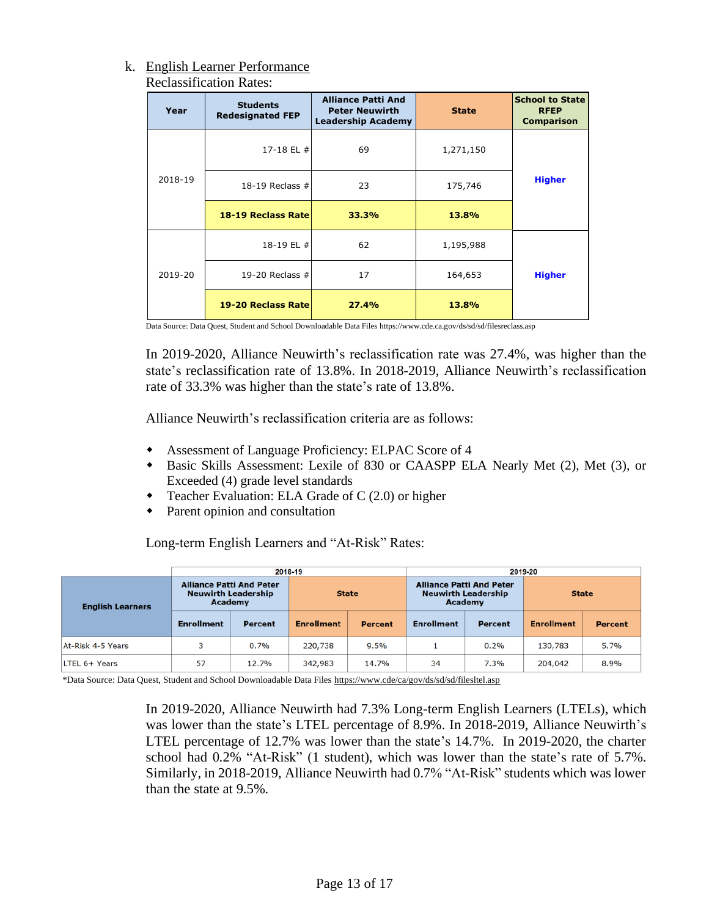#### k. English Learner Performance Reclassification Rates:

| Year    | <b>Students</b><br><b>Redesignated FEP</b> | <b>Alliance Patti And</b><br><b>Peter Neuwirth</b><br><b>Leadership Academy</b> | <b>State</b> | <b>School to State</b><br><b>RFEP</b><br><b>Comparison</b> |
|---------|--------------------------------------------|---------------------------------------------------------------------------------|--------------|------------------------------------------------------------|
|         | 17-18 EL #                                 | 69                                                                              | 1,271,150    |                                                            |
| 2018-19 | 18-19 Reclass $#$                          | 23                                                                              | 175,746      | <b>Higher</b>                                              |
|         | 18-19 Reclass Rate                         | 33.3%                                                                           | 13.8%        |                                                            |
|         | 18-19 EL #                                 | 62                                                                              | 1,195,988    |                                                            |
| 2019-20 | 19-20 Reclass $#$                          | 17                                                                              | 164,653      | <b>Higher</b>                                              |
|         | 19-20 Reclass Rate                         | 27.4%                                                                           | 13.8%        |                                                            |

Data Source: Data Quest, Student and School Downloadable Data Files https://www.cde.ca.gov/ds/sd/sd/filesreclass.asp

In 2019-2020, Alliance Neuwirth's reclassification rate was 27.4%, was higher than the state's reclassification rate of 13.8%. In 2018-2019, Alliance Neuwirth's reclassification rate of 33.3% was higher than the state's rate of 13.8%.

Alliance Neuwirth's reclassification criteria are as follows:

- Assessment of Language Proficiency: ELPAC Score of 4
- Basic Skills Assessment: Lexile of 830 or CAASPP ELA Nearly Met (2), Met (3), or Exceeded (4) grade level standards
- Teacher Evaluation: ELA Grade of C (2.0) or higher
- Parent opinion and consultation

Long-term English Learners and "At-Risk" Rates:

|                         |                                                                          |                | 2018-19           |                | 2019-20           |                                                               |                   |                |  |  |  |
|-------------------------|--------------------------------------------------------------------------|----------------|-------------------|----------------|-------------------|---------------------------------------------------------------|-------------------|----------------|--|--|--|
| <b>English Learners</b> | <b>Alliance Patti And Peter</b><br><b>Neuwirth Leadership</b><br>Academy |                | <b>State</b>      |                | Academy           | <b>Alliance Patti And Peter</b><br><b>Neuwirth Leadership</b> | <b>State</b>      |                |  |  |  |
|                         | <b>Enrollment</b>                                                        | <b>Percent</b> | <b>Enrollment</b> | <b>Percent</b> | <b>Enrollment</b> | <b>Percent</b>                                                | <b>Enrollment</b> | <b>Percent</b> |  |  |  |
| At-Risk 4-5 Years       | 3                                                                        | 0.7%           | 220,738           | 9.5%           |                   | 0.2%                                                          | 130,783           | 5.7%           |  |  |  |
| LTEL 6+ Years           | 57                                                                       | 12.7%          | 342,983           | 14.7%          | 34                | 7.3%                                                          | 204,042           | 8.9%           |  |  |  |

\*Data Source: Data Quest, Student and School Downloadable Data Files<https://www.cde/ca/gov/ds/sd/sd/filesltel.asp>

In 2019-2020, Alliance Neuwirth had 7.3% Long-term English Learners (LTELs), which was lower than the state's LTEL percentage of 8.9%. In 2018-2019, Alliance Neuwirth's LTEL percentage of 12.7% was lower than the state's 14.7%. In 2019-2020, the charter school had 0.2% "At-Risk" (1 student), which was lower than the state's rate of 5.7%. Similarly, in 2018-2019, Alliance Neuwirth had 0.7% "At-Risk" students which was lower than the state at 9.5%.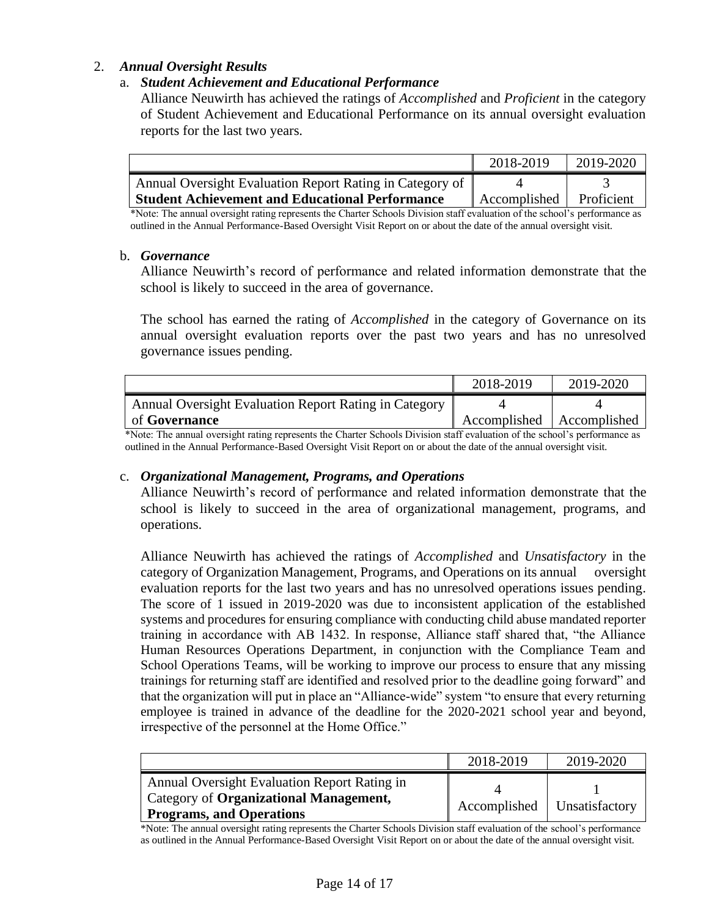## 2. *Annual Oversight Results*

## a. *Student Achievement and Educational Performance*

Alliance Neuwirth has achieved the ratings of *Accomplished* and *Proficient* in the category of Student Achievement and Educational Performance on its annual oversight evaluation reports for the last two years.

|                                                          | 2018-2019    | 2019-2020  |
|----------------------------------------------------------|--------------|------------|
| Annual Oversight Evaluation Report Rating in Category of |              |            |
| <b>Student Achievement and Educational Performance</b>   | Accomplished | Proficient |

\*Note: The annual oversight rating represents the Charter Schools Division staff evaluation of the school's performance as outlined in the Annual Performance-Based Oversight Visit Report on or about the date of the annual oversight visit.

#### b. *Governance*

Alliance Neuwirth's record of performance and related information demonstrate that the school is likely to succeed in the area of governance.

The school has earned the rating of *Accomplished* in the category of Governance on its annual oversight evaluation reports over the past two years and has no unresolved governance issues pending.

|                                                       | 2018-2019    | 2019-2020    |
|-------------------------------------------------------|--------------|--------------|
| Annual Oversight Evaluation Report Rating in Category |              |              |
| of <b>Governance</b>                                  | Accomplished | Accomplished |

\*Note: The annual oversight rating represents the Charter Schools Division staff evaluation of the school's performance as outlined in the Annual Performance-Based Oversight Visit Report on or about the date of the annual oversight visit.

#### c. *Organizational Management, Programs, and Operations*

Alliance Neuwirth's record of performance and related information demonstrate that the school is likely to succeed in the area of organizational management, programs, and operations.

Alliance Neuwirth has achieved the ratings of *Accomplished* and *Unsatisfactory* in the category of Organization Management, Programs, and Operations on its annual oversight evaluation reports for the last two years and has no unresolved operations issues pending. The score of 1 issued in 2019-2020 was due to inconsistent application of the established systems and procedures for ensuring compliance with conducting child abuse mandated reporter training in accordance with AB 1432. In response, Alliance staff shared that, "the Alliance Human Resources Operations Department, in conjunction with the Compliance Team and School Operations Teams, will be working to improve our process to ensure that any missing trainings for returning staff are identified and resolved prior to the deadline going forward" and that the organization will put in place an "Alliance-wide" system "to ensure that every returning employee is trained in advance of the deadline for the 2020-2021 school year and beyond, irrespective of the personnel at the Home Office."

|                                                                                                                           | 2018-2019    | 2019-2020      |
|---------------------------------------------------------------------------------------------------------------------------|--------------|----------------|
| Annual Oversight Evaluation Report Rating in<br>Category of Organizational Management,<br><b>Programs, and Operations</b> | Accomplished | Unsatisfactory |

\*Note: The annual oversight rating represents the Charter Schools Division staff evaluation of the school's performance as outlined in the Annual Performance-Based Oversight Visit Report on or about the date of the annual oversight visit.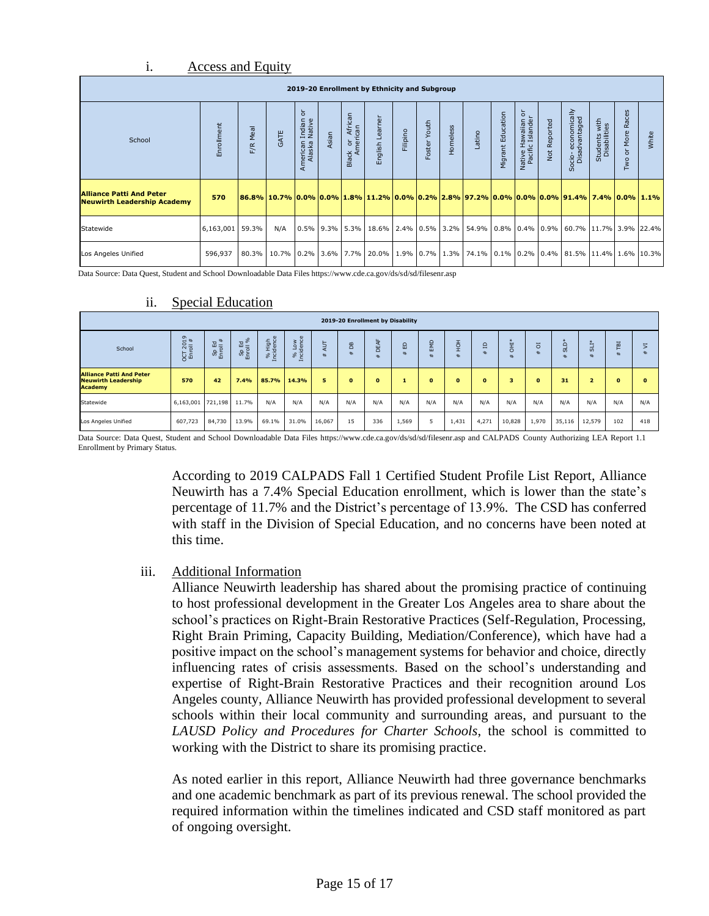#### i. Access and Equity

| 2019-20 Enrollment by Ethnicity and Subgroup                          |                   |             |               |                                                              |       |                         |                       |          |                 |          |                                                                                                                                   |                   |                                          |                 |                                                                                                                           |                               |                                                            |       |
|-----------------------------------------------------------------------|-------------------|-------------|---------------|--------------------------------------------------------------|-------|-------------------------|-----------------------|----------|-----------------|----------|-----------------------------------------------------------------------------------------------------------------------------------|-------------------|------------------------------------------|-----------------|---------------------------------------------------------------------------------------------------------------------------|-------------------------------|------------------------------------------------------------|-------|
| School                                                                | Enrollment        | Meal<br>F/R | GATE          | $\frac{1}{\sigma}$<br>Indian<br>Native<br>American<br>Alaska | Asian | African<br>Black or Ama | mer<br>Lea<br>English | Filipino | Youth<br>Foster | Homeless | Latino                                                                                                                            | Migrant Education | 5<br>Native Hawaiian<br>Pacific Islander | Reported<br>Not | Socio-economically<br>Disadvantaged                                                                                       | Students with<br>Disabilities | Races<br>More<br>$\overline{5}$<br>$\overline{\mathsf{x}}$ | White |
| <b>Alliance Patti And Peter</b><br><b>Neuwirth Leadership Academy</b> | 570               |             |               |                                                              |       |                         |                       |          |                 |          |                                                                                                                                   |                   |                                          |                 | 86.8%   10.7%   0.0%   0.0%   1.8%   11.2%   0.0%   0.2%   2.8%   97.2%   0.0%   0.0%   0.0%   91.4%   7.4%   0.0%   1.1% |                               |                                                            |       |
| Statewide                                                             | $6,163,001$ 59.3% |             | N/A           |                                                              |       |                         |                       |          |                 |          |                                                                                                                                   |                   |                                          |                 | $0.5\%$   9.3%   5.3%   18.6%   2.4%   0.5%   3.2%   54.9%   0.8%   0.4%   0.9%   60.7%   11.7%   3.9%   22.4%            |                               |                                                            |       |
| Los Angeles Unified                                                   | 596,937           |             | 80.3%   10.7% |                                                              |       |                         |                       |          |                 |          | $\mid 0.2\% \mid 3.6\% \mid 7.7\% \mid 20.0\% \mid 1.9\% \mid 0.7\% \mid 1.3\% \mid 74.1\% \mid 0.1\% \mid 0.2\% \mid 0.4\% \mid$ |                   |                                          |                 | 81.5% 11.4% 1.6% 10.3%                                                                                                    |                               |                                                            |       |

Data Source: Data Quest, Student and School Downloadable Data Files https://www.cde.ca.gov/ds/sd/sd/filesenr.asp

|                                                                                 |                                       |                        |                                                                                                                                                                                                                                                                                                                                                       |                    |                       |        |                      |                          | 2019-20 Enrollment by Disability |              |             |                   |        |                     |                                 |                 |              |              |
|---------------------------------------------------------------------------------|---------------------------------------|------------------------|-------------------------------------------------------------------------------------------------------------------------------------------------------------------------------------------------------------------------------------------------------------------------------------------------------------------------------------------------------|--------------------|-----------------------|--------|----------------------|--------------------------|----------------------------------|--------------|-------------|-------------------|--------|---------------------|---------------------------------|-----------------|--------------|--------------|
| School                                                                          | $\sigma$<br>$\frac{2015}{11}$<br>ភ្នក | #<br>Sp Ed<br>Enroll # | $\mathbb{E}\overset{\circ}{=}% {\textstyle\bigoplus\limits_{k=0}^{\infty}} \mathbb{E}\left[\frac{1}{\sqrt{2}}\right] =\left(\frac{1}{\sqrt{2}}\right) \sum_{k=0}^{\infty}} \mathbb{E}\left[\frac{1}{\sqrt{2}}\right] =\left(\frac{1}{\sqrt{2}}\right) \sum_{k=0}^{\infty}} \mathbb{E}\left[\frac{1}{\sqrt{2}}\right] =\frac{1}{\sqrt{2}}$<br><b>အ</b> | % High<br>ncidence | Low<br>dence<br>है है | ₹<br># | B <sub>B</sub><br>H. | 눙<br>ш<br>$\Omega$<br>ŧ۴ | 品<br>#F                          | EMD<br>#     | 王<br>全<br># | $\mathbf{a}$<br># | E<br>出 | $\overline{5}$<br># | $\overline{a}$<br>$\omega$<br>出 | <b>TIS</b><br># | TВI<br>#     | 5<br>#       |
| <b>Alliance Patti And Peter</b><br><b>Neuwirth Leadership</b><br><b>Academy</b> | 570                                   | 42                     | 7.4%                                                                                                                                                                                                                                                                                                                                                  | 85.7%              | 14.3%                 | 5      | $\bf{0}$             | $\mathbf{0}$             |                                  | $\mathbf{0}$ | $\bullet$   | o                 | 3      | $\bullet$           | 31                              | 2               | $\mathbf{0}$ | $\mathbf{0}$ |
| Statewide                                                                       | 6,163,001   721,198   11.7%           |                        |                                                                                                                                                                                                                                                                                                                                                       | N/A                | N/A                   | N/A    | N/A                  | N/A                      | N/A                              | N/A          | N/A         | N/A               | N/A    | N/A                 | N/A                             | N/A             | N/A          | N/A          |
| Los Angeles Unified                                                             | 607,723                               | 84,730                 | 13.9%                                                                                                                                                                                                                                                                                                                                                 | 69.1%              | 31.0%                 | 16,067 | 15                   | 336                      | 1,569                            |              | 1,431       | 4,271             | 10,828 | 1,970               | 35,116                          | 12,579          | 102          | 418          |

#### ii. Special Education

Data Source: Data Quest, Student and School Downloadable Data Files https://www.cde.ca.gov/ds/sd/sd/filesenr.asp and CALPADS County Authorizing LEA Report 1.1 Enrollment by Primary Status.

> According to 2019 CALPADS Fall 1 Certified Student Profile List Report, Alliance Neuwirth has a 7.4% Special Education enrollment, which is lower than the state's percentage of 11.7% and the District's percentage of 13.9%. The CSD has conferred with staff in the Division of Special Education, and no concerns have been noted at this time.

#### iii. Additional Information

Alliance Neuwirth leadership has shared about the promising practice of continuing to host professional development in the Greater Los Angeles area to share about the school's practices on Right-Brain Restorative Practices (Self-Regulation, Processing, Right Brain Priming, Capacity Building, Mediation/Conference), which have had a positive impact on the school's management systems for behavior and choice, directly influencing rates of crisis assessments. Based on the school's understanding and expertise of Right-Brain Restorative Practices and their recognition around Los Angeles county, Alliance Neuwirth has provided professional development to several schools within their local community and surrounding areas, and pursuant to the *LAUSD Policy and Procedures for Charter Schools*, the school is committed to working with the District to share its promising practice.

As noted earlier in this report, Alliance Neuwirth had three governance benchmarks and one academic benchmark as part of its previous renewal. The school provided the required information within the timelines indicated and CSD staff monitored as part of ongoing oversight.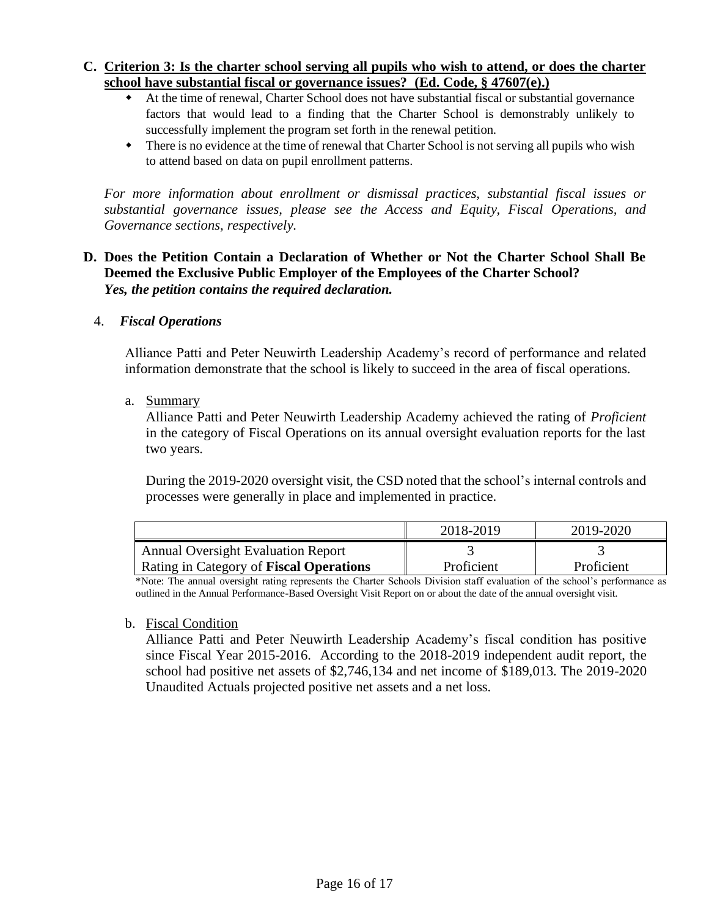## **C. Criterion 3: Is the charter school serving all pupils who wish to attend, or does the charter school have substantial fiscal or governance issues? (Ed. Code, § 47607(e).)**

- At the time of renewal, Charter School does not have substantial fiscal or substantial governance factors that would lead to a finding that the Charter School is demonstrably unlikely to successfully implement the program set forth in the renewal petition.
- There is no evidence at the time of renewal that Charter School is not serving all pupils who wish to attend based on data on pupil enrollment patterns.

*For more information about enrollment or dismissal practices, substantial fiscal issues or substantial governance issues, please see the Access and Equity, Fiscal Operations, and Governance sections, respectively.* 

## **D. Does the Petition Contain a Declaration of Whether or Not the Charter School Shall Be Deemed the Exclusive Public Employer of the Employees of the Charter School?**  *Yes, the petition contains the required declaration.*

## 4. *Fiscal Operations*

Alliance Patti and Peter Neuwirth Leadership Academy's record of performance and related information demonstrate that the school is likely to succeed in the area of fiscal operations.

## a. Summary

Alliance Patti and Peter Neuwirth Leadership Academy achieved the rating of *Proficient* in the category of Fiscal Operations on its annual oversight evaluation reports for the last two years.

During the 2019-2020 oversight visit, the CSD noted that the school's internal controls and processes were generally in place and implemented in practice.

|                                                | 2018-2019  | 2019-2020  |
|------------------------------------------------|------------|------------|
| <b>Annual Oversight Evaluation Report</b>      |            |            |
| Rating in Category of <b>Fiscal Operations</b> | Proficient | Proficient |

\*Note: The annual oversight rating represents the Charter Schools Division staff evaluation of the school's performance as outlined in the Annual Performance-Based Oversight Visit Report on or about the date of the annual oversight visit.

#### b. Fiscal Condition

Alliance Patti and Peter Neuwirth Leadership Academy's fiscal condition has positive since Fiscal Year 2015-2016. According to the 2018-2019 independent audit report, the school had positive net assets of \$2,746,134 and net income of \$189,013. The 2019-2020 Unaudited Actuals projected positive net assets and a net loss.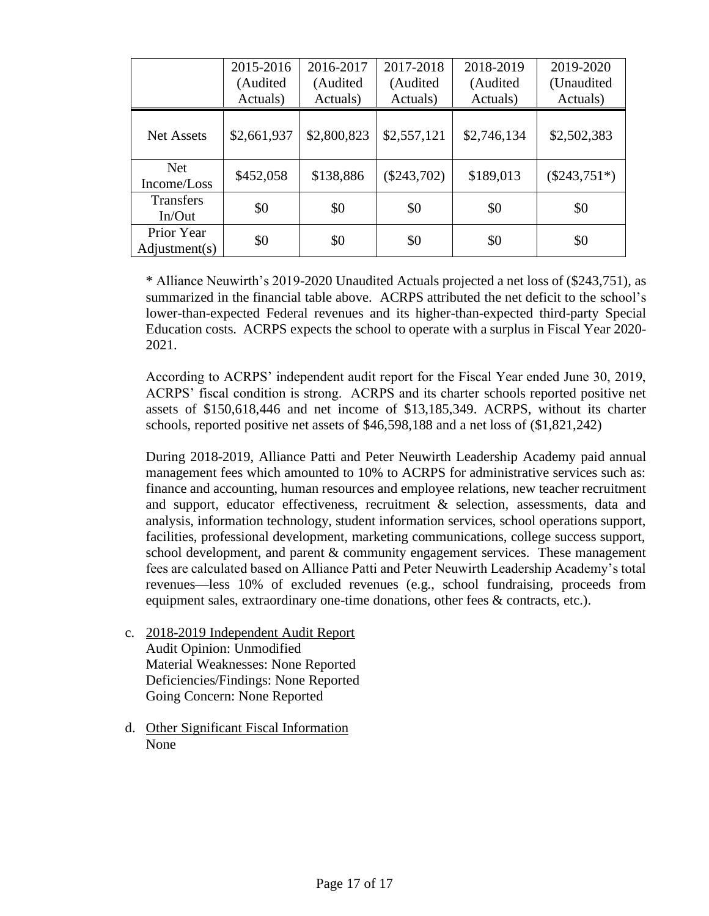|                             | 2015-2016<br>(Audited<br>Actuals) | 2016-2017<br>(Audited)<br>Actuals) | 2017-2018<br>(Audited<br>Actuals) | 2018-2019<br>(Audited<br>Actuals) | 2019-2020<br>(Unaudited)<br>Actuals) |
|-----------------------------|-----------------------------------|------------------------------------|-----------------------------------|-----------------------------------|--------------------------------------|
| <b>Net Assets</b>           | \$2,661,937                       | \$2,800,823                        | \$2,557,121                       | \$2,746,134                       | \$2,502,383                          |
| <b>Net</b><br>Income/Loss   | \$452,058                         | \$138,886                          | $(\$243,702)$                     | \$189,013                         | $(\$243,751*)$                       |
| <b>Transfers</b><br>In/Out  | \$0                               | \$0                                | \$0                               | \$0                               | \$0                                  |
| Prior Year<br>Adjustment(s) | \$0                               | \$0                                | \$0                               | \$0                               | \$0                                  |

\* Alliance Neuwirth's 2019-2020 Unaudited Actuals projected a net loss of (\$243,751), as summarized in the financial table above. ACRPS attributed the net deficit to the school's lower-than-expected Federal revenues and its higher-than-expected third-party Special Education costs. ACRPS expects the school to operate with a surplus in Fiscal Year 2020- 2021.

According to ACRPS' independent audit report for the Fiscal Year ended June 30, 2019, ACRPS' fiscal condition is strong. ACRPS and its charter schools reported positive net assets of \$150,618,446 and net income of \$13,185,349. ACRPS, without its charter schools, reported positive net assets of \$46,598,188 and a net loss of (\$1,821,242)

During 2018-2019, Alliance Patti and Peter Neuwirth Leadership Academy paid annual management fees which amounted to 10% to ACRPS for administrative services such as: finance and accounting, human resources and employee relations, new teacher recruitment and support, educator effectiveness, recruitment & selection, assessments, data and analysis, information technology, student information services, school operations support, facilities, professional development, marketing communications, college success support, school development, and parent & community engagement services. These management fees are calculated based on Alliance Patti and Peter Neuwirth Leadership Academy's total revenues—less 10% of excluded revenues (e.g., school fundraising, proceeds from equipment sales, extraordinary one-time donations, other fees & contracts, etc.).

- c. 2018-2019 Independent Audit Report Audit Opinion: Unmodified Material Weaknesses: None Reported Deficiencies/Findings: None Reported Going Concern: None Reported
- d. Other Significant Fiscal Information None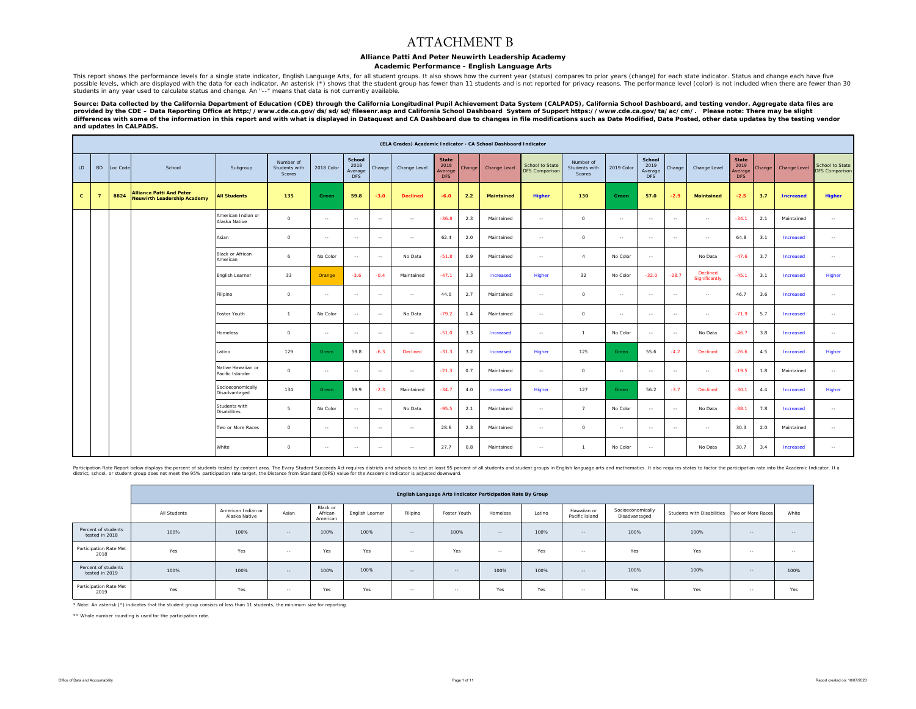#### ATTACHMENT B

#### **Alliance Patti And Peter Neuwirth Leadership Academy**

#### **Academic Performance - English Language Arts**

This report shows the performance levels for a single state indicator, English Language Arts, for all student groups. It also shows how the current year (status) compares to prior years (change) for each state indicator. S possible levels, which are displayed with the data for each indicator. An asterisk (\*) shows that the student group has fewer than 11 students and is not reported for privacy reasons. The performance level (color) is not i students in any year used to calculate status and change. An "--" means that data is not currently available.

Source: Data collected by the California Department of Education (CDE) through the California Longitudinal Pupil Achievement Data System (CALPADS), California School Dashboard, and testing vendor. Aggregate data files are *provided by the CDE – Data Reporting Office at http://www.cde.ca.gov/ds/sd/sd/filesenr.asp and California School Dashboard System of Support https://www.cde.ca.gov/ta/ac/cm/. Please note: There may be slight*  process with some of the information in this report and with what is displayed in Dataquest and CA Dashboard due to changes in file modifications such as Date Modified, Date Posted, other data updates by the testing vendor *and updates in CALPADS.* 

|              |                |          |                                                                       |                                        |                                      |            |                                         |               | (ELA Grades) Academic Indicator - CA School Dashboard Indicator |                                               |        |                   |                                          |                                      |            |                                         |         |                           |                                               |        |                     |                                   |
|--------------|----------------|----------|-----------------------------------------------------------------------|----------------------------------------|--------------------------------------|------------|-----------------------------------------|---------------|-----------------------------------------------------------------|-----------------------------------------------|--------|-------------------|------------------------------------------|--------------------------------------|------------|-----------------------------------------|---------|---------------------------|-----------------------------------------------|--------|---------------------|-----------------------------------|
| LD.          | <b>BD</b>      | Loc Code | School                                                                | Subgroup                               | Number of<br>Students with<br>Scores | 2018 Color | School<br>2018<br>Average<br><b>DFS</b> | Change        | Change Level                                                    | <b>State</b><br>2018<br>Average<br><b>DFS</b> | Change | Change Level      | School to State<br><b>DFS Comparison</b> | Number of<br>Students with<br>Scores | 2019 Color | School<br>2019<br>Average<br><b>DFS</b> | Change  | Change Level              | <b>State</b><br>2019<br>Average<br><b>DFS</b> | Change | <b>Change Level</b> | School to State<br>DFS Comparison |
| $\mathbf{c}$ | $\overline{ }$ | 8824     | <b>Alliance Patti And Peter</b><br><b>Neuwirth Leadership Academy</b> | <b>All Students</b>                    | 135                                  | Green      | 59.8                                    | $-3.0$        | <b>Declined</b>                                                 | $-6.0$                                        | 2.2    | <b>Maintained</b> | Higher                                   | 130                                  | Green      | 57.0                                    | $-2.9$  | <b>Maintained</b>         | $-2.5$                                        | 3.7    | <b>Increased</b>    | Higher                            |
|              |                |          |                                                                       | American Indian or<br>Alaska Native    | $\circ$                              | $\sim$     | $\sim$                                  | $\sim$        | $\sim$                                                          | $-36.8$                                       | 2.3    | Maintained        | $\sim$                                   | $\circ$                              | $\sim$     | $\sim$                                  | $\sim$  | $\sim$                    | $-34.1$                                       | 2.1    | Maintained          | $\sim 10^{-1}$                    |
|              |                |          |                                                                       | Asian                                  | $\circ$                              | $\sim$     | $\sim$                                  | $\sim$ $\sim$ | $\sim$                                                          | 62.4                                          | 2.0    | Maintained        | $\sim$                                   | $\circ$                              | $\sim$     | $\sim$ $\sim$                           | $\sim$  | $\sim$                    | 64.8                                          | 3.1    | Increased           | $\sim$                            |
|              |                |          |                                                                       | Black or African<br>American           | 6                                    | No Color   | $\sim$                                  | $\sim$        | No Data                                                         | $-51.8$                                       | 0.9    | Maintained        | $\sim$                                   | $\Lambda$                            | No Color   | $\sim$                                  |         | No Data                   | $-47.6$                                       | 3.7    | Increased           | $\sim$                            |
|              |                |          |                                                                       | English Learner                        | 33                                   | Orange     | $-3.6$                                  | $-0.4$        | Maintained                                                      | $-47.1$                                       | 3.3    | Increased         | Higher                                   | 32                                   | No Color   | $-32.0$                                 | $-28.7$ | Declined<br>Significantly | $-45.1$                                       | 3.1    | Increased           | Higher                            |
|              |                |          |                                                                       | Filipino                               | $\circ$                              | $\sim$     | $\sim$                                  | $\sim$        | $\sim$ $\sim$                                                   | 44.0                                          | 2.7    | Maintained        | $\sim$ $\sim$                            | $\Omega$                             | $\sim$     | $\sim$                                  | $\sim$  | $\sim$ $\sim$             | 46.7                                          | 3.6    | Increased           | $\sim$ $\sim$                     |
|              |                |          |                                                                       | Foster Youth                           | $\overline{1}$                       | No Color   | $\sim$                                  | $\sim$        | No Data                                                         | $-79.2$                                       | 1.4    | Maintained        | $\sim$                                   | $\circ$                              | $\sim$     | $\sim$                                  | $\sim$  | $\sim$                    | $-71.9$                                       | 5.7    | Increased           | $\sim$                            |
|              |                |          |                                                                       | Homeless                               | $\circ$                              | $\sim$     | $\sim$ $\sim$                           | $\sim$        | $\sim$                                                          | $-51.0$                                       | 3.3    | Increased         | $\sim$ $\sim$                            | $\mathbf{1}$                         | No Color   | $\sim$                                  | $\sim$  | No Data                   | $-46.7$                                       | 3.8    | Increased           | $\sim$                            |
|              |                |          |                                                                       | Latino                                 | 129                                  | Green      | 59.8                                    | $-6.3$        | Declined                                                        | $-31.3$                                       | 3.2    | Increased         | Higher                                   | 125                                  | Green      | 55.6                                    | $-4.2$  | Declined                  | $-26.6$                                       | 4.5    | Increased           | Higher                            |
|              |                |          |                                                                       | Native Hawaiian or<br>Pacific Islander | $\circ$                              | $\sim$     | $\sim$                                  | $\sim$        | $\sim$                                                          | $-21.3$                                       | 0.7    | Maintained        | $\sim$                                   | $\circ$                              | $\sim$     | $\sim$                                  | $\sim$  | $\sim$                    | $-19.5$                                       | 1.8    | Maintained          | $\sim$ $\sim$                     |
|              |                |          |                                                                       | Socioeconomically<br>Disadvantaged     | 134                                  | Green      | 59.9                                    | $-2.3$        | Maintained                                                      | $-34.7$                                       | 4.0    | Increased         | Higher                                   | 127                                  | Green      | 56.2                                    | $-3.7$  | Declined                  | $-30.1$                                       | 4.4    | Increased           | Higher                            |
|              |                |          |                                                                       | Students with<br><b>Disabilities</b>   | 5                                    | No Color   | $\sim$                                  | $\sim$        | No Data                                                         | $-95.5$                                       | 2.1    | Maintained        | $\sim$                                   | $\overline{7}$                       | No Color   | $\sim$                                  | $\sim$  | No Data                   | $-88.1$                                       | 7.8    | Increased           | $\sim$                            |
|              |                |          |                                                                       | Two or More Races                      | $\Omega$                             | $\sim$     | $\sim$ $\sim$                           | $\sim$        | $\sim$                                                          | 28.6                                          | 2.3    | Maintained        | $\sim$                                   | $\Omega$                             | $\sim$     | $\sim$                                  | $\sim$  | $\sim$                    | 30.3                                          | 2.0    | Maintained          | $\sim$                            |
|              |                |          |                                                                       | White                                  | $\circ$                              | $\sim$     | $\sim$                                  | $\sim$ $\sim$ | $\sim$                                                          | 27.7                                          | 0.8    | Maintained        | $\sim$                                   | $\mathbf{1}$                         | No Color   | $\sim$                                  |         | No Data                   | 30.7                                          | 3.4    | Increased           | $\sim$                            |

Participation Respect the Substant of Sudents (Substantive Substanted by content area. The Every Student Succeeds Act requires districts and student of all students and student groups in English language arts and mathemati

|                                       |              |                                     |        |                                 |                 |               | English Language Arts Indicator Participation Rate By Group |          |        |                               |                                    |                                              |            |            |
|---------------------------------------|--------------|-------------------------------------|--------|---------------------------------|-----------------|---------------|-------------------------------------------------------------|----------|--------|-------------------------------|------------------------------------|----------------------------------------------|------------|------------|
|                                       | All Students | American Indian or<br>Alaska Native | Asian  | Black or<br>African<br>American | English Learner | Filipino      | Foster Youth                                                | Homeless | Latino | Hawaiian or<br>Pacific Island | Socioeconomically<br>Disadvantaged | Students with Disabilities Two or More Races |            | White      |
| Percent of students<br>tested in 2018 | 100%         | 100%                                | $- -$  | 100%                            | 100%            | $\sim$ $\sim$ | 100%                                                        | $-$      | 100%   | $\cdots$                      | 100%                               | 100%                                         | $\sim$ $-$ | $-$        |
| Participation Rate Met<br>2018        | Yes          | Yes                                 | $\sim$ | Yes                             | Yes             | $\sim$ $-$    | Yes                                                         | $\sim$   | Yes    | $\sim$ $-$                    | Yes                                | Yes                                          | $\sim$ $-$ | $\sim$ $-$ |
| Percent of students<br>tested in 2019 | 100%         | 100%                                | $-$    | 100%                            | 100%            | $\sim$        | $-$                                                         | 100%     | 100%   | $\sim$ $-$                    | 100%                               | 100%                                         | $\sim$ $-$ | 100%       |
| Participation Rate Met<br>2019        | Yes          | Yes                                 | $\sim$ | Yes                             | Yes             | $\sim$ $-$    | $-$                                                         | Yes      | Yes    | $\sim$ $-$                    | Yes                                | Yes                                          | $\sim$ $-$ | Yes        |

\* Note: An asterisk (\*) indicates that the student group consists of less than 11 students, the minimum size for reporting.

\*\* Whole number rounding is used for the participation rate.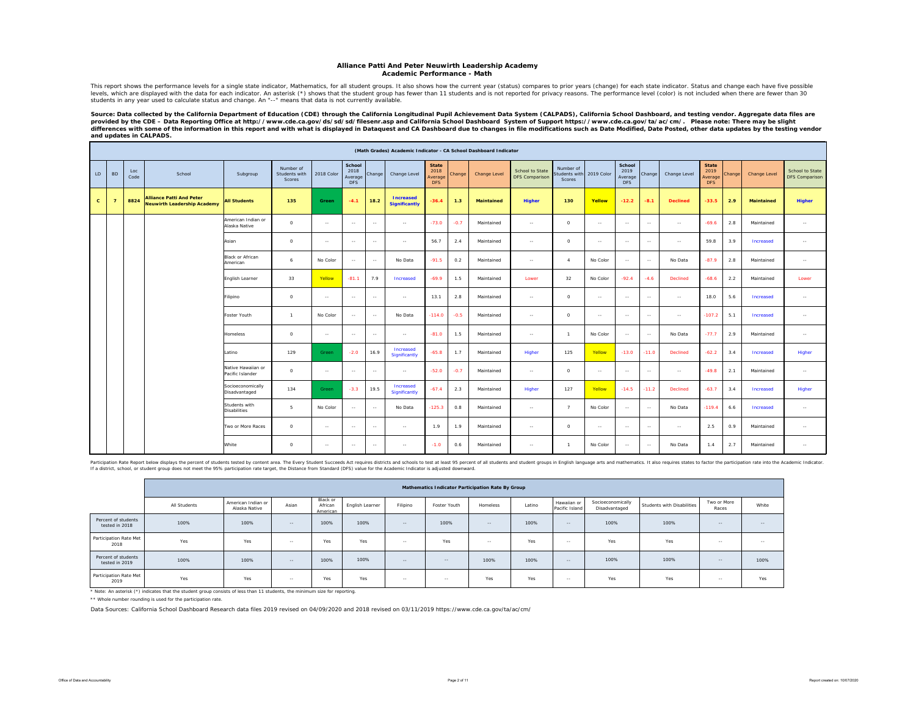#### **Alliance Patti And Peter Neuwirth Leadership Academy Academic Performance - Math**

This report shows the performance levels for a single state indicator, Mathematics, for all student groups. It also shows how the current year (status) compares to prior years (change) for each state indicator. Status and

Source: Data collected by the California Department of Education (CDE) through the California Longitudinal Pupil Achievement Data System (CALPADS), California School Dashboard, and testing vendor. Aggregate data files are<br>

|              |                |             |                                                                       |                                        |                                      |            |                                         |               |                                          |                                               |        | (Math Grades) Academic Indicator - CA School Dashboard Indicator |                                          |                                      |               |                                         |         |                 |                                        |        |                   |                                          |
|--------------|----------------|-------------|-----------------------------------------------------------------------|----------------------------------------|--------------------------------------|------------|-----------------------------------------|---------------|------------------------------------------|-----------------------------------------------|--------|------------------------------------------------------------------|------------------------------------------|--------------------------------------|---------------|-----------------------------------------|---------|-----------------|----------------------------------------|--------|-------------------|------------------------------------------|
| LD           | <b>BD</b>      | Loc<br>Code | School                                                                | Subgroup                               | Number of<br>Students with<br>Scores | 2018 Color | School<br>2018<br>Average<br><b>DFS</b> | Change        | Change Level                             | <b>State</b><br>2018<br>Average<br><b>DFS</b> | Change | Change Level                                                     | School to State<br><b>DFS Comparison</b> | Number of<br>Students with<br>Scores | 2019 Color    | School<br>2019<br>Average<br><b>DFS</b> | Change  | Change Level    | <b>State</b><br>2019<br>Average<br>DFS | Change | Change Level      | School to State<br><b>DFS Comparison</b> |
| $\mathbf{C}$ | $\overline{7}$ | 8824        | <b>Alliance Patti And Peter</b><br><b>Neuwirth Leadership Academy</b> | <b>All Students</b>                    | 135                                  | Green      | $-4.1$                                  | 18.2          | <b>Increased</b><br><b>Significantly</b> | $-36.4$                                       | 1.3    | Maintained                                                       | <b>Higher</b>                            | 130                                  | Yellow        | $-12.2$                                 | $-8.1$  | <b>Declined</b> | $-33.5$                                | 2.9    | <b>Maintained</b> | Higher                                   |
|              |                |             |                                                                       | American Indian or<br>Alaska Native    | $\circ$                              | $\sim$     | $\sim$                                  | $\sim$        | $\sim$ $-$                               | $-73.0$                                       | $-0.7$ | Maintained                                                       | $\sim$                                   | $^{\circ}$                           | $\sim$ $\sim$ | $\sim$                                  | $\sim$  | $\sim$          | $-69.6$                                | 2.8    | Maintained        | $\sim$                                   |
|              |                |             |                                                                       | Asian                                  | $\circ$                              | $\sim$     | $\sim$                                  | $\sim$ $\sim$ | $\sim$ $-$                               | 56.7                                          | 2.4    | Maintained                                                       | $\sim$                                   | $\circ$                              | $\sim$ $-$    | $\sim$                                  | $\sim$  | $\sim$ $-$      | 59.8                                   | 3.9    | Increased         | $\sim$                                   |
|              |                |             |                                                                       | Black or African<br>American           | 6                                    | No Color   | $\sim$                                  | $\sim$ $\sim$ | No Data                                  | $-91.5$                                       | 0.2    | Maintained                                                       | $\sim$                                   | $\boldsymbol{A}$                     | No Color      | $\sim$ $-$                              | $\sim$  | No Data         | $-87.9$                                | 2.8    | Maintained        | $\sim$                                   |
|              |                |             |                                                                       | English Learner                        | 33                                   | Yellow     | $-81.1$                                 | 7.9           | Increased                                | $-69.9$                                       | 1.5    | Maintained                                                       | Lower                                    | 32                                   | No Color      | $-92.4$                                 | $-4.6$  | Declined        | $-68.6$                                | 2.2    | Maintained        | Lower                                    |
|              |                |             |                                                                       | Filipino                               | $\circ$                              | $\sim$     | $\sim$                                  | $\sim$ $-$    | $\sim$                                   | 13.1                                          | 2.8    | Maintained                                                       | $\sim$                                   | $\Omega$                             | $\sim$ $-$    | $\sim$                                  | $\sim$  | $\sim$ $-$      | 18.0                                   | 5.6    | Increased         | $\sim$                                   |
|              |                |             |                                                                       | Foster Youth                           | $\overline{1}$                       | No Color   | $\sim$ $\sim$                           | $\sim$        | No Data                                  | $-114.0$                                      | $-0.5$ | Maintained                                                       | $\sim$                                   | $\Omega$                             | $\sim$        | $\sim$ $\sim$                           | $\sim$  | $\sim$ $\sim$   | $-107.2$                               | 5.1    | Increased         | $\sim$                                   |
|              |                |             |                                                                       | <b>Homeless</b>                        | $\circ$                              | $\sim$     | $\sim$ $\sim$                           | $\sim$        | $\sim$ $-$                               | $-81.0$                                       | 1.5    | Maintained                                                       | $\sim$                                   | $\overline{1}$                       | No Color      | $\sim$                                  | $\sim$  | No Data         | $-77.7$                                | 2.9    | Maintained        | $\sim$                                   |
|              |                |             |                                                                       | Latino                                 | 129                                  | Green      | $-2.0$                                  | 16.9          | Increased<br>Significantly               | $-65.8$                                       | 1.7    | Maintained                                                       | Higher                                   | 125                                  | Yellow        | $-13.0$                                 | $-11.0$ | Declined        | $-62.2$                                | 3.4    | Increased         | Higher                                   |
|              |                |             |                                                                       | Native Hawaiian or<br>Pacific Islander | $\circ$                              | $\sim$     | $\sim$                                  | $\sim$        | $\sim$                                   | $-52.0$                                       | $-0.7$ | Maintained                                                       | $\sim$                                   | $\circ$                              | $\sim$ $-$    | $\sim$                                  | $\sim$  | $\sim$ $-$      | $-49.8$                                | 2.1    | Maintained        | $\sim$                                   |
|              |                |             |                                                                       | Socioeconomically<br>Disadvantaged     | 134                                  | Green      | $-3.3$                                  | 19.5          | Increased<br>Significantly               | $-67.4$                                       | 2.3    | Maintained                                                       | Higher                                   | 127                                  | Yellow        | $-14.5$                                 | $-11.2$ | Declined        | $-63.7$                                | 3.4    | Increased         | Higher                                   |
|              |                |             |                                                                       | Students with<br><b>Disabilities</b>   | 5                                    | No Color   | $\sim$                                  | $\sim$        | No Data                                  | $-125.3$                                      | 0.8    | Maintained                                                       | $\sim$                                   | 7                                    | No Color      | $\sim$                                  | $\sim$  | No Data         | $-119.4$                               | 6.6    | Increased         | $\sim$                                   |
|              |                |             |                                                                       | Two or More Races                      | $\circ$                              | $\sim$     | $\sim$                                  | $\sim$        | $\sim$ $-$                               | 1.9                                           | 1.9    | Maintained                                                       | $\sim$                                   | $\circ$                              | $\sim$ $-$    | $\sim$ $-$                              | $\sim$  | $\sim$ $-$      | 2.5                                    | 0.9    | Maintained        | $\sim$                                   |
|              |                |             |                                                                       | White                                  | $\circ$                              | $\sim$     | $\sim$                                  | $\sim$        | $\sim$                                   | $-1.0$                                        | 0.6    | Maintained                                                       | $\sim$                                   | $\overline{1}$                       | No Color      | $\sim$                                  | $\sim$  | No Data         | 1.4                                    | 2.7    | Maintained        | $\sim$                                   |

Participation Relations of the procent of students lested by content area. The Distance have succeeds Act requires districted in the state in the base of procediate and the Academic Indicator. By a state of the Academic In

|                                       |              |                                     |        |                                 |                 |          | Mathematics Indicator Participation Rate By Group |            |        |                               |                                    |                            |                      |               |
|---------------------------------------|--------------|-------------------------------------|--------|---------------------------------|-----------------|----------|---------------------------------------------------|------------|--------|-------------------------------|------------------------------------|----------------------------|----------------------|---------------|
|                                       | All Students | American Indian or<br>Alaska Native | Asian  | Black or<br>African<br>American | English Learner | Filipino | Foster Youth                                      | Homeless   | Latino | Hawaiian or<br>Pacific Island | Socioeconomically<br>Disadvantaged | Students with Disabilities | Two or More<br>Races | White         |
| Percent of students<br>tested in 2018 | 100%         | 100%                                | $-$    | 100%                            | 100%            | $-$      | 100%                                              | $-$        | 100%   | $\sim$                        | 100%                               | 100%                       | $-1$                 | $\sim$ $\sim$ |
| Participation Rate Met<br>2018        | Yes          | Yes                                 | $\sim$ | Yes                             | Yes             | $\sim$   | <b>Yes</b>                                        | $\sim$ $-$ | Yes    | $\sim$ $-$                    | Yes                                | Yes                        | $\sim$ $-$           | $\sim$ $\sim$ |
| Percent of students<br>tested in 2019 | 100%         | 100%                                | $-$    | 100%                            | 100%            | $-$      | $\sim$ $-$                                        | 100%       | 100%   | $\sim$                        | 100%                               | 100%                       | $-$                  | 100%          |
| Participation Rate Met<br>2019        | Yes          | Yes                                 | $-$    | Yes                             | Yes             | $-$      | $\sim$ $-$                                        | Yes        | Yes    | $\sim$                        | Yes                                | Yes                        | $\sim$ $-$           | Yes           |

\* Note: An asterisk (\*) indicates that the student group consists of less than 11 students, the minimum size for reporting.

\*\* Whole number rounding is used for the participation rate.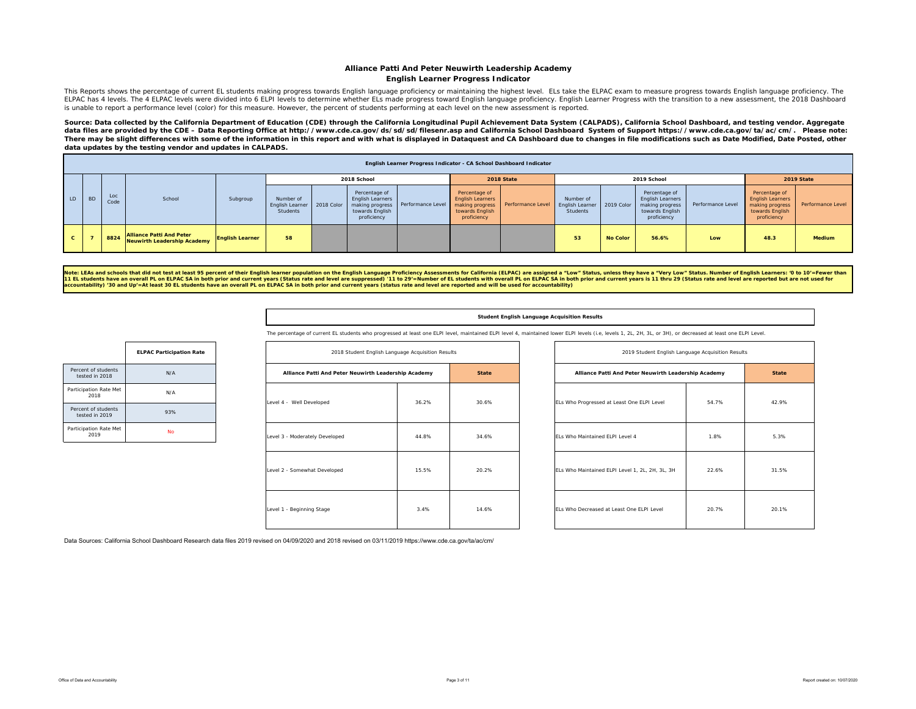#### **Alliance Patti And Peter Neuwirth Leadership Academy English Learner Progress Indicator**

This Reports shows the percentage of current EL students making progress towards English language proficiency or maintaining the highest level. ELs take the ELPAC exam to measure progress towards English language proficien ELPAC has 4 levels. The 4 ELPAC levels were divided into 6 ELPI levels to determine whether ELs made progress toward English language proficiency. English Learner Progress with the transition to a new assessment, the 2018 is unable to report a performance level (color) for this measure. However, the percent of students performing at each level on the new assessment is reported.

Source: Data collected by the California Department of Education (CDE) through the California Longitudinal Pupil Achievement Data System (CALPADS), California School Dashboard, and testing vendor. Aggregate data files are provided by the CDE – Data Reporting Office at http://www.cde.ca.gov/ds/sd/sd/filesenr.asp and California School Dashboard System of Support https://www.cde.ca.gov/ta/ac/cm/. Please note: There may be slight differences with some of the information in this report and with what is displayed in Dataquest and CA Dashboard due to changes in file modifications such as Date Modified, Date Posted, other *data updates by the testing vendor and updates in CALPADS.* 

|     |           |             |                                                                       |                        |                                                            |                                                                     | English Learner Progress Indicator - CA School Dashboard Indicator |                                                                                               |                                   |                       |                 |                                                                                        |                   |                                                                                               |                   |
|-----|-----------|-------------|-----------------------------------------------------------------------|------------------------|------------------------------------------------------------|---------------------------------------------------------------------|--------------------------------------------------------------------|-----------------------------------------------------------------------------------------------|-----------------------------------|-----------------------|-----------------|----------------------------------------------------------------------------------------|-------------------|-----------------------------------------------------------------------------------------------|-------------------|
|     |           |             |                                                                       |                        |                                                            | 2018 School                                                         |                                                                    |                                                                                               | 2018 State                        |                       |                 | 2019 School                                                                            |                   |                                                                                               | 2019 State        |
| LD. | <b>BD</b> | Loc<br>Code | School                                                                | Subgroup               | Number of<br>English Learner 2018 Color<br><b>Students</b> | Percentage of<br>English Learners<br>towards English<br>proficiency | making progress   Performance Level                                | Percentage of<br><b>English Learners</b><br>making progress<br>towards English<br>proficiency | Performance Level English Learner | Number of<br>Students | 2019 Color      | Percentage of<br>English Learners<br>making progress<br>towards English<br>proficiency | Performance Level | Percentage of<br><b>English Learners</b><br>making progress<br>towards English<br>proficiency | Performance Level |
|     |           | 8824        | <b>Alliance Patti And Peter</b><br><b>Neuwirth Leadership Academy</b> | <b>English Learner</b> | 58                                                         |                                                                     |                                                                    |                                                                                               |                                   | 53                    | <b>No Color</b> | 56.6%                                                                                  | Low               | 48.3                                                                                          | <b>Medium</b>     |

Note: LEAs and schools that did not test at least 95 percent of their English learner population on the English Language Proficiency Assessments for California (ELPAC) are assigned a "Low" Status, unless they have a "Very

#### **Student English Language Acquisition Results**

The percentage of current EL students who progressed at least one ELPI level, maintained ELPI level 4, maintained lower ELPI levels (i.e, levels 1, 2L, 2H, 3L, or 3H), or decreased at least one ELPI Level

|                                       | <b>ELPAC Participation Rate</b> |
|---------------------------------------|---------------------------------|
| Percent of students<br>tested in 2018 | N/A                             |
| Participation Rate Met<br>2018        | N/A                             |
| Percent of students<br>tested in 2019 | 93%                             |
| Participation Rate Met<br>2019        | No                              |

| 2018 Student English Language Acquisition Results    |       |              |
|------------------------------------------------------|-------|--------------|
| Alliance Patti And Peter Neuwirth Leadership Academy |       | <b>State</b> |
| Level 4 - Well Developed                             | 36.2% | 30.6%        |
| Level 3 - Moderately Developed                       | 44.8% | 34.6%        |
| Level 2 - Somewhat Developed                         | 15.5% | 20.2%        |
| Level 1 - Beginning Stage                            | 3.4%  | 14.6%        |

| 2018 Student English Language Acquisition Results    |                |              | 2019 Student English Language Acquisition Results    |       |              |
|------------------------------------------------------|----------------|--------------|------------------------------------------------------|-------|--------------|
| Alliance Patti And Peter Neuwirth Leadership Academy |                | <b>State</b> | Alliance Patti And Peter Neuwirth Leadership Academy |       | <b>State</b> |
| - Well Developed                                     | 36.2%          | 30.6%        | ELs Who Progressed at Least One ELPI Level           | 54.7% | 42.9%        |
| - Moderately Developed                               | 44.8%          | 34.6%        | ELs Who Maintained ELPI Level 4                      | 1.8%  | 5.3%         |
| - Somewhat Developed                                 | 15.5%<br>20.2% |              | ELs Who Maintained ELPI Level 1, 2L, 2H, 3L, 3H      | 22.6% | 31.5%        |
| - Beginning Stage                                    | 3.4%           | 14.6%        | ELs Who Decreased at Least One ELPI Level            | 20.7% | 20.1%        |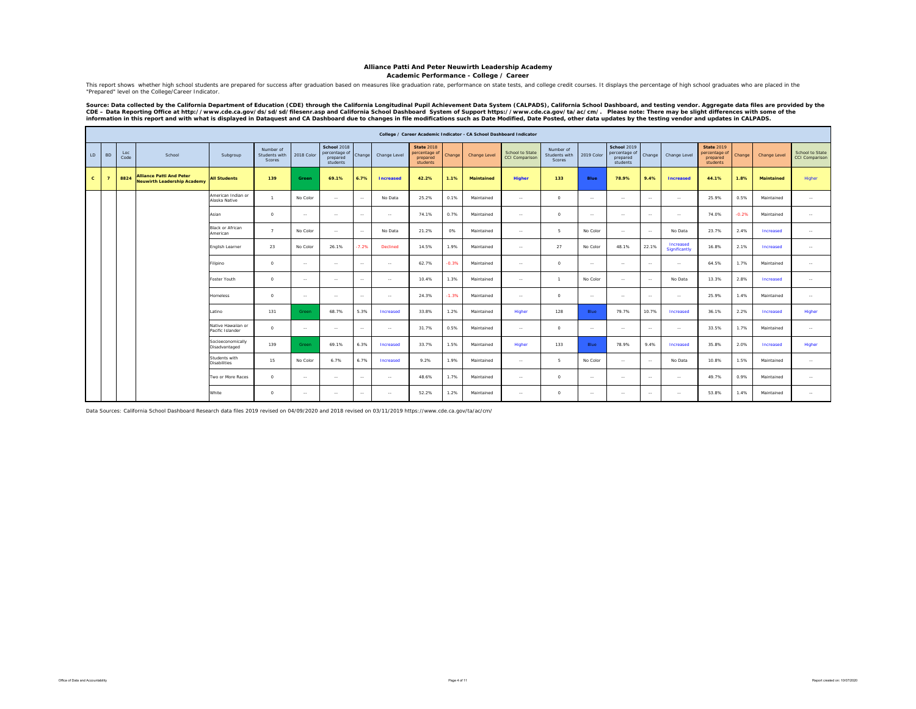**Academic Performance - College / Career**

This report shows whether high school students are prepared for success after graduation based on measures like graduation rate, performance on state tests, and college credit courses. It displays the percentage of high sc "Prepared" level on the College/Career Indicator.

Source: Data collected by the California Department of Education (CDE) through the California Longitudinal Pupil Achievement Data System (CALPADS), California School Dashboard, and testing vendor. Aggregate data files are

|              |                |             |                                                                       |                                        |                                      |               |                                                      |               |                  |                                                            |         | College / Career Academic Indicator - CA School Dashboard Indicator |                                          |                                      |               |                                                             |                |                            |                                                            |         |                   |                                   |
|--------------|----------------|-------------|-----------------------------------------------------------------------|----------------------------------------|--------------------------------------|---------------|------------------------------------------------------|---------------|------------------|------------------------------------------------------------|---------|---------------------------------------------------------------------|------------------------------------------|--------------------------------------|---------------|-------------------------------------------------------------|----------------|----------------------------|------------------------------------------------------------|---------|-------------------|-----------------------------------|
| LD           | <b>BD</b>      | Loc<br>Code | School                                                                | Subgroup                               | Number of<br>Students with<br>Scores | 2018 Color    | School 2018<br>percentage of<br>prepared<br>students | Change        | Change Level     | <b>State 2018</b><br>percentage of<br>prepared<br>students | Change  | Change Level                                                        | School to State<br><b>CCI Comparison</b> | Number of<br>Students with<br>Scores | 2019 Color    | <b>School 2019</b><br>percentage of<br>prepared<br>students | Change         | Change Level               | <b>State 2019</b><br>percentage of<br>prepared<br>students | Change  | Change Level      | School to State<br>CCI Comparison |
| $\mathbf{C}$ | $\overline{7}$ | 8824        | <b>Alliance Patti And Peter</b><br><b>Neuwirth Leadership Academy</b> | <b>All Students</b>                    | 139                                  | Green         | 69.1%                                                | 6.7%          | <b>Increased</b> | 42.2%                                                      | 1.1%    | <b>Maintained</b>                                                   | <b>Higher</b>                            | 133                                  | Blue          | 78.9%                                                       | 9.4%           | <b>Increased</b>           | 44.1%                                                      | 1.8%    | <b>Maintained</b> | Higher                            |
|              |                |             |                                                                       | American Indian or<br>Alaska Native    | $\overline{1}$                       | No Color      | $\sim$                                               | $\sim$        | No Data          | 25.2%                                                      | 0.1%    | Maintained                                                          | $\sim$                                   | $\Omega$                             | $\sim$        | $\sim$                                                      | $\sim$         | $\sim$                     | 25.9%                                                      | 0.5%    | Maintained        | $\sim$                            |
|              |                |             |                                                                       | Asian                                  | $^{\circ}$                           | $\sim$ $\sim$ | $\sim$                                               | $\sim$        | $\sim$           | 74.1%                                                      | 0.7%    | Maintained                                                          | $\sim$ $\sim$                            | $\circ$                              | $\sim$ $\sim$ | $\sim$                                                      | $\sim$         | $\sim$                     | 74.0%                                                      | $-0.2%$ | Maintained        | $\sim$                            |
|              |                |             |                                                                       | <b>Black or African</b><br>American    | $\overline{ }$                       | No Color      | $\sim$                                               | $\sim$        | No Data          | 21.2%                                                      | 0%      | Maintained                                                          | $\sim$                                   | 5                                    | No Color      | $\sim$                                                      | <b>Section</b> | No Data                    | 23.7%                                                      | 2.4%    | Increased         | $\sim$                            |
|              |                |             |                                                                       | English Learner                        | 23                                   | No Color      | 26.1%                                                | 7.2%          | Declined         | 14.5%                                                      | 1.9%    | Maintained                                                          | $\sim$ $\sim$                            | 27                                   | No Color      | 48.1%                                                       | 22.1%          | Increased<br>Significantly | 16.8%                                                      | 2.1%    | Increased         | $\sim$                            |
|              |                |             |                                                                       | ilipino                                | $^{\circ}$                           | $\sim$ $\sim$ | $\sim$                                               | $\sim$        | $\cdots$         | 62.7%                                                      | $-0.3%$ | Maintained                                                          | $\sim$                                   | $\circ$                              | $\sim$        | $\sim$                                                      | <b>Section</b> | $\sim$ $\sim$              | 64.5%                                                      | 1.7%    | Maintained        | $\sim$                            |
|              |                |             |                                                                       | Foster Youth                           | $\Omega$                             | $\sim$        | $\sim$                                               | $\sim$ $\sim$ | $\sim$           | 10.4%                                                      | 1.3%    | Maintained                                                          | $\sim$ $\sim$                            | $\overline{1}$                       | No Color      | $\sim$                                                      | <b>Service</b> | No Data                    | 13.3%                                                      | 2.8%    | Increased         | $\sim$                            |
|              |                |             |                                                                       | <b>Homeless</b>                        | $\circ$                              | $\sim$        | $\sim$                                               | $\sim$        | $\cdots$         | 24.3%                                                      | $-1.3%$ | Maintained                                                          | $\sim$                                   | $\circ$                              | $\sim$ $\sim$ | $\sim$                                                      | $\sim$         | $\sim$                     | 25.9%                                                      | 1.4%    | Maintained        | $\sim$                            |
|              |                |             |                                                                       | atino                                  | 131                                  | Green         | 68.7%                                                | 5.3%          | Increased        | 33.8%                                                      | 1.2%    | Maintained                                                          | Higher                                   | 128                                  | Blue          | 79.7%                                                       | 10.7%          | Increased                  | 36.1%                                                      | 2.2%    | Increased         | Higher                            |
|              |                |             |                                                                       | Native Hawaiian or<br>Pacific Islander | $\circ$                              | $\sim$        | $\sim$                                               | $\sim$        | $\sim$           | 31.7%                                                      | 0.5%    | Maintained                                                          | $\sim$ $\sim$                            | $\circ$                              | $\sim$ $\sim$ | $\sim$                                                      | $\sim$         | $\sim$                     | 33.5%                                                      | 1.7%    | Maintained        | $\sim$                            |
|              |                |             |                                                                       | Socioeconomically<br>Disadvantaged     | 139                                  | Green         | 69.1%                                                | 6.3%          | Increased        | 33.7%                                                      | 1.5%    | Maintained                                                          | Higher                                   | 133                                  | Blue          | 78.9%                                                       | 9.4%           | Increased                  | 35.8%                                                      | 2.0%    | Increased         | Higher                            |
|              |                |             |                                                                       | Students with<br><b>Disabilities</b>   | 15                                   | No Color      | 6.7%                                                 | 6.7%          | Increased        | 9.2%                                                       | 1.9%    | Maintained                                                          | $\sim$                                   | 5                                    | No Color      | $\sim$                                                      | $\sim$         | No Data                    | 10.8%                                                      | 1.5%    | Maintained        | $\sim$                            |
|              |                |             |                                                                       | Two or More Races                      | $\Omega$                             | $\sim$ $\sim$ | $\sim$                                               | $\sim$        | $\sim$           | 48.6%                                                      | 1.7%    | Maintained                                                          | $\sim$ $\sim$                            | $\circ$                              | $\sim$ $\sim$ | $\sim$                                                      | $\sim$         | $\sim$ $\sim$              | 49.7%                                                      | 0.9%    | Maintained        | $\sim$                            |
|              |                |             |                                                                       | White                                  | $^{\circ}$                           | $\sim$        | $\sim$                                               | $\sim$        | $\cdots$         | 52.2%                                                      | 1.2%    | Maintained                                                          | $\sim$                                   | $\circ$                              | $\sim$ $\sim$ | $\sim$                                                      | $\sim$         | $\sim$                     | 53.8%                                                      | 1.4%    | Maintained        | $\sim$                            |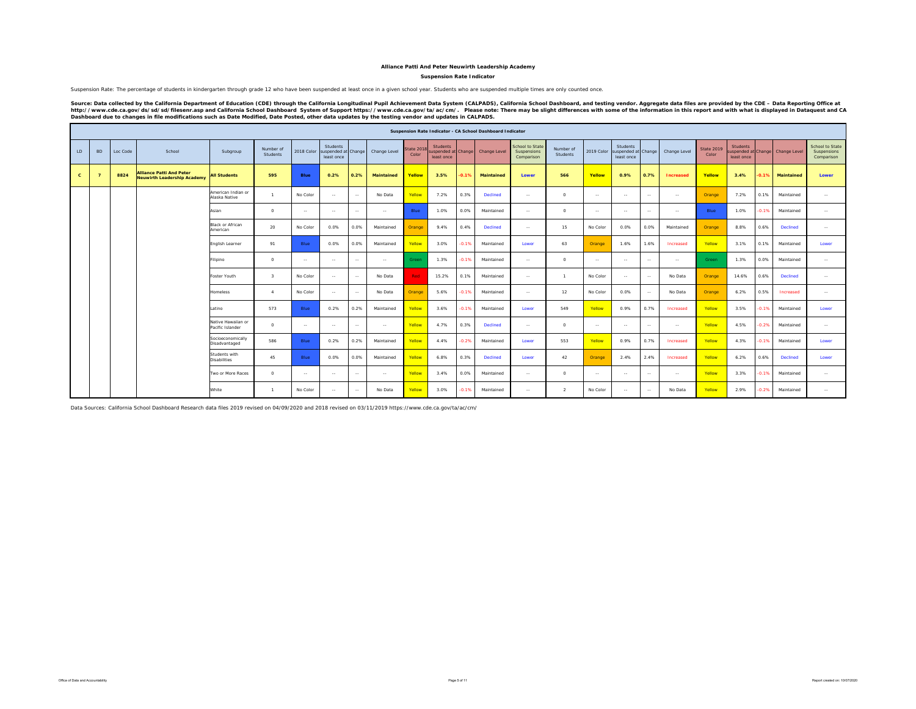#### **Suspension Rate Indicator**

Suspension Rate: The percentage of students in kindergarten through grade 12 who have been suspended at least once in a given school year. Students who are suspended multiple times are only counted once.

Source: Data collected by the California Department of Education (CDE) through the California Longitudinal Pupil Achievement Data System (CALPADS), California School Dashboard, and testing vendor. Aggregate data files are

|              |                |          |                                                                       |                                        |                       |               |                                               |               |                   |                    |                                               |         | Suspension Rate Indicator - CA School Dashboard Indicator |                                              |                       |                |                                               |               |              |                            |                               |         |                                  |                                              |
|--------------|----------------|----------|-----------------------------------------------------------------------|----------------------------------------|-----------------------|---------------|-----------------------------------------------|---------------|-------------------|--------------------|-----------------------------------------------|---------|-----------------------------------------------------------|----------------------------------------------|-----------------------|----------------|-----------------------------------------------|---------------|--------------|----------------------------|-------------------------------|---------|----------------------------------|----------------------------------------------|
| LD           | <b>BD</b>      | Loc Code | School                                                                | Subgroup                               | Number of<br>Students | 2018 Color    | Students<br>suspended at Change<br>least once |               | Change Level      | State 201<br>Color | <b>Students</b><br>uspended atl<br>least once | Change  | Change Level                                              | School to State<br>Suspensions<br>Comparison | Number of<br>Students | 2019 Color     | Students<br>suspended at Change<br>least once |               | Change Level | <b>State 2019</b><br>Color | <b>Students</b><br>least once |         | suspended at Change Change Level | School to State<br>Suspensions<br>Comparison |
| $\mathbf{c}$ | $\overline{7}$ | 8824     | <b>Alliance Patti And Peter</b><br><b>Neuwirth Leadership Academy</b> | <b>All Students</b>                    | 595                   | <b>Blue</b>   | 0.2%                                          | 0.2%          | <b>Maintained</b> | Yellow             | 3.5%                                          | $-0.1%$ | <b>Maintained</b>                                         | Lower                                        | 566                   | Yellow         | 0.9%                                          | 0.7%          | Increased    | Yellow                     | 3.4%                          | $-0.1%$ | Maintained                       | Lower                                        |
|              |                |          |                                                                       | American Indian or<br>Alaska Native    | $\mathbf{1}$          | No Color      | $\sim$                                        | $\sim$        | No Data           | Yellow             | 7.2%                                          | 0.3%    | Declined                                                  | $\sim$                                       | $\circ$               | $\sim$         | $\sim$                                        | $\sim$        | $\sim$       | Orange                     | 7.2%                          | 0.1%    | Maintained                       | $\sim$                                       |
|              |                |          |                                                                       | Asian                                  | $\circ$               | $\sim$        | $\sim$                                        | $\sim$        | $\sim$ $\sim$     | Blue               | 1.0%                                          | 0.0%    | Maintained                                                | $\sim$                                       | $\circ$               | $\sim$         | $\sim$                                        | $\sim$ $\sim$ | $\sim$       | Blue                       | 1.0%                          | $-0.1%$ | Maintained                       | <b>Service</b>                               |
|              |                |          |                                                                       | Black or African<br>American           | 20                    | No Color      | 0.0%                                          | 0.0%          | Maintained        | Orange             | 9.4%                                          | 0.4%    | Declined                                                  | $\sim$                                       | 15                    | No Color       | 0.0%                                          | 0.0%          | Maintained   | Orange                     | 8.8%                          | 0.6%    | <b>Declined</b>                  | $\sim$ $\sim$                                |
|              |                |          |                                                                       | English Learner                        | 91                    | Blue          | 0.0%                                          | 0.0%          | Maintained        | Yellow             | 3.0%                                          | $-0.1%$ | Maintained                                                | Lower                                        | 63                    | Orange         | 1.6%                                          | 1.6%          | Increased    | Yellow                     | 3.1%                          | 0.1%    | Maintained                       | Lower                                        |
|              |                |          |                                                                       | Filipino                               | $\circ$               | $\sim$ $\sim$ | $\sim$                                        | $\sim$ $\sim$ | $\sim$ $\sim$     | Green              | 1.3%                                          | $-0.1%$ | Maintained                                                | $\sim$                                       | $\circ$               | <b>Section</b> | $\sim$                                        | $\sim$ $\sim$ | $\sim$       | Green                      | 1.3%                          | 0.0%    | Maintained                       | $\sim$ $\sim$                                |
|              |                |          |                                                                       | Foster Youth                           | $\mathcal{R}$         | No Color      | $\sim$                                        | $\sim$ $\sim$ | No Data           | <b>Red</b>         | 15.2%                                         | 0.1%    | Maintained                                                | $\sim$                                       | $\mathbf{1}$          | No Color       | $\sim$                                        | $\sim$ $\sim$ | No Data      | Orange                     | 14.6%                         | 0.6%    | Declined                         | $\sim$ $\sim$                                |
|              |                |          |                                                                       | Homeless                               | $\mathbf{A}$          | No Color      | $\sim$                                        | $\sim$ $\sim$ | No Data           | Orange             | 5.6%                                          | $-0.1%$ | Maintained                                                | $\sim$                                       | 12                    | No Color       | 0.0%                                          | $\sim$ $\sim$ | No Data      | Orange                     | 6.2%                          | 0.5%    | Increased                        | $\sim$ $\sim$                                |
|              |                |          |                                                                       | Latino                                 | 573                   | Blue          | 0.2%                                          | 0.2%          | Maintained        | Yellow             | 3.6%                                          | $-0.1%$ | Maintained                                                | Lower                                        | 549                   | Yellow         | 0.9%                                          | 0.7%          | Increased    | Yellow                     | 3.5%                          | $-0.1%$ | Maintained                       | Lower                                        |
|              |                |          |                                                                       | Native Hawaiian or<br>Pacific Islander | $\Omega$              | $\sim$        | $\sim$                                        | $\sim$ $\sim$ | $\sim$            | Yellow             | 4.7%                                          | 0.3%    | Declined                                                  | $\sim$                                       | $\circ$               | $\sim$         | $\sim$                                        | $\sim$        | $\sim$       | Yellow                     | 4.5%                          | $-0.2%$ | Maintained                       | $\sim$                                       |
|              |                |          |                                                                       | Socioeconomically<br>Disadvantaged     | 586                   | Blue          | 0.2%                                          | 0.2%          | Maintained        | Yellow             | 4.4%                                          | $-0.2%$ | Maintained                                                | Lower                                        | 553                   | Yellow         | 0.9%                                          | 0.7%          | Increased    | Yellow                     | 4.3%                          | $-0.1%$ | Maintained                       | Lower                                        |
|              |                |          |                                                                       | Students with<br><b>Disabilities</b>   | 45                    | Blue          | 0.0%                                          | 0.0%          | Maintained        | Yellow             | 6.8%                                          | 0.3%    | Declined                                                  | Lower                                        | 42                    | Orange         | 2.4%                                          | 2.4%          | Increased    | Yellow                     | 6.2%                          | 0.6%    | <b>Declined</b>                  | Lower                                        |
|              |                |          |                                                                       | Two or More Races                      | $\circ$               | $\sim$ $\sim$ | $\sim$                                        | $\sim$ $\sim$ | $\sim$ $\sim$     | Yellow             | 3.4%                                          | 0.0%    | Maintained                                                | $\sim$                                       | $\circ$               | $\sim$         | $\sim$                                        | $\sim$ $\sim$ | $\sim$       | Yellow                     | 3.3%                          | $-0.1%$ | Maintained                       | $\sim$                                       |
|              |                |          |                                                                       | White                                  | $\overline{1}$        | No Color      | $\sim$                                        | $\sim$ $-$    | No Data           | Yellow             | 3.0%                                          | $-0.1%$ | Maintained                                                | $\sim$                                       | $\overline{2}$        | No Color       | $\sim$                                        | $\sim$        | No Data      | Yellow                     | 2.9%                          | $-0.2%$ | Maintained                       | $\sim$                                       |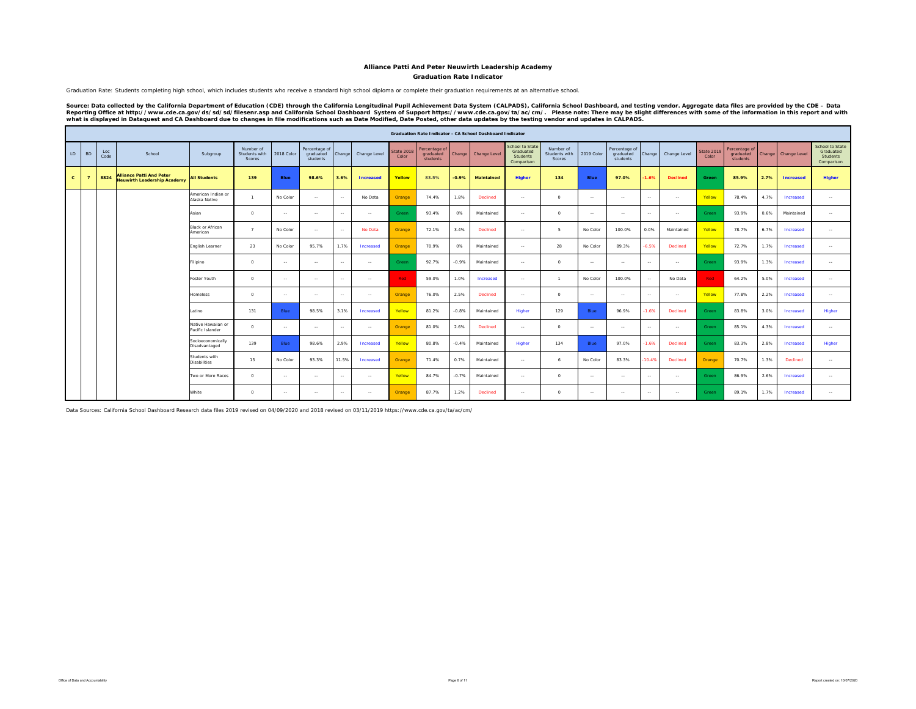**Graduation Rate Indicator**

Graduation Rate: Students completing high school, which includes students who receive a standard high school diploma or complete their graduation requirements at an alternative school.

Source: Data collected by the California Department of Education (CDE) through the California Longitudinal Pupil Achievement Data System (CALPADS), California School Dashboard, and testing vendor. Aggregate data files are

|              |                |             |                                                                       |                                        |                                      |             |                                        | Graduation Rate Indicator - CA School Dashboard Indicator |                  |                            |                                        |         |                   |                                                        |                                             |                |                                        |               |                 |                            |                                        |        |                  |                                                               |
|--------------|----------------|-------------|-----------------------------------------------------------------------|----------------------------------------|--------------------------------------|-------------|----------------------------------------|-----------------------------------------------------------|------------------|----------------------------|----------------------------------------|---------|-------------------|--------------------------------------------------------|---------------------------------------------|----------------|----------------------------------------|---------------|-----------------|----------------------------|----------------------------------------|--------|------------------|---------------------------------------------------------------|
| LD           | <b>BD</b>      | Loc<br>Code | School                                                                | Subgroup                               | Number of<br>Students with<br>Scores | 2018 Color  | Percentage of<br>graduated<br>students | Change                                                    | Change Level     | <b>State 2018</b><br>Color | Percentage of<br>graduated<br>students | Change  | Change Level      | School to State<br>Graduated<br>Students<br>Comparison | Number of<br>Students with<br><b>Scores</b> | 2019 Color     | Percentage of<br>graduated<br>students | Change        | Change Level    | <b>State 2019</b><br>Color | Percentage of<br>graduated<br>students | Change | Change Level     | <b>School to State</b><br>Graduated<br>Students<br>Comparison |
| $\mathbf{c}$ | $\overline{7}$ | 8824        | <b>Alliance Patti And Peter</b><br><b>Neuwirth Leadership Academy</b> | <b>All Students</b>                    | 139                                  | <b>Blue</b> | 98.6%                                  | 3.6%                                                      | <b>Increased</b> | Yellow                     | 83.5%                                  | $-0.9%$ | <b>Maintained</b> | <b>Higher</b>                                          | 134                                         | Blue           | 97.0%                                  | $-1.6%$       | <b>Declined</b> | Green                      | 85.9%                                  | 2.7%   | <b>Increased</b> | Higher                                                        |
|              |                |             |                                                                       | American Indian or<br>Alaska Native    | $\mathbf{1}$                         | No Color    | <b>Section</b>                         | $\sim$                                                    | No Data          | Orange                     | 74.4%                                  | 1.8%    | Declined          | $\sim$ $-$                                             | $\Omega$                                    | <b>Service</b> | $\sim$ $\sim$                          | $\sim$ $\sim$ | $\sim$          | Yellow                     | 78.4%                                  | 4.7%   | Increased        | $\sim$                                                        |
|              |                |             |                                                                       | Asian                                  | $\Omega$                             | $\sim$      | $\sim$                                 | $\sim$                                                    | $\sim$           | Green                      | 93.4%                                  | 0%      | Maintained        | $\sim$                                                 | $\Omega$                                    | $\sim$         | $\sim$                                 | $\sim$        | $\sim$          | Green                      | 93.9%                                  | 0.6%   | Maintained       | $\sim$                                                        |
|              |                |             |                                                                       | <b>Black or African</b><br>American    | $\overline{7}$                       | No Color    | $\sim$                                 | $\sim$                                                    | No Data          | Orange                     | 72.1%                                  | 3.4%    | Declined          | $\sim$                                                 | 5.                                          | No Color       | 100.0%                                 | 0.0%          | Maintained      | Yellow                     | 78.7%                                  | 6.7%   | Increased        | $\sim$                                                        |
|              |                |             |                                                                       | English Learner                        | 23                                   | No Color    | 95.7%                                  | 1.7%                                                      | Increased        | Orange                     | 70.9%                                  | 0%      | Maintained        | $\sim$                                                 | 28                                          | No Color       | 89.3%                                  | $-6.5%$       | Declined        | Yellow                     | 72.7%                                  | 1.7%   | Increased        | $\sim$                                                        |
|              |                |             |                                                                       | Filipino                               | $\circ$                              | $\sim$      | <b>Section</b>                         | $\sim$                                                    | $\sim$ $\sim$    | Green                      | 92.7%                                  | $-0.9%$ | Maintained        | $\sim$ $-$                                             | $\Omega$                                    | <b>Service</b> | $\sim$ $\sim$                          | $\sim$ $\sim$ | $\sim$          | Green                      | 93.9%                                  | 1.3%   | Increased        | $\sim$                                                        |
|              |                |             |                                                                       | Foster Youth                           | $\circ$                              | $\sim$      | $\sim$                                 | $\sim$                                                    | $\sim$ $\sim$    | Red                        | 59.0%                                  | 1.0%    | Increased         | $\sim$ $\sim$                                          | $\mathbf{1}$                                | No Color       | 100.0%                                 | $\sim$        | No Data         | Red                        | 64.2%                                  | 5.0%   | Increased        | $\sim$                                                        |
|              |                |             |                                                                       | <b>Homeless</b>                        | $\circ$                              | $\sim$      | $\sim$                                 | $\sim$                                                    | $\sim$           | Orange                     | 76.0%                                  | 2.5%    | Declined          | $\sim$ $\sim$                                          | $\Omega$                                    | $\sim$         | $\sim$ $\sim$                          | $\sim$        | $\sim$          | Yellow                     | 77.8%                                  | 2.2%   | Increased        | $\sim$                                                        |
|              |                |             |                                                                       | Latino                                 | 131                                  | Blue        | 98.5%                                  | 3.1%                                                      | Increased        | Yellow                     | 81.2%                                  | $-0.8%$ | Maintained        | Higher                                                 | 129                                         | <b>Blue</b>    | 96.9%                                  | $-1.6%$       | Declined        | Green                      | 83.8%                                  | 3.0%   | Increased        | Higher                                                        |
|              |                |             |                                                                       | Native Hawaiian or<br>Pacific Islander | $^{\circ}$                           | $\sim$      | <b>Section</b>                         | $\sim$                                                    | $\sim$           | Orange                     | 81.0%                                  | 2.6%    | Declined          | $\sim$ $\sim$                                          | $\circ$                                     | $\sim$         | $\sim$ $\sim$                          | $\sim$        | $\sim$          | Green                      | 85.1%                                  | 4.3%   | Increased        | $\sim$                                                        |
|              |                |             |                                                                       | Socioeconomically<br>Disadvantaged     | 139                                  | Blue        | 98.6%                                  | 2.9%                                                      | Increased        | Yellow                     | 80.8%                                  | $-0.4%$ | Maintained        | Higher                                                 | 134                                         | Blue           | 97.0%                                  | $-1.6%$       | Declined        | Green                      | 83.3%                                  | 2.8%   | Increased        | Higher                                                        |
|              |                |             |                                                                       | Students with<br><b>Disabilities</b>   | 15                                   | No Color    | 93.3%                                  | 11.5%                                                     | Increased        | Orange                     | 71.4%                                  | 0.7%    | Maintained        | $\sim$ $\sim$                                          | 6                                           | No Color       | 83.3%                                  | $-10.4%$      | Declined        | Orange                     | 70.7%                                  | 1.3%   | Declined         | $\sim$                                                        |
|              |                |             |                                                                       | Two or More Races                      | $\Omega$                             | $\sim$      | $\sim$                                 | $\sim$                                                    | $\sim$           | Yellow                     | 84.7%                                  | $-0.7%$ | Maintained        | $\sim$                                                 | $\Omega$                                    | $\sim$ $-$     | $\sim$                                 | $\sim$        | $\sim$          | Green                      | 86.9%                                  | 2.6%   | Increased        | $\sim$                                                        |
|              |                |             |                                                                       | White                                  | $\circ$                              | $\sim$      | $\sim$                                 | $\sim$                                                    | $\sim$ $-$       | Orange                     | 87.7%                                  | 1.2%    | Declined          | $\sim$ $\sim$                                          | $\circ$                                     | $\sim$         | $\sim$ $\sim$                          | $\sim$ $\sim$ | $\sim$          | Green                      | 89.1%                                  | 1.7%   | Increased        | $\sim$                                                        |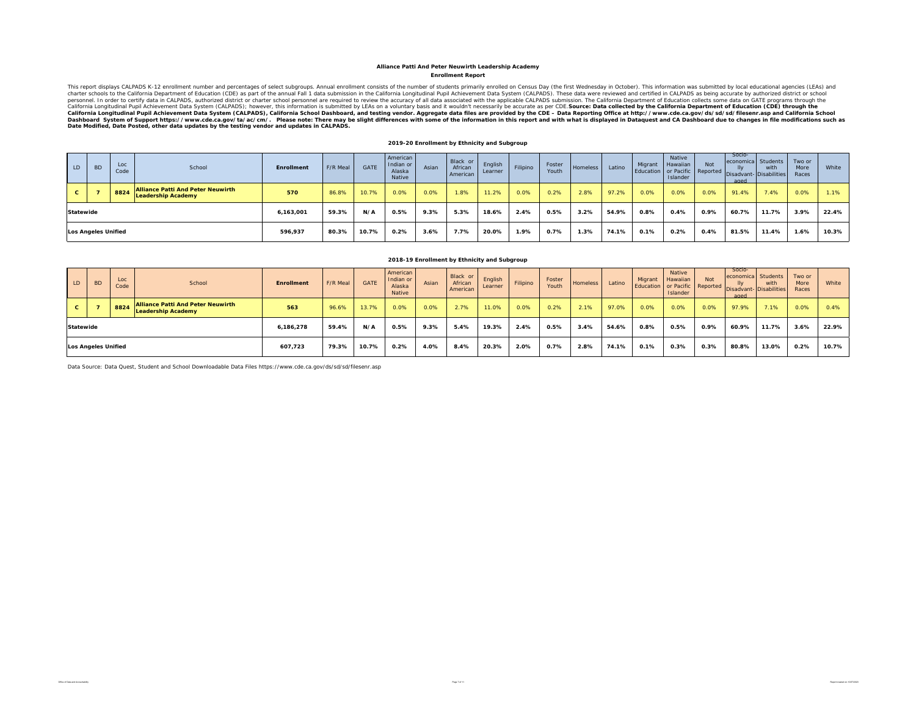#### **Enrollment Report Alliance Patti And Peter Neuwirth Leadership Academy**

This report displays CALPADS K-12 enrollment number and percentages of select subgroups. Annual enrollment consists of the number of students primarily enrolled on Census Day (the first Wednesday in October). This informat California Longitudinal Pupil Achievement Data System (CALPADS), California School Dashboard, and testing vendor. Aggregate data files are provided by the CDE – Data Reporting Office at http://www.cde.ca.gov/ds/sd/filesenr

#### **2019-20 Enrollment by Ethnicity and Subgroup**

| $\overline{L}$ | <b>BD</b>                  | Loc<br>Code | School                                                                | Enrollment | F/R Meal | <b>GATE</b> | American<br>Indian or<br>Alaska<br>Native | Asian | Black or<br>African<br>American | English<br>Learner | Filipino | Foster<br>Youth | Homeless | Latino | Migrant | Native<br>Hawaiian<br>Islander | Not  | Socio-<br>economica Students<br>lly<br>aged | with<br>Education or Pacific Reported Disadvant- Disabilities | Two or<br>More<br>Races | White |
|----------------|----------------------------|-------------|-----------------------------------------------------------------------|------------|----------|-------------|-------------------------------------------|-------|---------------------------------|--------------------|----------|-----------------|----------|--------|---------|--------------------------------|------|---------------------------------------------|---------------------------------------------------------------|-------------------------|-------|
| C.             |                            | 8824        | <b>Alliance Patti And Peter Neuwirth</b><br><b>Leadership Academy</b> | 570        | 86.8%    | 10.7%       | 0.0%                                      | 0.0%  | 1.8%                            | 11.2%              | 0.0%     | 0.2%            | 2.8%     | 97.2%  | 0.0%    | 0.0%                           | 0.0% | 91.4%                                       | 7.4%                                                          | 0.0%                    | 1.1%  |
| Statewide      |                            |             |                                                                       | 6,163,001  | 59.3%    | N/A         | 0.5%                                      | 9.3%  | 5.3%                            | 18.6%              | 2.4%     | 0.5%            | 3.2%     | 54.9%  | 0.8%    | 0.4%                           | 0.9% | 60.7%                                       | 11.7%                                                         | 3.9%                    | 22.4% |
|                | <b>Los Angeles Unified</b> |             |                                                                       | 596,937    | 80.3%    | 10.7%       | 0.2%                                      | 3.6%  | 7.7%                            | 20.0%              | 1.9%     | 0.7%            | 1.3%     | 74.1%  | 0.1%    | 0.2%                           | 0.4% | 81.5%                                       | 11.4%                                                         | 1.6%                    | 10.3% |

|                  |                            |             |                                                                       |                   |          |             |                                           |       | 2018-19 Enrollment by Ethnicity and Subgroup |                    |          |                 |          |        |                      |                                              |            |                                                               |                                  |                         |       |
|------------------|----------------------------|-------------|-----------------------------------------------------------------------|-------------------|----------|-------------|-------------------------------------------|-------|----------------------------------------------|--------------------|----------|-----------------|----------|--------|----------------------|----------------------------------------------|------------|---------------------------------------------------------------|----------------------------------|-------------------------|-------|
| LD.              | <b>BD</b>                  | Loc<br>Code | School                                                                | <b>Enrollment</b> | F/R Meal | <b>GATE</b> | American<br>Indian or<br>Alaska<br>Native | Asian | Black or<br>African<br>American              | English<br>Learner | Filipino | Foster<br>Youth | Homeless | Latino | Migrant<br>Education | <b>Native</b><br>Hawaiian<br><b>Islander</b> | <b>Not</b> | Socio-<br>economica<br>or Pacific Reported Disadvant-<br>aged | Students<br>with<br>Disabilities | Two or<br>More<br>Races | White |
| U.               |                            | 8824        | <b>Alliance Patti And Peter Neuwirth</b><br><b>Leadership Academy</b> | 563               | 96.6%    | 13.7%       | 0.0%                                      | 0.0%  | 2.7%                                         | 11.0%              | 0.0%     | 0.2%            | 2.1%     | 97.0%  | 0.0%                 | 0.0%                                         | 0.0%       | 97.9%                                                         | 7.1%                             | 0.0%                    | 0.4%  |
| <b>Statewide</b> |                            |             |                                                                       | 6.186.278         | 59.4%    | N/A         | 0.5%                                      | 9.3%  | 5.4%                                         | 19.3%              | 2.4%     | 0.5%            | 3.4%     | 54.6%  | 0.8%                 | 0.5%                                         | $0.9\%$    | 60.9%                                                         | 11.7%                            | 3.6%                    | 22.9% |
|                  | <b>Los Angeles Unified</b> |             |                                                                       | 10.7%             | $0.2\%$  | 4.0%        | 8.4%                                      | 20.3% | 2.0%                                         | 0.7%               | $2.8\%$  | 74.1%           | 0.1%     | 0.3%   | 0.3%                 | 80.8%                                        | 13.0%      | 0.2%                                                          | 10.7%                            |                         |       |

Data Source: Data Quest, Student and School Downloadable Data Files https://www.cde.ca.gov/ds/sd/sd/filesenr.asp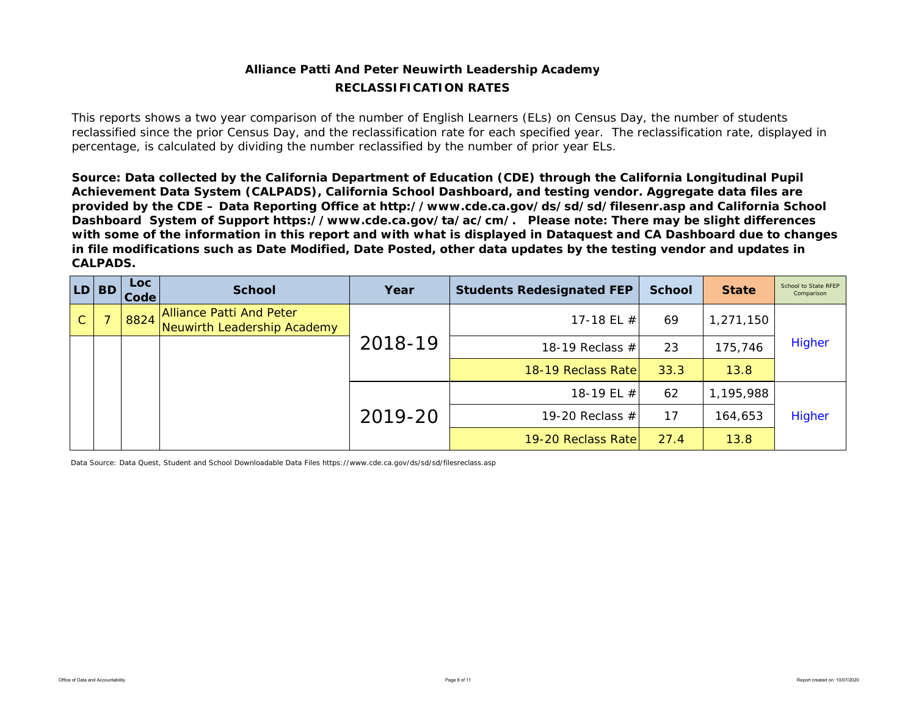## **Alliance Patti And Peter Neuwirth Leadership Academy RECLASSIFICATION RATES**

This reports shows a two year comparison of the number of English Learners (ELs) on Census Day, the number of students reclassified since the prior Census Day, and the reclassification rate for each specified year. The reclassification rate, displayed in percentage, is calculated by dividing the number reclassified by the number of prior year ELs.

*Source: Data collected by the California Department of Education (CDE) through the California Longitudinal Pupil Achievement Data System (CALPADS), California School Dashboard, and testing vendor. Aggregate data files are provided by the CDE – Data Reporting Office at http://www.cde.ca.gov/ds/sd/sd/filesenr.asp and California School Dashboard System of Support https://www.cde.ca.gov/ta/ac/cm/. Please note: There may be slight differences with some of the information in this report and with what is displayed in Dataquest and CA Dashboard due to changes in file modifications such as Date Modified, Date Posted, other data updates by the testing vendor and updates in CALPADS.* 

| LD.           | <b>BD</b> | <b>Loc</b><br>Code | <b>School</b>                                           | Year    | <b>Students Redesignated FEP</b> | <b>School</b> | <b>State</b> | School to State RFEP<br>Comparison |
|---------------|-----------|--------------------|---------------------------------------------------------|---------|----------------------------------|---------------|--------------|------------------------------------|
| $\mathcal{C}$ |           | 8824               | Alliance Patti And Peter<br>Neuwirth Leadership Academy |         | 17-18 EL $#$                     | 69            | 1,271,150    |                                    |
|               |           |                    |                                                         | 2018-19 | 18-19 Reclass $#$                | 23            | 175,746      | <b>Higher</b>                      |
|               |           |                    |                                                         |         | 18-19 Reclass Rate               | 33.3          | 13.8         |                                    |
|               |           |                    |                                                         |         | 18-19 EL #                       | 62            | 1,195,988    |                                    |
|               |           |                    |                                                         | 2019-20 | 19-20 Reclass $#$                | 17            | 164,653      | <b>Higher</b>                      |
|               |           |                    |                                                         |         | 19-20 Reclass Ratel              | 27.4          | 13.8         |                                    |

Data Source: Data Quest, Student and School Downloadable Data Files https://www.cde.ca.gov/ds/sd/sd/filesreclass.asp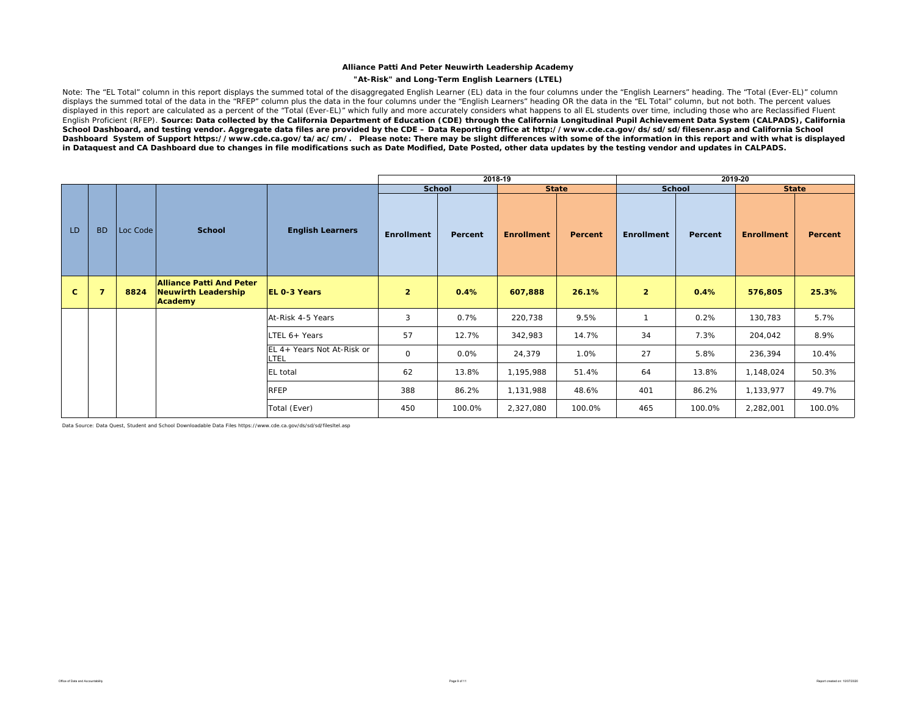#### **"At-Risk" and Long-Term English Learners (LTEL)**

Note: The "EL Total" column in this report displays the summed total of the disaggregated English Learner (EL) data in the four columns under the "English Learners" heading. The "Total (Ever-EL)" column displays the summed total of the data in the "RFEP" column plus the data in the four columns under the "English Learners" heading OR the data in the "EL Total" column, but not both. The percent values displayed in this report are calculated as a percent of the "Total (Ever-EL)" which fully and more accurately considers what happens to all EL students over time, including those who are Reclassified Fluent English Proficient (RFEP). *Source: Data collected by the California Department of Education (CDE) through the California Longitudinal Pupil Achievement Data System (CALPADS), California School Dashboard, and testing vendor. Aggregate data files are provided by the CDE – Data Reporting Office at http://www.cde.ca.gov/ds/sd/sd/filesenr.asp and California School*  Dashboard System of Support https://www.cde.ca.gov/ta/ac/cm/. Please note: There may be slight differences with some of the information in this report and with what is displayed *in Dataquest and CA Dashboard due to changes in file modifications such as Date Modified, Date Posted, other data updates by the testing vendor and updates in CALPADS.* 

|              |           |          |                                                                   |                                    |                |         | 2018-19           |                |                   |         | 2019-20           |              |
|--------------|-----------|----------|-------------------------------------------------------------------|------------------------------------|----------------|---------|-------------------|----------------|-------------------|---------|-------------------|--------------|
|              |           |          |                                                                   |                                    | <b>School</b>  |         | <b>State</b>      |                | <b>School</b>     |         |                   | <b>State</b> |
| LD           | <b>BD</b> | Loc Code | <b>School</b>                                                     | <b>English Learners</b>            | Enrollment     | Percent | <b>Enrollment</b> | <b>Percent</b> | <b>Enrollment</b> | Percent | <b>Enrollment</b> | Percent      |
| $\mathbf{C}$ |           | 8824     | <b>Alliance Patti And Peter</b><br>Neuwirth Leadership<br>Academy | <b>EL 0-3 Years</b>                | $\overline{2}$ | 0.4%    | 607,888           | 26.1%          | $\overline{2}$    | 0.4%    | 576,805           | 25.3%        |
|              |           |          |                                                                   | At-Risk 4-5 Years                  | 3              | 0.7%    | 220,738           | 9.5%           |                   | 0.2%    | 130,783           | 5.7%         |
|              |           |          |                                                                   | LTEL 6+ Years                      | 57             | 12.7%   | 342,983           | 14.7%          | 34                | 7.3%    | 204,042           | 8.9%         |
|              |           |          |                                                                   | EL 4+ Years Not At-Risk or<br>LTEL | $\mathsf O$    | 0.0%    | 24,379            | 1.0%           | 27                | 5.8%    | 236,394           | 10.4%        |
|              |           |          |                                                                   | EL total                           | 62             | 13.8%   | 1,195,988         | 51.4%          | 64                | 13.8%   | 1,148,024         | 50.3%        |
|              |           |          |                                                                   | <b>RFEP</b>                        | 388            | 86.2%   | 1,131,988         | 48.6%          | 401               | 86.2%   | 1,133,977         | 49.7%        |
|              |           |          |                                                                   | Total (Ever)                       | 450            | 100.0%  | 2,327,080         | 100.0%         | 465               | 100.0%  | 2,282,001         | 100.0%       |

Data Source: Data Quest, Student and School Downloadable Data Files https://www.cde.ca.gov/ds/sd/sd/filesltel.asp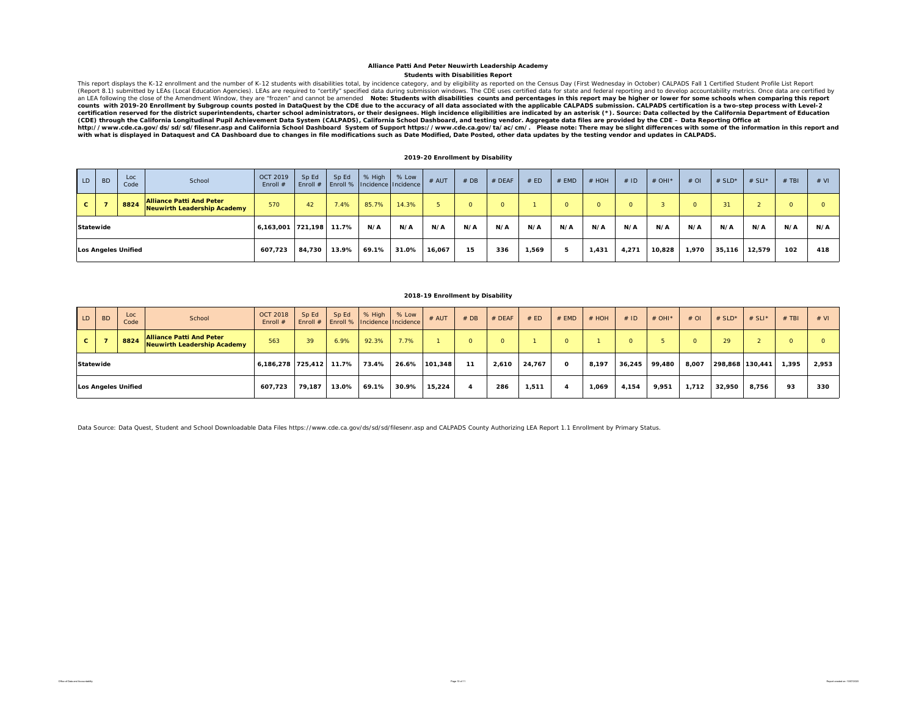#### **Students with Disabilities Report Alliance Patti And Peter Neuwirth Leadership Academy**

This report displays the K-12 enrollment and the number of K-12 students with disabilities total, by incidence category, and by eligibility as reported on the Census Day (First Wednesday in October) CALPADS Fall 1 Certifie certification reserved for the district superintendents, charter school administrators, or their designees. High incidence eligibilities are indicated by an asterisk (\*). Source: Data collected by the California Department *(CDE) through the California Longitudinal Pupil Achievement Data System (CALPADS), California School Dashboard, and testing vendor. Aggregate data files are provided by the CDE – Data Reporting Office at*  http://www.cde.ca.gov/ds/sd/sil/seenr.asp and California School Dashboard System of Support https://www.cde.ca.gov/ta/ac/cm/. Please note: There may be slight differences with some of the information in this report and<br>

#### **2019-20 Enrollment by Disability**

| LD           | <b>BD</b> | Loc<br>Code                | School                                                                | <b>OCT 2019</b><br>Enroll # | Sp Ed<br>Enroll $#$ | Sp Ed | % High<br>Enroll %   Incidence   Incidence | % Low | $#$ AUT | #DB      | # DEAF   | # ED   | # EMD | $#$ HOH  | $#$ ID | # OHI* | $#$ OI | # $SLD^*$ | # SLI* | $#$ TBI | # VI       |
|--------------|-----------|----------------------------|-----------------------------------------------------------------------|-----------------------------|---------------------|-------|--------------------------------------------|-------|---------|----------|----------|--------|-------|----------|--------|--------|--------|-----------|--------|---------|------------|
| $\mathbf{C}$ |           | 8824                       | <b>Alliance Patti And Peter</b><br><b>Neuwirth Leadership Academy</b> | 570                         | 42                  | 7.4%  | 85.7%                                      | 14.3% |         | $\Omega$ | $\Omega$ |        |       | $\Omega$ |        |        |        | 31        |        |         | $^{\circ}$ |
|              | Statewide |                            |                                                                       | 6,163,001                   | 721,198             | 11.7% | N/A                                        | N/A   | N/A     | N/A      | N/A      | N/A    | N/A   | N/A      | N/A    | N/A    | N/A    | N/A       | N/A    | N/A     | N/A        |
|              |           | <b>Los Angeles Unified</b> |                                                                       | 607,723                     | 84.730              | 13.9% | 69.1%                                      | 31.0% | 16,067  | 15       | 336      | 569, ا |       | 1,431    | 4,271  | 10,828 | 1,970  | 35,116    | 12,579 | 102     | 418        |

#### **2018-19 Enrollment by Disability**

| LD           | <b>BD</b> | Loc<br>Code                | School                                                                | <b>OCT 2018</b><br>Enroll $#$ | Sp Ed<br>Enroll $#$ | Sp Ed<br>Enroll %   Incidence   Incidence | % High | % Low | $#$ AUT | #DB | $#$ DEAF | # ED   | $#$ EMD  | # HOH | #ID      | # OHI $*$ | $#$ OI | # $SLD^*$       | # SLI* | $#$ TBI | # VI  |
|--------------|-----------|----------------------------|-----------------------------------------------------------------------|-------------------------------|---------------------|-------------------------------------------|--------|-------|---------|-----|----------|--------|----------|-------|----------|-----------|--------|-----------------|--------|---------|-------|
| $\mathbf{c}$ |           | 8824                       | <b>Alliance Patti And Peter</b><br><b>Neuwirth Leadership Academy</b> | 563                           | 39                  | 6.9%                                      | 92.3%  | 7.7%  |         |     |          |        | $\Omega$ |       | $\Omega$ |           |        | 29              |        | $\circ$ |       |
| Statewide    |           |                            |                                                                       | 6,186,278 725,412             |                     | 11.7%                                     | 73.4%  | 26.6% | 101.348 | 11  | 2,610    | 24,767 | O        | 8,197 | 36,245   | 99.480    | 8,007  | 298,868 130,441 |        | 1,395   | 2,953 |
|              |           | <b>Los Angeles Unified</b> |                                                                       | 607.723                       | 79.187              | 13.0%                                     | 69.1%  | 30.9% | 15.224  |     | 286      | 1.511  |          | 1.069 | 4,154    | 9.951     | 1,712  | 32,950          | 8.756  | 93      | 330   |

Data Source: Data Quest, Student and School Downloadable Data Files https://www.cde.ca.gov/ds/sd/sd/filesenr.asp and CALPADS County Authorizing LEA Report 1.1 Enrollment by Primary Status.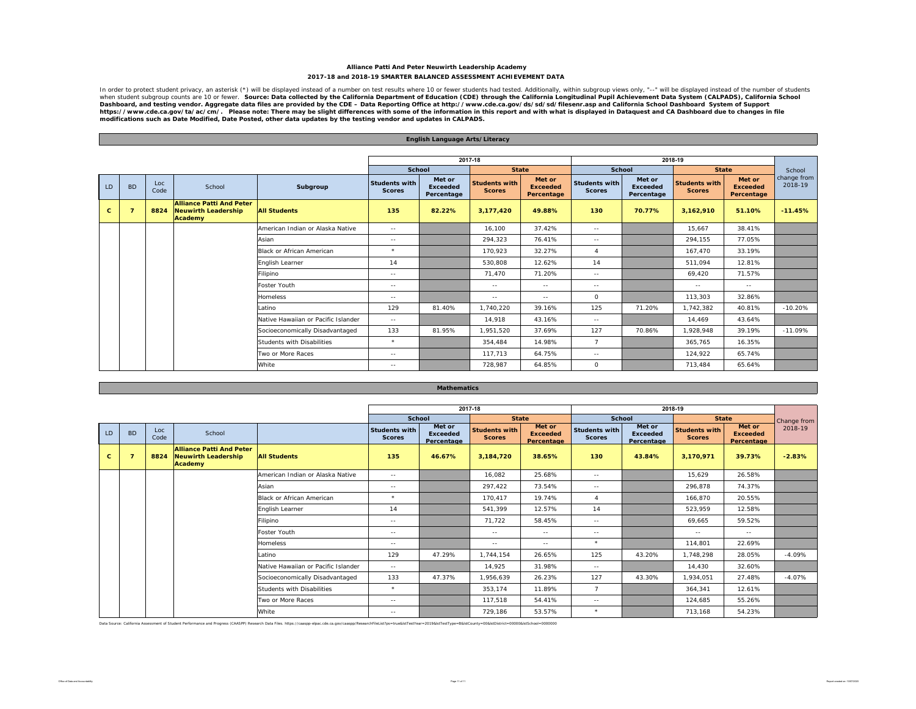#### **Alliance Patti And Peter Neuwirth Leadership Academy 2017-18 and 2018-19 SMARTER BALANCED ASSESSMENT ACHIEVEMENT DATA**

In order to protect student privacy, an asterisk (\*) will be displayed instead of a number on test results where 10 or fewer students had tested. Additionally, within subgroup views only, "--" will be displayed instead of Dashboard, and testing vendor. Aggregate data files are provided by the CDE – Data Reporting Office at http://www.cde.ca.gov/ds/sd/sd/filesenr.asp and California School Dashboard System of Support<br>https://www.cde.ca.gov/ta

|              |           |             |                                                                          |                                     |                                       | <b>English Language Arts/Literacy</b>   |                                       |                                         |                                       |                                         |                                       |                                         |                        |
|--------------|-----------|-------------|--------------------------------------------------------------------------|-------------------------------------|---------------------------------------|-----------------------------------------|---------------------------------------|-----------------------------------------|---------------------------------------|-----------------------------------------|---------------------------------------|-----------------------------------------|------------------------|
|              |           |             |                                                                          |                                     |                                       |                                         |                                       |                                         |                                       |                                         |                                       |                                         |                        |
|              |           |             |                                                                          |                                     |                                       |                                         | 2017-18                               |                                         |                                       |                                         | 2018-19                               |                                         |                        |
|              |           |             |                                                                          |                                     | School                                |                                         | <b>State</b>                          |                                         | <b>School</b>                         |                                         | <b>State</b>                          |                                         | School                 |
| LD.          | <b>BD</b> | Loc<br>Code | School                                                                   | Subgroup                            | <b>Students with</b><br><b>Scores</b> | Met or<br><b>Exceeded</b><br>Percentage | <b>Students with</b><br><b>Scores</b> | Met or<br><b>Exceeded</b><br>Percentage | <b>Students with</b><br><b>Scores</b> | Met or<br><b>Exceeded</b><br>Percentage | <b>Students with</b><br><b>Scores</b> | Met or<br><b>Exceeded</b><br>Percentage | change from<br>2018-19 |
| $\mathbf{C}$ | 7         | 8824        | <b>Alliance Patti And Peter</b><br><b>Neuwirth Leadership</b><br>Academy | <b>All Students</b>                 | 135                                   | 82.22%                                  | 3.177.420                             | 49.88%                                  | 130                                   | 70.77%                                  | 3.162.910                             | 51.10%                                  | $-11.45%$              |
|              |           |             |                                                                          | American Indian or Alaska Native    | $\sim$ $-$                            |                                         | 16,100                                | 37.42%                                  | $\sim$ $-$                            |                                         | 15,667                                | 38.41%                                  |                        |
|              |           |             |                                                                          | Asian                               | $\sim$ $-$                            |                                         | 294,323                               | 76.41%                                  | $\sim$ $-$                            |                                         | 294,155                               | 77.05%                                  |                        |
|              |           |             |                                                                          | <b>Black or African American</b>    | $\star$                               |                                         | 170,923                               | 32.27%                                  | $\overline{4}$                        |                                         | 167.470                               | 33.19%                                  |                        |
|              |           |             |                                                                          | English Learner                     | 14                                    |                                         | 530,808                               | 12.62%                                  | 14                                    |                                         | 511.094                               | 12.81%                                  |                        |
|              |           |             |                                                                          | Filipino                            | $\sim$ $\sim$                         |                                         | 71,470                                | 71.20%                                  | $\sim$ $-$                            |                                         | 69.420                                | 71.57%                                  |                        |
|              |           |             |                                                                          | Foster Youth                        | $\sim$ $\sim$                         |                                         | $\sim$ $-$                            | $\sim$ $-$                              | $\sim$ $-$                            |                                         | $\sim$ $-$                            | $\sim$ $-$                              |                        |
|              |           |             |                                                                          | <b>Homeless</b>                     | $\sim$ $-$                            |                                         | $\sim$ $\sim$                         | $\sim$ $-$                              | $\circ$                               |                                         | 113.303                               | 32.86%                                  |                        |
|              |           |             |                                                                          | Latino                              | 129                                   | 81.40%                                  | 1.740.220                             | 39.16%                                  | 125                                   | 71.20%                                  | 1,742,382                             | 40.81%                                  | $-10.20%$              |
|              |           |             |                                                                          | Native Hawaiian or Pacific Islander | $\sim$ $\sim$                         |                                         | 14,918                                | 43.16%                                  | $\sim$ $-$                            |                                         | 14.469                                | 43.64%                                  |                        |
|              |           |             |                                                                          | Socioeconomically Disadvantaged     | 133                                   | 81.95%                                  | 1,951,520                             | 37.69%                                  | 127                                   | 70.86%                                  | 1,928,948                             | 39.19%                                  | $-11.09%$              |
|              |           |             |                                                                          | <b>Students with Disabilities</b>   | $\star$                               |                                         | 354.484                               | 14.98%                                  | $\overline{7}$                        |                                         | 365,765                               | 16.35%                                  |                        |
|              |           |             |                                                                          | Two or More Races                   | $\sim$ $-$                            |                                         | 117,713                               | 64.75%                                  | $\sim$ $-$                            |                                         | 124,922                               | 65.74%                                  |                        |
|              |           |             |                                                                          | White                               | $\sim$ $-$                            |                                         | 728,987                               | 64.85%                                  | $\circ$                               |                                         | 713,484                               | 65.64%                                  |                        |

#### **Mathematics**

|    |           |             |                                                                          |                                     |                                       |                                  | 2017-18                               |                                         |                                                                                                                                                                                                                                                                                                                                                                                              |                                         | 2018-19                               |                                         |             |
|----|-----------|-------------|--------------------------------------------------------------------------|-------------------------------------|---------------------------------------|----------------------------------|---------------------------------------|-----------------------------------------|----------------------------------------------------------------------------------------------------------------------------------------------------------------------------------------------------------------------------------------------------------------------------------------------------------------------------------------------------------------------------------------------|-----------------------------------------|---------------------------------------|-----------------------------------------|-------------|
|    |           |             |                                                                          |                                     | <b>School</b>                         |                                  | <b>State</b>                          |                                         | <b>School</b>                                                                                                                                                                                                                                                                                                                                                                                |                                         | <b>State</b>                          |                                         | Change from |
| LD | <b>BD</b> | Loc<br>Code | School                                                                   |                                     | <b>Students with</b><br><b>Scores</b> | Met or<br>Exceeded<br>Percentage | <b>Students with</b><br><b>Scores</b> | Met or<br><b>Exceeded</b><br>Percentage | <b>Students with</b><br><b>Scores</b>                                                                                                                                                                                                                                                                                                                                                        | Met or<br><b>Exceeded</b><br>Percentage | <b>Students with</b><br><b>Scores</b> | Met or<br><b>Exceeded</b><br>Percentage | 2018-19     |
| c  | 7         | 8824        | <b>Alliance Patti And Peter</b><br><b>Neuwirth Leadership</b><br>Academy | <b>All Students</b>                 | 135                                   | 46.67%                           | 3,184,720                             | 38.65%                                  | 130                                                                                                                                                                                                                                                                                                                                                                                          | 43.84%                                  | 3,170,971                             | 39.73%                                  | $-2.83%$    |
|    |           |             |                                                                          | American Indian or Alaska Native    | $\sim$ $-$                            |                                  | 16,082                                | 25.68%                                  | $\frac{1}{2}$                                                                                                                                                                                                                                                                                                                                                                                |                                         | 15,629                                | 26.58%                                  |             |
|    |           |             |                                                                          | Asian                               | $\sim$ $-$                            |                                  | 297,422                               | 73.54%                                  | $\frac{1}{2}$                                                                                                                                                                                                                                                                                                                                                                                |                                         | 296,878                               | 74.37%                                  |             |
|    |           |             |                                                                          | Black or African American           | $\star$                               |                                  | 170,417                               | 19.74%                                  |                                                                                                                                                                                                                                                                                                                                                                                              |                                         | 166,870                               | 20.55%                                  |             |
|    |           |             |                                                                          | English Learner                     | 14                                    |                                  | 541,399                               | 12.57%                                  | 14                                                                                                                                                                                                                                                                                                                                                                                           |                                         | 523,959                               | 12.58%                                  |             |
|    |           |             |                                                                          | Filipino                            | $\sim$ $-$                            |                                  | 71,722                                | 58.45%                                  | $\frac{1}{2}$                                                                                                                                                                                                                                                                                                                                                                                |                                         | 69.665                                | 59.52%                                  |             |
|    |           |             |                                                                          | Foster Youth                        | $\sim$ $-$                            |                                  | $\sim$ $\sim$                         | $\sim$ $\sim$                           | $\frac{1}{2} \frac{1}{2} \frac{1}{2} \frac{1}{2} \frac{1}{2} \frac{1}{2} \frac{1}{2} \frac{1}{2} \frac{1}{2} \frac{1}{2} \frac{1}{2} \frac{1}{2} \frac{1}{2} \frac{1}{2} \frac{1}{2} \frac{1}{2} \frac{1}{2} \frac{1}{2} \frac{1}{2} \frac{1}{2} \frac{1}{2} \frac{1}{2} \frac{1}{2} \frac{1}{2} \frac{1}{2} \frac{1}{2} \frac{1}{2} \frac{1}{2} \frac{1}{2} \frac{1}{2} \frac{1}{2} \frac{$ |                                         | $\sim$ $-$                            | $\sim$ $-$                              |             |
|    |           |             |                                                                          | Homeless                            | $\sim$ $-$                            |                                  | $\sim$ $-$                            | $\sim$ $-$                              | $\star$                                                                                                                                                                                                                                                                                                                                                                                      |                                         | 114,801                               | 22.69%                                  |             |
|    |           |             |                                                                          | Latino                              | 129                                   | 47.29%                           | 1,744,154                             | 26.65%                                  | 125                                                                                                                                                                                                                                                                                                                                                                                          | 43.20%                                  | 1,748,298                             | 28.05%                                  | $-4.09%$    |
|    |           |             |                                                                          | Native Hawaiian or Pacific Islander | $\sim$ $-$                            |                                  | 14,925                                | 31.98%                                  | $\frac{1}{2}$                                                                                                                                                                                                                                                                                                                                                                                |                                         | 14,430                                | 32.60%                                  |             |
|    |           |             |                                                                          | Socioeconomically Disadvantaged     | 133                                   | 47.37%                           | 1,956,639                             | 26.23%                                  | 127                                                                                                                                                                                                                                                                                                                                                                                          | 43.30%                                  | 1,934,051                             | 27.48%                                  | $-4.07%$    |
|    |           |             |                                                                          | Students with Disabilities          | $\star$                               |                                  | 353,174                               | 11.89%                                  | $\overline{7}$                                                                                                                                                                                                                                                                                                                                                                               |                                         | 364,341                               | 12.61%                                  |             |
|    |           |             |                                                                          | Two or More Races                   | $\sim$ $-$                            |                                  | 117,518                               | 54.41%                                  | $\frac{1}{2}$                                                                                                                                                                                                                                                                                                                                                                                |                                         | 124,685                               | 55.26%                                  |             |
|    |           |             |                                                                          | White                               | $\frac{1}{2}$                         |                                  | 729,186                               | 53.57%                                  | $\star$                                                                                                                                                                                                                                                                                                                                                                                      |                                         | 713,168                               | 54.23%                                  |             |

Data Source: California Assessment of Student Performance and Progress (CAASPP) Research Data Files. https://caaspp-elpac.cde.ca.gov/caaspp/ResearchFileList?ps=true&isTestYear=2019&istTestType=B&istCounty=00&istDistrict=00

Г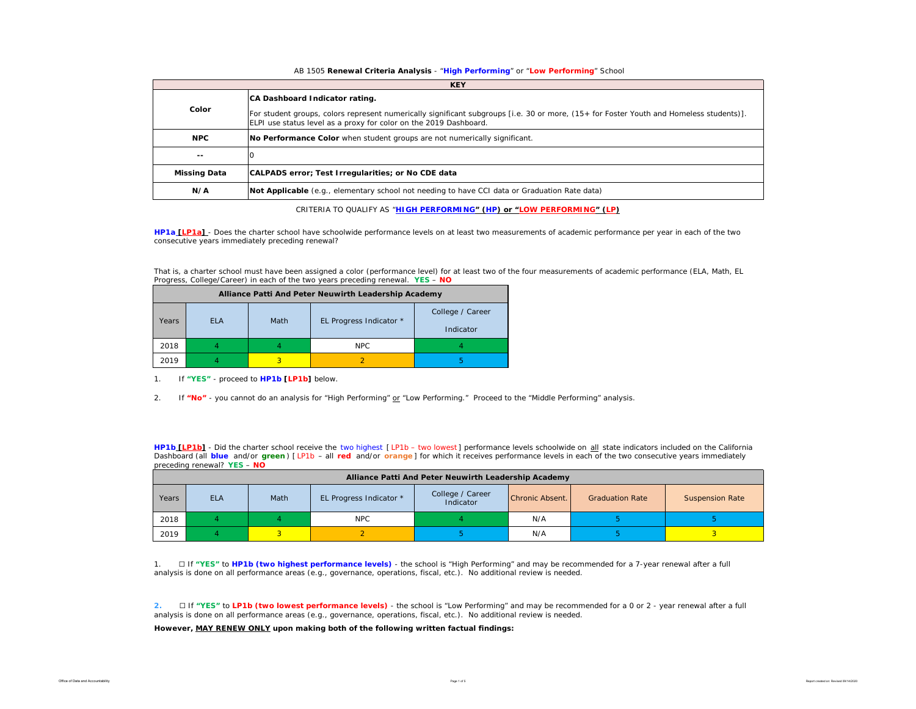#### AB 1505 **Renewal Criteria Analysis** - "**High Performing**" or "**Low Performing**" School

|                     | <b>KEY</b>                                                                                                                                                                                                                                     |
|---------------------|------------------------------------------------------------------------------------------------------------------------------------------------------------------------------------------------------------------------------------------------|
| Color               | CA Dashboard Indicator rating.<br>For student groups, colors represent numerically significant subgroups [i.e. 30 or more, (15+ for Foster Youth and Homeless students)].<br>ELPI use status level as a proxy for color on the 2019 Dashboard. |
| <b>NPC</b>          | No Performance Color when student groups are not numerically significant.                                                                                                                                                                      |
| $- -$               |                                                                                                                                                                                                                                                |
| <b>Missing Data</b> | CALPADS error; Test Irregularities; or No CDE data                                                                                                                                                                                             |
| N/A                 | Not Applicable (e.g., elementary school not needing to have CCI data or Graduation Rate data)                                                                                                                                                  |

CRITERIA TO QUALIFY AS "**HIGH PERFORMING" (HP) or "LOW PERFORMING" (LP)**

**HP1a [LP1a]** - *Does the charter school have schoolwide performance levels on at least two measurements of academic performance per year in each of the two consecutive years immediately preceding renewal?* 

That is, a charter school must have been assigned a color (performance level) for at least two of the four measurements of academic performance (ELA, Math, EL Progress, College/Career) in each of the two years preceding renewal. **YES** – **NO**

|       |            |      | Alliance Patti And Peter Neuwirth Leadership Academy |                               |
|-------|------------|------|------------------------------------------------------|-------------------------------|
| Years | <b>FLA</b> | Math | EL Progress Indicator *                              | College / Career<br>Indicator |
| 2018  |            |      | NPC.                                                 |                               |
| 2019  |            |      |                                                      | h                             |

1. If **"YES"** - proceed to **HP1b [LP1b]** below.

2. If **"No"** - you cannot do an analysis for "High Performing" or "Low Performing." Proceed to the "Middle Performing" analysis.

**HP1b [LP1b]** - *Did the charter school receive the two highest [ LP1b – two lowest ] performance levels schoolwide on all state indicators included on the California*  Dashboard (all blue and/or green) [LP1b - all red and/or orange] for which it receives performance levels in each of the two consecutive years immediately *preceding renewal?* **YES** – **NO**

|       | Alliance Patti And Peter Neuwirth Leadership Academy |      |                         |                               |                 |                        |                        |  |  |  |  |  |  |
|-------|------------------------------------------------------|------|-------------------------|-------------------------------|-----------------|------------------------|------------------------|--|--|--|--|--|--|
| Years | <b>ELA</b>                                           | Math | EL Progress Indicator * | College / Career<br>Indicator | Chronic Absent. | <b>Graduation Rate</b> | <b>Suspension Rate</b> |  |  |  |  |  |  |
| 2018  |                                                      |      | <b>NPC</b>              | N/A                           |                 |                        |                        |  |  |  |  |  |  |
| 2019  |                                                      |      |                         |                               | N/A             |                        |                        |  |  |  |  |  |  |

1. ☐ If **"YES"** to **HP1b (two highest performance levels)** - the school is "High Performing" and may be recommended for a 7-year renewal after a full analysis is done on all performance areas (e.g., governance, operations, fiscal, etc.). No additional review is needed.

**2.** ☐ If **"YES"** to **LP1b (two lowest performance levels)** - the school is "Low Performing" and may be recommended for a 0 or 2 - year renewal after a full analysis is done on all performance areas (e.g., governance, operations, fiscal, etc.). No additional review is needed.

**However, MAY RENEW ONLY upon making both of the following written factual findings:**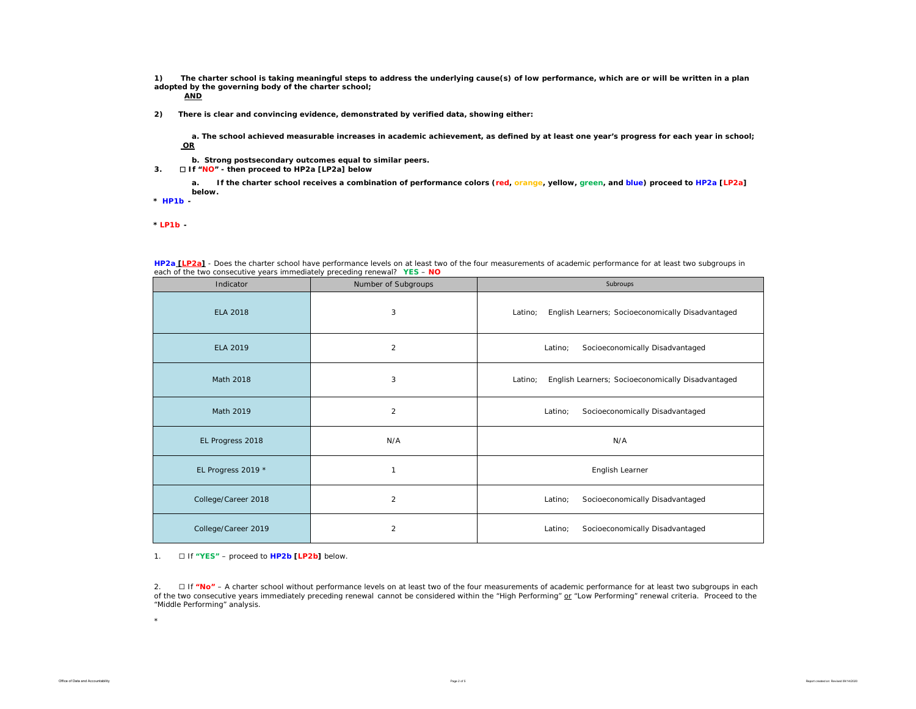**1) The charter school is taking meaningful steps to address the underlying cause(s) of low performance, which are or will be written in a plan adopted by the governing body of the charter school;** 

**AND**

**2) There is clear and convincing evidence, demonstrated by verified data, showing either:**

**a. The school achieved measurable increases in academic achievement, as defined by at least one year's progress for each year in school; OR**

- **b. Strong postsecondary outcomes equal to similar peers.**
- **3.** ☐ **If "NO" then proceed to HP2a [LP2a] below**

**a. If the charter school receives a combination of performance colors (red, orange, yellow, green, and blue) proceed to HP2a [LP2a] below.** 

**\*** *HP1b -* 

*\* LP1b -* 

| each of the two consecutive years immediately preceding renewal? YES - NO |                     |                                                              |
|---------------------------------------------------------------------------|---------------------|--------------------------------------------------------------|
| Indicator                                                                 | Number of Subgroups | Subroups                                                     |
| <b>ELA 2018</b>                                                           | 3                   | English Learners; Socioeconomically Disadvantaged<br>Latino; |
| ELA 2019                                                                  | $\overline{c}$      | Socioeconomically Disadvantaged<br>Latino;                   |
| Math 2018                                                                 | 3                   | English Learners; Socioeconomically Disadvantaged<br>Latino; |
| Math 2019                                                                 | $\overline{2}$      | Socioeconomically Disadvantaged<br>Latino;                   |
| EL Progress 2018                                                          | N/A                 | N/A                                                          |
| EL Progress 2019 *                                                        | $\mathbf{1}$        | English Learner                                              |
| College/Career 2018                                                       | $\overline{2}$      | Socioeconomically Disadvantaged<br>Latino;                   |
| College/Career 2019                                                       | $\overline{2}$      | Socioeconomically Disadvantaged<br>Latino;                   |

**HP2a [LP2a]** - *Does the charter school have performance levels on at least two of the four measurements of academic performance for at least two subgroups in* 

1. ☐ If **"YES"** – proceed to **HP2b [LP2b]** below.

2. ☐ If **"No"** – A charter school without *performance levels on at least two of the four measurements of academic performance for at least two subgroups in each of the two consecutive years immediately preceding renewal* cannot be considered within the "High Performing" or "Low Performing" renewal criteria. Proceed to the "Middle Performing" analysis.

\*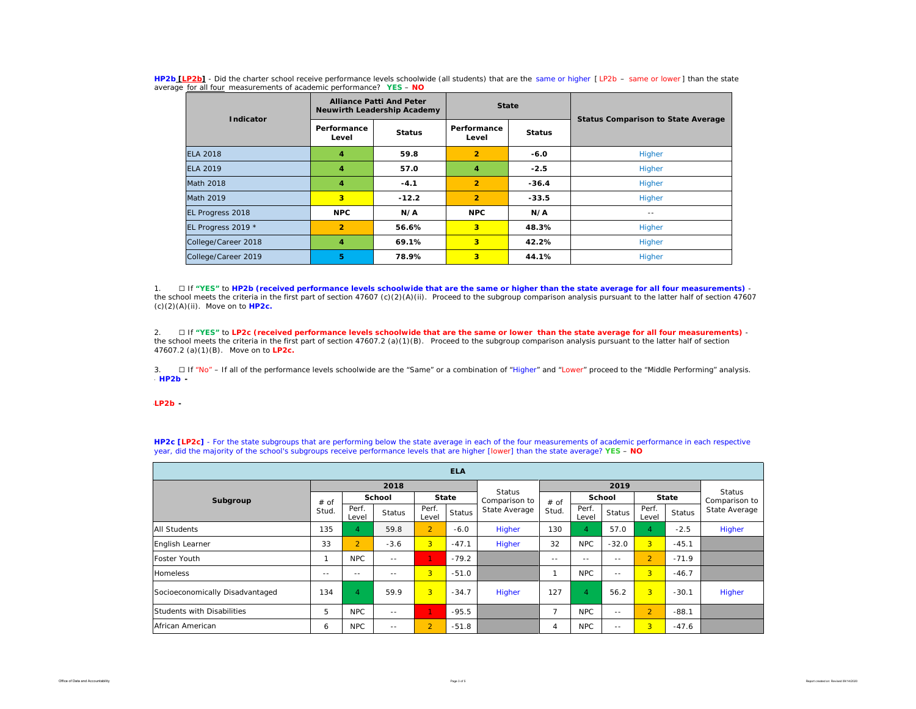| Indicator           |                         | <b>Alliance Patti And Peter</b><br><b>Neuwirth Leadership Academy</b> | <b>State</b>         |               |                                           |  |  |  |
|---------------------|-------------------------|-----------------------------------------------------------------------|----------------------|---------------|-------------------------------------------|--|--|--|
|                     | Performance<br>Level    | <b>Status</b>                                                         | Performance<br>Level | <b>Status</b> | <b>Status Comparison to State Average</b> |  |  |  |
| <b>ELA 2018</b>     | 4                       | 59.8                                                                  | $\overline{2}$       | $-6.0$        | Higher                                    |  |  |  |
| <b>ELA 2019</b>     | 4                       | 57.0                                                                  | 4                    | $-2.5$        | Higher                                    |  |  |  |
| Math 2018           | $\overline{\mathbf{A}}$ | $-4.1$                                                                | $\overline{2}$       | $-36.4$       | Higher                                    |  |  |  |
| Math 2019           | 3                       | $-12.2$                                                               | $\overline{2}$       | $-33.5$       | Higher                                    |  |  |  |
| EL Progress 2018    | <b>NPC</b>              | N/A                                                                   | <b>NPC</b>           | N/A           | $\sim$ $-$                                |  |  |  |
| EL Progress 2019 *  | $\overline{2}$          | 56.6%                                                                 | 3                    | 48.3%         | Higher                                    |  |  |  |
| College/Career 2018 | 4                       | 69.1%                                                                 | 3                    | 42.2%         | Higher                                    |  |  |  |
| College/Career 2019 | 5                       | 78.9%                                                                 | 3                    | 44.1%         | Higher                                    |  |  |  |

**HP2b [LP2b]** - *Did the charter school receive performance levels schoolwide (all students) that are the same or higher [ LP2b – same or lower ] than the state average for all four measurements of academic performance?* **YES** – **NO**

1. ☐ If **"YES"** to **HP2b (received performance levels schoolwide that are the same or higher than the state average for all four measurements)**  the school meets the criteria in the first part of section 47607 (c)(2)(A)(ii). Proceed to the subgroup comparison analysis pursuant to the latter half of section 47607 (c)(2)(A)(ii). Move on to **HP2c.**

2. ☐ If **"YES"** to **LP2c (received performance levels schoolwide that are the same or lower than the state average for all four measurements)** the school meets the criteria in the first part of section 47607.2 (a)(1)(B). Proceed to the subgroup comparison analysis pursuant to the latter half of section 47607.2 (a)(1)(B). Move on to **LP2c.**

3. □ If "No" – If all of the performance levels schoolwide are the "Same" or a combination of "Higher" and "Lower" proceed to the "Middle Performing" analysis. \* *HP2b -* 

\**LP2b -* 

| <b>ELA</b>                      |       |                |               |                |               |                                |                |                |                                |                |               |               |  |
|---------------------------------|-------|----------------|---------------|----------------|---------------|--------------------------------|----------------|----------------|--------------------------------|----------------|---------------|---------------|--|
|                                 |       |                | 2018          |                |               |                                |                |                | <b>Status</b><br>Comparison to |                |               |               |  |
| Subgroup                        | # of  |                | <b>School</b> | State          |               | <b>Status</b><br>Comparison to | # of           | School         |                                | <b>State</b>   |               |               |  |
|                                 | Stud. | Perf.<br>Level | <b>Status</b> | Perf.<br>Level | <b>Status</b> | State Average                  | Stud.          | Perf.<br>Level | <b>Status</b>                  | Perf.<br>Level | <b>Status</b> | State Average |  |
| <b>All Students</b>             | 135   | $\overline{4}$ | 59.8          | $\overline{2}$ | $-6.0$        | Higher                         | 130            | $\overline{4}$ | 57.0                           | 4              | $-2.5$        | Higher        |  |
| English Learner                 | 33    | $\overline{2}$ | $-3.6$        | $\overline{3}$ | $-47.1$       | Higher                         | 32             | <b>NPC</b>     | $-32.0$                        | 3 <sup>1</sup> | $-45.1$       |               |  |
| Foster Youth                    |       | <b>NPC</b>     | $\frac{1}{2}$ |                | $-79.2$       |                                | $- -$          | $- -$          | $\frac{1}{2}$                  | $\overline{2}$ | $-71.9$       |               |  |
| <b>Homeless</b>                 | $- -$ | $- -$          | $- -$         | $\overline{3}$ | $-51.0$       |                                |                | <b>NPC</b>     | $= -$                          | 3 <sup>1</sup> | $-46.7$       |               |  |
| Socioeconomically Disadvantaged | 134   | $\overline{4}$ | 59.9          | $\overline{3}$ | $-34.7$       | Higher                         | 127            | $\overline{4}$ | 56.2                           | $\overline{3}$ | $-30.1$       | Higher        |  |
| Students with Disabilities      | 5     | <b>NPC</b>     | $- -$         |                | $-95.5$       |                                | $\overline{7}$ | <b>NPC</b>     | $- -$                          | $\overline{2}$ | $-88.1$       |               |  |
| African American                | 6     | <b>NPC</b>     | $- -$         | $\overline{2}$ | $-51.8$       |                                | 4              | <b>NPC</b>     | $- -$                          | 3 <sup>1</sup> | $-47.6$       |               |  |

**HP2c [LP2c]** - For the state subgroups that are performing below the state average in each of the four measurements of academic performance in each respective year, did the majority of the school's subgroups receive performance levels that are higher [lower] than the state average? **YES** – **NO**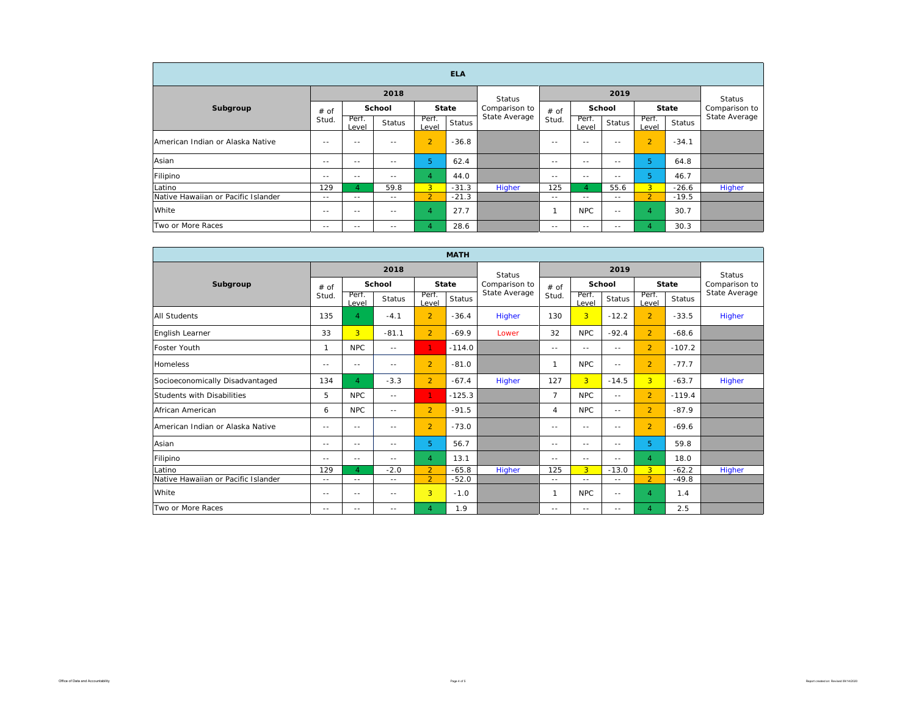| <b>ELA</b>                          |               |               |                        |                |               |               |        |               |        |                |               |               |
|-------------------------------------|---------------|---------------|------------------------|----------------|---------------|---------------|--------|---------------|--------|----------------|---------------|---------------|
|                                     |               |               | 2018                   |                |               | Status        |        |               | 2019   |                |               | Status        |
| Subgroup                            | $#$ of        |               | School<br><b>State</b> |                | Comparison to | # of          | School |               | State  |                | Comparison to |               |
|                                     | Stud.         | Perf.<br>evel | <b>Status</b>          | Perf.<br>Level | <b>Status</b> | State Average | Stud.  | Perf.<br>evel | Status | Perf.<br>Level | Status        | State Average |
| American Indian or Alaska Native    | $\frac{1}{2}$ | $- -$         | $- -$                  | $\overline{2}$ | $-36.8$       |               | $- -$  | $\sim$ $-$    | $- -$  | $\overline{2}$ | $-34.1$       |               |
| Asian                               | $- -$         | $- -$         | $- -$                  | 5              | 62.4          |               | $- -$  | $\sim$ $-$    | $- -$  | 5              | 64.8          |               |
| Filipino                            | $- -$         | $- -$         | $- -$                  | 4              | 44.0          |               | $- -$  | $\sim$ $-$    | $- -$  | 5              | 46.7          |               |
| Latino                              | 129           | $\Delta$      | 59.8                   | 3 <sup>1</sup> | $-31.3$       | Higher        | 125    | 4             | 55.6   | 3 <sup>1</sup> | $-26.6$       | Higher        |
| Native Hawaiian or Pacific Islander | $- -$         | $- -$         | $\sim$ $-$             | $\overline{2}$ | $-21.3$       |               | $- -$  | $\sim$ $-$    | $- -$  | $\overline{2}$ | $-19.5$       |               |
| White                               | $- -$         | $- -$         | $- -$                  | $\overline{4}$ | 27.7          |               |        | <b>NPC</b>    | $= -$  | 4              | 30.7          |               |
| Two or More Races                   | $- -$         | $- -$         | $- -$                  | 4              | 28.6          |               | $- -$  | $- -$         | $- -$  | 4              | 30.3          |               |

| <b>MATH</b>                         |               |                |                   |                |               |               |                |                |               |                |               |               |
|-------------------------------------|---------------|----------------|-------------------|----------------|---------------|---------------|----------------|----------------|---------------|----------------|---------------|---------------|
|                                     |               |                | 2018              |                |               | <b>Status</b> | 2019           |                |               |                |               | <b>Status</b> |
| Subgroup                            | $#$ of        | School         |                   |                | <b>State</b>  | Comparison to | $#$ of         | School         |               | <b>State</b>   |               | Comparison to |
|                                     | Stud.         | Perf.<br>Level | <b>Status</b>     | Perf.<br>Level | <b>Status</b> | State Average | Stud.          | Perf.<br>evel  | <b>Status</b> | Perf<br>Level  | <b>Status</b> | State Average |
| <b>All Students</b>                 | 135           | 4              | $-4.1$            | $\overline{2}$ | $-36.4$       | Higher        | 130            | $\overline{3}$ | $-12.2$       | $\overline{2}$ | $-33.5$       | Higher        |
| English Learner                     | 33            | $\overline{3}$ | $-81.1$           | $\overline{2}$ | $-69.9$       | Lower         | 32             | <b>NPC</b>     | $-92.4$       | $\overline{2}$ | $-68.6$       |               |
| Foster Youth                        | $\mathbf 1$   | <b>NPC</b>     | $\frac{1}{2}$     | $\mathbf{1}$   | $-114.0$      |               | $-$            | $\frac{1}{2}$  | $\frac{1}{2}$ | $\overline{2}$ | $-107.2$      |               |
| <b>Homeless</b>                     | $-$           | $\sim$ $-$     | $ -$              | $\overline{2}$ | $-81.0$       |               | $\mathbf{1}$   | <b>NPC</b>     | $- -$         | $\overline{2}$ | $-77.7$       |               |
| Socioeconomically Disadvantaged     | 134           | $\overline{4}$ | $-3.3$            | $\overline{2}$ | $-67.4$       | Higher        | 127            | $\overline{3}$ | $-14.5$       | 3 <sup>1</sup> | $-63.7$       | Higher        |
| Students with Disabilities          | 5             | <b>NPC</b>     | $\frac{1}{2}$     | $\mathbf{1}$   | $-125.3$      |               | $\overline{7}$ | <b>NPC</b>     | $\frac{1}{2}$ | $\overline{2}$ | $-119.4$      |               |
| African American                    | 6             | <b>NPC</b>     | $\frac{1}{2}$     | $\overline{2}$ | $-91.5$       |               | $\overline{4}$ | <b>NPC</b>     | $- -$         | $\overline{2}$ | $-87.9$       |               |
| American Indian or Alaska Native    | $- -$         | $\sim$ $-$     | $- -$             | $\overline{2}$ | $-73.0$       |               | $-$            | $\frac{1}{2}$  | $\frac{1}{2}$ | $\overline{2}$ | $-69.6$       |               |
| Asian                               | $-$           | $\sim$ $-$     | $ -$              | 5              | 56.7          |               | $-$            | $\frac{1}{2}$  | $- -$         | 5.             | 59.8          |               |
| Filipino                            | $- -$         | $\sim$ $-$     | $- -$             | $\overline{4}$ | 13.1          |               | $-$            | $\frac{1}{2}$  | $\frac{1}{2}$ | 4              | 18.0          |               |
| Latino                              | 129           | 4              | $-2.0$            | $\overline{2}$ | $-65.8$       | Higher        | 125            | $\overline{3}$ | $-13.0$       | 3 <sup>1</sup> | $-62.2$       | Higher        |
| Native Hawaiian or Pacific Islander | $\frac{1}{2}$ | $- -$          | $\qquad \qquad -$ | $\overline{2}$ | $-52.0$       |               | $- -$          | $\frac{1}{2}$  | $- -$         | $\overline{2}$ | $-49.8$       |               |
| White                               | $\frac{1}{2}$ | $\sim$ $-$     | $\frac{1}{2}$     | 3              | $-1.0$        |               | $\mathbf 1$    | <b>NPC</b>     | $- -$         | 4              | 1.4           |               |
| Two or More Races                   | $\frac{1}{2}$ | $\sim$ $-$     | $\frac{1}{2}$     | $\overline{4}$ | 1.9           |               | $- -$          | $\frac{1}{2}$  | $- -$         | 4              | 2.5           |               |